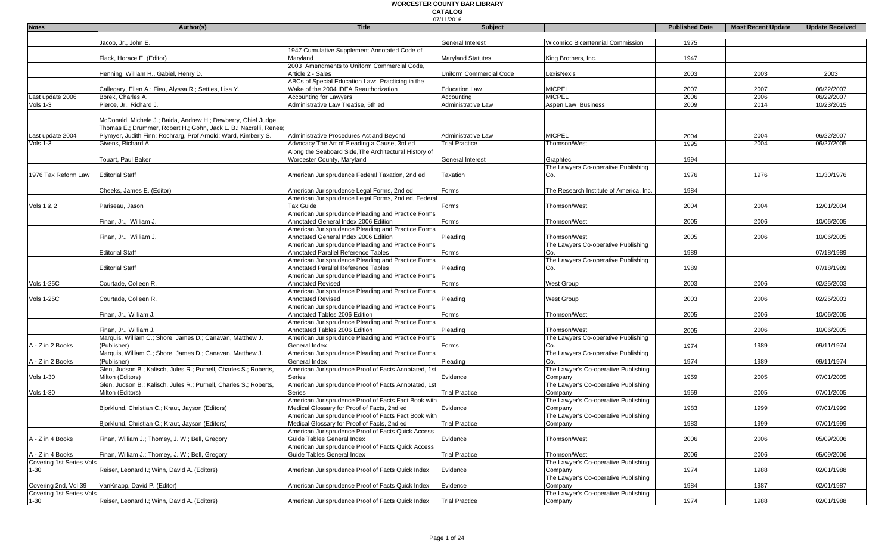#### 07/11/2016 **WORCESTER COUNTY BAR LIBRARY CATALOG**

| <b>Notes</b>                                     | Author(s)                                                                        | <b>Title</b>                                                                                      | 017 I 1720 I 0<br>Subject |                                                     | <b>Published Date</b> | <b>Most Recent Update</b> | <b>Update Received</b> |
|--------------------------------------------------|----------------------------------------------------------------------------------|---------------------------------------------------------------------------------------------------|---------------------------|-----------------------------------------------------|-----------------------|---------------------------|------------------------|
|                                                  |                                                                                  |                                                                                                   |                           |                                                     |                       |                           |                        |
|                                                  | Jacob, Jr., John E.                                                              |                                                                                                   | <b>General Interest</b>   | Wicomico Bicentennial Commission                    | 1975                  |                           |                        |
|                                                  | Flack, Horace E. (Editor)                                                        | 1947 Cumulative Supplement Annotated Code of<br>Marvland                                          | <b>Maryland Statutes</b>  |                                                     | 1947                  |                           |                        |
|                                                  |                                                                                  | 2003 Amendments to Uniform Commercial Code,                                                       |                           | King Brothers, Inc.                                 |                       |                           |                        |
|                                                  | Henning, William H., Gabiel, Henry D.                                            | Article 2 - Sales                                                                                 | Uniform Commercial Code   | LexisNexis                                          | 2003                  | 2003                      | 2003                   |
|                                                  |                                                                                  | ABCs of Special Education Law: Practicing in the                                                  |                           |                                                     |                       |                           |                        |
|                                                  | Callegary, Ellen A.; Fieo, Alyssa R.; Settles, Lisa Y.                           | Wake of the 2004 IDEA Reauthorization                                                             | <b>Education Law</b>      | <b>MICPEL</b>                                       | 2007                  | 2007                      | 06/22/2007             |
| Last update 2006                                 | Borek, Charles A.                                                                | Accounting for Lawyers                                                                            | Accounting                | <b>MICPEL</b>                                       | 2006                  | 2006                      | 06/22/2007             |
| Vols $1-3$                                       | Pierce, Jr., Richard J.                                                          | Administrative Law Treatise, 5th ed                                                               | Administrative Law        | Aspen Law Business                                  | 2009                  | 2014                      | 10/23/2015             |
|                                                  | McDonald, Michele J.; Baida, Andrew H.; Dewberry, Chief Judge                    |                                                                                                   |                           |                                                     |                       |                           |                        |
|                                                  | Thomas E.; Drummer, Robert H.; Gohn, Jack L. B.; Nacrelli, Renee;                |                                                                                                   |                           |                                                     |                       |                           |                        |
| Last update 2004                                 | Plymyer, Judith Finn; Rochrarg, Prof Arnold; Ward, Kimberly S.                   | Administrative Procedures Act and Beyond                                                          | Administrative Law        | <b>MICPEL</b>                                       | 2004                  | 2004                      | 06/22/2007             |
| Vols 1-3                                         | Givens, Richard A.                                                               | Advocacy The Art of Pleading a Cause, 3rd ed                                                      | <b>Trial Practice</b>     | Thomson/West                                        | 1995                  | 2004                      | 06/27/2005             |
|                                                  |                                                                                  | Along the Seaboard Side, The Architectural History of                                             |                           |                                                     |                       |                           |                        |
|                                                  | Touart, Paul Baker                                                               | Worcester County, Maryland                                                                        | <b>General Interest</b>   | Graphtec                                            | 1994                  |                           |                        |
|                                                  |                                                                                  |                                                                                                   |                           | The Lawyers Co-operative Publishing                 |                       |                           |                        |
| 1976 Tax Reform Law                              | <b>Editorial Staff</b>                                                           | American Jurisprudence Federal Taxation, 2nd ed                                                   | Taxation                  | Co.                                                 | 1976                  | 1976                      | 11/30/1976             |
|                                                  | Cheeks, James E. (Editor)                                                        | American Jurisprudence Legal Forms, 2nd ed                                                        | Forms                     | The Research Institute of America, Inc.             | 1984                  |                           |                        |
|                                                  |                                                                                  | American Jurisprudence Legal Forms, 2nd ed, Federal                                               |                           |                                                     |                       |                           |                        |
| Vols 1 & 2                                       | Pariseau, Jason                                                                  | Tax Guide                                                                                         | Forms                     | Thomson/West                                        | 2004                  | 2004                      | 12/01/2004             |
|                                                  |                                                                                  | American Jurisprudence Pleading and Practice Forms                                                |                           |                                                     |                       |                           |                        |
|                                                  | Finan, Jr., William J.                                                           | Annotated General Index 2006 Edition                                                              | Forms                     | Thomson/West                                        | 2005                  | 2006                      | 10/06/2005             |
|                                                  |                                                                                  | American Jurisprudence Pleading and Practice Forms                                                |                           |                                                     |                       |                           |                        |
|                                                  | Finan, Jr., William J.                                                           | Annotated General Index 2006 Edition<br>American Jurisprudence Pleading and Practice Forms        | Pleading                  | Thomson/West<br>The Lawyers Co-operative Publishing | 2005                  | 2006                      | 10/06/2005             |
|                                                  | <b>Editorial Staff</b>                                                           | Annotated Parallel Reference Tables                                                               | Forms                     | Co.                                                 | 1989                  |                           | 07/18/1989             |
|                                                  |                                                                                  | American Jurisprudence Pleading and Practice Forms                                                |                           | The Lawyers Co-operative Publishing                 |                       |                           |                        |
|                                                  | <b>Editorial Staff</b>                                                           | <b>Annotated Parallel Reference Tables</b>                                                        | Pleading                  | Co.                                                 | 1989                  |                           | 07/18/1989             |
|                                                  |                                                                                  | American Jurisprudence Pleading and Practice Forms                                                |                           |                                                     |                       |                           |                        |
| <b>Vols 1-25C</b>                                | Courtade, Colleen R.                                                             | Annotated Revised                                                                                 | Forms                     | <b>West Group</b>                                   | 2003                  | 2006                      | 02/25/2003             |
|                                                  |                                                                                  | American Jurisprudence Pleading and Practice Forms                                                |                           |                                                     |                       |                           |                        |
| <b>Vols 1-25C</b>                                | Courtade, Colleen R.                                                             | <b>Annotated Revised</b><br>American Jurisprudence Pleading and Practice Forms                    | Pleading                  | <b>West Group</b>                                   | 2003                  | 2006                      | 02/25/2003             |
|                                                  | Finan, Jr., William J.                                                           | Annotated Tables 2006 Edition                                                                     | Forms                     | Thomson/West                                        | 2005                  | 2006                      | 10/06/2005             |
|                                                  |                                                                                  | American Jurisprudence Pleading and Practice Forms                                                |                           |                                                     |                       |                           |                        |
|                                                  | Finan, Jr., William J.                                                           | Annotated Tables 2006 Edition                                                                     | Pleading                  | Thomson/West                                        | 2005                  | 2006                      | 10/06/2005             |
|                                                  | Marquis, William C.; Shore, James D.; Canavan, Matthew J.                        | American Jurisprudence Pleading and Practice Forms                                                |                           | The Lawyers Co-operative Publishing                 |                       |                           |                        |
| A - Z in 2 Books                                 | (Publisher)                                                                      | General Index                                                                                     | Forms                     | Co.                                                 | 1974                  | 1989                      | 09/11/1974             |
|                                                  | Marquis, William C.; Shore, James D.; Canavan, Matthew J.                        | American Jurisprudence Pleading and Practice Forms                                                |                           | The Lawyers Co-operative Publishing                 |                       |                           |                        |
| A - Z in 2 Books                                 | (Publisher)<br>Glen, Judson B.; Kalisch, Jules R.; Purnell, Charles S.; Roberts, | General Index<br>American Jurisprudence Proof of Facts Annotated, 1st                             | Pleading                  | Co.<br>The Lawyer's Co-operative Publishing         | 1974                  | 1989                      | 09/11/1974             |
| <b>Vols 1-30</b>                                 | Milton (Editors)                                                                 | Series                                                                                            | Evidence                  | Company                                             | 1959                  | 2005                      | 07/01/2005             |
|                                                  | Glen, Judson B.; Kalisch, Jules R.; Purnell, Charles S.; Roberts,                | American Jurisprudence Proof of Facts Annotated, 1st                                              |                           | The Lawyer's Co-operative Publishing                |                       |                           |                        |
| <b>Vols 1-30</b>                                 | Milton (Editors)                                                                 | Series                                                                                            | <b>Trial Practice</b>     | Company                                             | 1959                  | 2005                      | 07/01/2005             |
|                                                  |                                                                                  | American Jurisprudence Proof of Facts Fact Book with                                              |                           | The Lawyer's Co-operative Publishing                |                       |                           |                        |
|                                                  | Bjorklund, Christian C.; Kraut, Jayson (Editors)                                 | Medical Glossary for Proof of Facts, 2nd ed                                                       | Evidence                  | Company                                             | 1983                  | 1999                      | 07/01/1999             |
|                                                  |                                                                                  | American Jurisprudence Proof of Facts Fact Book with                                              |                           | The Lawyer's Co-operative Publishing                |                       |                           |                        |
|                                                  | Bjorklund, Christian C.; Kraut, Jayson (Editors)                                 | Medical Glossary for Proof of Facts, 2nd ed<br>American Jurisprudence Proof of Facts Quick Access | <b>Trial Practice</b>     | Company                                             | 1983                  | 1999                      | 07/01/1999             |
| A - Z in 4 Books                                 | Finan, William J.; Thomey, J. W.; Bell, Gregory                                  | Guide Tables General Index                                                                        | Evidence                  | Thomson/West                                        | 2006                  | 2006                      | 05/09/2006             |
|                                                  |                                                                                  | American Jurisprudence Proof of Facts Quick Access                                                |                           |                                                     |                       |                           |                        |
| A - Z in 4 Books                                 | Finan, William J.; Thomey, J. W.; Bell, Gregory                                  | Guide Tables General Index                                                                        | <b>Trial Practice</b>     | Thomson/West                                        | 2006                  | 2006                      | 05/09/2006             |
| Covering 1st Series Vols                         |                                                                                  |                                                                                                   |                           | The Lawyer's Co-operative Publishing                |                       |                           |                        |
| $1 - 30$                                         | Reiser, Leonard I.; Winn, David A. (Editors)                                     | American Jurisprudence Proof of Facts Quick Index                                                 | Evidence                  | Company                                             | 1974                  | 1988                      | 02/01/1988             |
|                                                  |                                                                                  | American Jurisprudence Proof of Facts Quick Index                                                 |                           | The Lawyer's Co-operative Publishing                |                       |                           |                        |
| Covering 2nd, Vol 39<br>Covering 1st Series Vols | VanKnapp, David P. (Editor)                                                      |                                                                                                   | Evidence                  | Company<br>The Lawyer's Co-operative Publishing     | 1984                  | 1987                      | 02/01/1987             |
| $1 - 30$                                         | Reiser, Leonard I.; Winn, David A. (Editors)                                     | American Jurisprudence Proof of Facts Quick Index                                                 | <b>Trial Practice</b>     | Company                                             | 1974                  | 1988                      | 02/01/1988             |
|                                                  |                                                                                  |                                                                                                   |                           |                                                     |                       |                           |                        |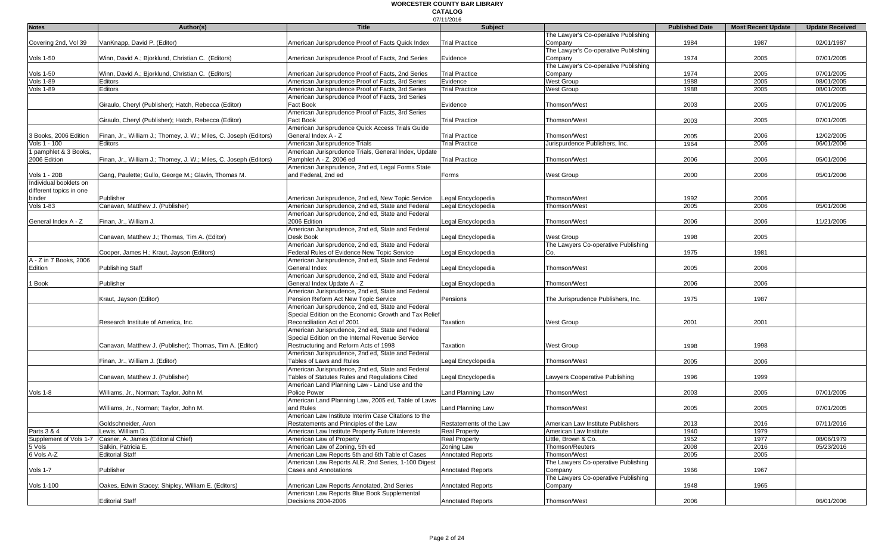|                         |                                                                   |                                                                                   | 07/11/2016               |                                      |                       |                           |                        |
|-------------------------|-------------------------------------------------------------------|-----------------------------------------------------------------------------------|--------------------------|--------------------------------------|-----------------------|---------------------------|------------------------|
| <b>Notes</b>            | Author(s)                                                         | <b>Title</b>                                                                      | <b>Subject</b>           |                                      | <b>Published Date</b> | <b>Most Recent Update</b> | <b>Update Received</b> |
|                         |                                                                   |                                                                                   |                          | The Lawyer's Co-operative Publishing |                       |                           |                        |
| Covering 2nd, Vol 39    | VanKnapp, David P. (Editor)                                       | American Jurisprudence Proof of Facts Quick Index                                 | <b>Trial Practice</b>    | Company                              | 1984                  | 1987                      | 02/01/1987             |
|                         |                                                                   |                                                                                   |                          | The Lawyer's Co-operative Publishing |                       |                           |                        |
| <b>Vols 1-50</b>        | Winn, David A.; Bjorklund, Christian C. (Editors)                 | American Jurisprudence Proof of Facts, 2nd Series                                 | Evidence                 | Company                              | 1974                  | 2005                      | 07/01/2005             |
|                         |                                                                   |                                                                                   |                          | The Lawyer's Co-operative Publishing |                       |                           |                        |
| <b>Vols 1-50</b>        | Winn, David A.; Bjorklund, Christian C. (Editors)                 | American Jurisprudence Proof of Facts, 2nd Series                                 | <b>Trial Practice</b>    | Company                              | 1974                  | 2005                      | 07/01/2005             |
| <b>Vols 1-89</b>        | Editors                                                           | American Jurisprudence Proof of Facts, 3rd Series                                 | Evidence                 | West Group                           | 1988                  | 2005                      | 08/01/2005             |
| <b>Vols 1-89</b>        | Editors                                                           | American Jurisprudence Proof of Facts, 3rd Series                                 | <b>Trial Practice</b>    | West Group                           | 1988                  | 2005                      | 08/01/2005             |
|                         |                                                                   | American Jurisprudence Proof of Facts, 3rd Series                                 |                          |                                      |                       |                           |                        |
|                         | Giraulo, Cheryl (Publisher); Hatch, Rebecca (Editor)              | Fact Book                                                                         | Evidence                 | Thomson/West                         | 2003                  | 2005                      | 07/01/2005             |
|                         |                                                                   | American Jurisprudence Proof of Facts, 3rd Series                                 |                          |                                      |                       |                           |                        |
|                         | Giraulo, Cheryl (Publisher); Hatch, Rebecca (Editor)              | Fact Book                                                                         | <b>Trial Practice</b>    | Thomson/West                         | 2003                  | 2005                      | 07/01/2005             |
|                         |                                                                   | American Jurisprudence Quick Access Trials Guide                                  |                          |                                      |                       |                           |                        |
| 3 Books, 2006 Edition   | Finan, Jr., William J.; Thomey, J. W.; Miles, C. Joseph (Editors) | General Index A - Z                                                               | <b>Trial Practice</b>    | Thomson/West                         | 2005                  | 2006                      | 12/02/2005             |
| Vols 1 - 100            | Editors                                                           | American Jurisprudence Trials                                                     | <b>Trial Practice</b>    | Jurispurdence Publishers, Inc.       | 1964                  | 2006                      | 06/01/2006             |
| 1 pamphlet & 3 Books,   |                                                                   | American Jurisprudence Trials, General Index, Update                              |                          |                                      |                       |                           |                        |
| 2006 Edition            | Finan, Jr., William J.; Thomey, J. W.; Miles, C. Joseph (Editors) | Pamphlet A - Z, 2006 ed                                                           | <b>Trial Practice</b>    | Thomson/West                         | 2006                  | 2006                      | 05/01/2006             |
|                         |                                                                   | American Jurisprudence, 2nd ed, Legal Forms State                                 |                          |                                      |                       |                           |                        |
| <b>Vols 1 - 20B</b>     | Gang, Paulette; Gullo, George M.; Glavin, Thomas M.               | and Federal, 2nd ed                                                               | Forms                    | West Group                           | 2000                  | 2006                      | 05/01/2006             |
| Individual booklets on  |                                                                   |                                                                                   |                          |                                      |                       |                           |                        |
| different topics in one |                                                                   |                                                                                   |                          |                                      |                       |                           |                        |
| binder                  | Publisher                                                         | American Jurisprudence, 2nd ed, New Topic Service                                 | egal Encyclopedia        | Thomson/West                         | 1992                  | 2006                      |                        |
| <b>Vols 1-83</b>        | Canavan, Matthew J. (Publisher)                                   | American Jurisprudence, 2nd ed, State and Federal                                 | Legal Encyclopedia       | Thomson/West                         | 2005                  | 2006                      | 05/01/2006             |
|                         |                                                                   | American Jurisprudence, 2nd ed, State and Federal                                 |                          |                                      |                       |                           |                        |
| General Index A - Z     | Finan, Jr., William J.                                            | 2006 Edition                                                                      | egal Encyclopedia        | Thomson/West                         | 2006                  | 2006                      | 11/21/2005             |
|                         |                                                                   | American Jurisprudence, 2nd ed, State and Federal                                 |                          |                                      |                       |                           |                        |
|                         | Canavan, Matthew J.; Thomas, Tim A. (Editor)                      | Desk Book                                                                         | Legal Encyclopedia       | West Group                           | 1998                  | 2005                      |                        |
|                         |                                                                   | American Jurisprudence, 2nd ed, State and Federal                                 |                          | The Lawyers Co-operative Publishing  |                       |                           |                        |
|                         | Cooper, James H.; Kraut, Jayson (Editors)                         | Federal Rules of Evidence New Topic Service                                       | Legal Encyclopedia       | Co.                                  | 1975                  | 1981                      |                        |
| A - Z in 7 Books, 2006  |                                                                   | American Jurisprudence, 2nd ed, State and Federal                                 |                          |                                      |                       |                           |                        |
| Edition                 | <b>Publishing Staff</b>                                           | General Index                                                                     | egal Encyclopedia        | Thomson/West                         | 2005                  | 2006                      |                        |
|                         |                                                                   | American Jurisprudence, 2nd ed, State and Federal                                 |                          |                                      |                       |                           |                        |
| Book                    | Publisher                                                         | General Index Update A - Z                                                        | egal Encyclopedia        | Thomson/West                         | 2006                  | 2006                      |                        |
|                         |                                                                   | American Jurisprudence, 2nd ed, State and Federal                                 |                          |                                      |                       |                           |                        |
|                         | Kraut, Jayson (Editor)                                            | Pension Reform Act New Topic Service                                              | Pensions                 | The Jurisprudence Publishers, Inc.   | 1975                  | 1987                      |                        |
|                         |                                                                   | American Jurisprudence, 2nd ed, State and Federal                                 |                          |                                      |                       |                           |                        |
|                         |                                                                   | Special Edition on the Economic Growth and Tax Relief                             |                          |                                      |                       |                           |                        |
|                         | Research Institute of America, Inc.                               | Reconciliation Act of 2001                                                        | <b>Taxation</b>          | <b>West Group</b>                    | 2001                  | 2001                      |                        |
|                         |                                                                   | American Jurisprudence, 2nd ed, State and Federal                                 |                          |                                      |                       |                           |                        |
|                         |                                                                   | Special Edition on the Internal Revenue Service                                   |                          |                                      |                       |                           |                        |
|                         | Canavan, Matthew J. (Publisher); Thomas, Tim A. (Editor)          | Restructuring and Reform Acts of 1998                                             | Taxation                 | <b>West Group</b>                    | 1998                  | 1998                      |                        |
|                         |                                                                   | American Jurisprudence, 2nd ed, State and Federal                                 |                          |                                      |                       |                           |                        |
|                         | Finan, Jr., William J. (Editor)                                   | Tables of Laws and Rules                                                          | Legal Encyclopedia       | Thomson/West                         | 2005                  | 2006                      |                        |
|                         |                                                                   | American Jurisprudence, 2nd ed, State and Federal                                 |                          |                                      |                       |                           |                        |
|                         | Canavan, Matthew J. (Publisher)                                   | Tables of Statutes Rules and Regulations Cited                                    | egal Encyclopedia        | Lawyers Cooperative Publishing       | 1996                  | 1999                      |                        |
|                         |                                                                   | American Land Planning Law - Land Use and the                                     |                          |                                      |                       |                           |                        |
| Vols 1-8                | Williams, Jr., Norman; Taylor, John M.                            | Police Power                                                                      | Land Planning Law        | Thomson/West                         | 2003                  | 2005                      | 07/01/2005             |
|                         |                                                                   | American Land Planning Law, 2005 ed, Table of Laws                                |                          |                                      |                       |                           |                        |
|                         | Williams, Jr., Norman; Taylor, John M.                            | and Rules                                                                         | Land Planning Law        | Thomson/West                         | 2005                  | 2005                      | 07/01/2005             |
|                         |                                                                   | American Law Institute Interim Case Citations to the                              |                          |                                      |                       |                           |                        |
|                         | Goldschneider, Aron                                               | Restatements and Principles of the Law                                            | Restatements of the Law  | American Law Institute Publishers    | 2013                  | 2016                      | 07/11/2016             |
| Parts 3 & 4             | Lewis, William D.                                                 | American Law Institute Property Future Interests                                  | <b>Real Property</b>     | American Law Institute               | 1940                  | 1979                      |                        |
| Supplement of Vols 1-7  | Casner, A. James (Editorial Chief)                                | American Law of Property                                                          |                          | Little, Brown & Co.                  | 1952                  | 1977                      | 08/06/1979             |
|                         |                                                                   |                                                                                   | <b>Real Property</b>     |                                      |                       |                           | 05/23/2016             |
| 5 Vols                  | Salkin, Patricia E.                                               | American Law of Zoning, 5th ed<br>American Law Reports 5th and 6th Table of Cases | Zoning Law               | Thomson/Reuters                      | 2008                  | 2016                      |                        |
| 6 Vols A-Z              | <b>Editorial Staff</b>                                            |                                                                                   | <b>Annotated Reports</b> | Thomson/West                         | 2005                  | 2005                      |                        |
|                         |                                                                   | American Law Reports ALR, 2nd Series, 1-100 Digest                                |                          | The Lawyers Co-operative Publishing  |                       |                           |                        |
| Vols 1-7                | Publisher                                                         | Cases and Annotations                                                             | <b>Annotated Reports</b> | Company                              | 1966                  | 1967                      |                        |
|                         |                                                                   |                                                                                   |                          | The Lawyers Co-operative Publishing  |                       |                           |                        |
| Vols 1-100              | Oakes, Edwin Stacey; Shipley, William E. (Editors)                | American Law Reports Annotated, 2nd Series                                        | <b>Annotated Reports</b> | Company                              | 1948                  | 1965                      |                        |
|                         |                                                                   | American Law Reports Blue Book Supplemental                                       |                          |                                      |                       |                           |                        |
|                         | <b>Editorial Staff</b>                                            | Decisions 2004-2006                                                               | <b>Annotated Reports</b> | Thomson/West                         | 2006                  |                           | 06/01/2006             |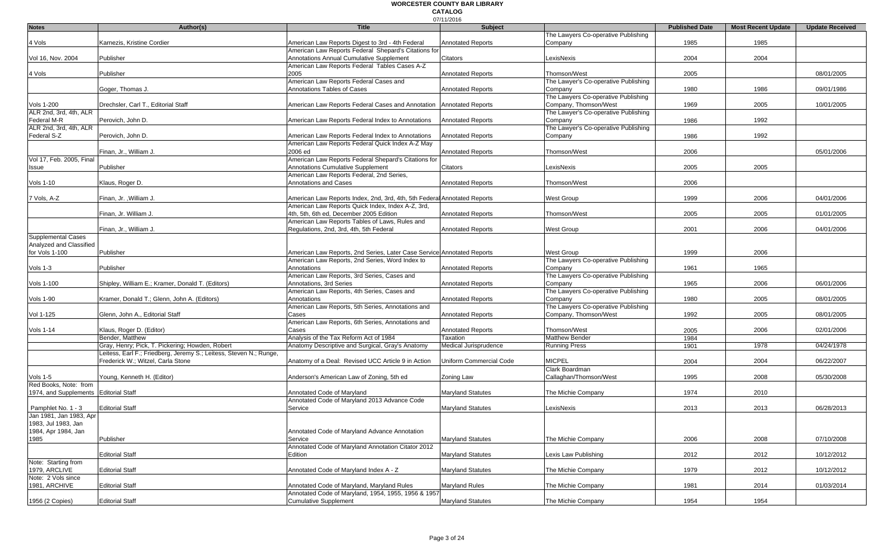|                          |                                                                    |                                                                          | 07/11/2016               |                                      |                       |                           |                        |
|--------------------------|--------------------------------------------------------------------|--------------------------------------------------------------------------|--------------------------|--------------------------------------|-----------------------|---------------------------|------------------------|
| <b>Notes</b>             | Author(s)                                                          | <b>Title</b>                                                             | Subject                  |                                      | <b>Published Date</b> | <b>Most Recent Update</b> | <b>Update Received</b> |
|                          |                                                                    |                                                                          |                          | The Lawyers Co-operative Publishing  |                       |                           |                        |
| 4 Vols                   | Karnezis, Kristine Cordier                                         | American Law Reports Digest to 3rd - 4th Federal                         | <b>Annotated Reports</b> | Company                              | 1985                  | 1985                      |                        |
|                          |                                                                    | American Law Reports Federal Shepard's Citations for                     |                          |                                      |                       |                           |                        |
| Vol 16, Nov. 2004        | Publisher                                                          | Annotations Annual Cumulative Supplement                                 | Citators                 | LexisNexis                           | 2004                  | 2004                      |                        |
|                          |                                                                    | American Law Reports Federal Tables Cases A-Z                            |                          |                                      |                       |                           |                        |
| 4 Vols                   | Publisher                                                          | 2005                                                                     | <b>Annotated Reports</b> | Thomson/West                         | 2005                  |                           | 08/01/2005             |
|                          |                                                                    | American Law Reports Federal Cases and                                   |                          | The Lawyer's Co-operative Publishing |                       |                           |                        |
|                          | Goger, Thomas J.                                                   | <b>Annotations Tables of Cases</b>                                       | <b>Annotated Reports</b> | Company                              | 1980                  | 1986                      | 09/01/1986             |
|                          |                                                                    |                                                                          |                          | The Lawyers Co-operative Publishing  |                       |                           |                        |
|                          |                                                                    |                                                                          |                          |                                      |                       |                           |                        |
| Vols 1-200               | Drechsler, Carl T., Editorial Staff                                | American Law Reports Federal Cases and Annotation                        | <b>Annotated Reports</b> | Company, Thomson/West                | 1969                  | 2005                      | 10/01/2005             |
| ALR 2nd, 3rd, 4th, ALR   |                                                                    |                                                                          |                          | The Lawyer's Co-operative Publishing |                       |                           |                        |
| Federal M-R              | Perovich, John D.                                                  | American Law Reports Federal Index to Annotations                        | <b>Annotated Reports</b> | Company                              | 1986                  | 1992                      |                        |
| ALR 2nd, 3rd, 4th, ALR   |                                                                    |                                                                          |                          | The Lawyer's Co-operative Publishing |                       |                           |                        |
| Federal S-Z              | Perovich, John D.                                                  | American Law Reports Federal Index to Annotations                        | <b>Annotated Reports</b> | Company                              | 1986                  | 1992                      |                        |
|                          |                                                                    | American Law Reports Federal Quick Index A-Z May                         |                          |                                      |                       |                           |                        |
|                          | Finan, Jr., William J.                                             | 2006 ed                                                                  | <b>Annotated Reports</b> | Thomson/West                         | 2006                  |                           | 05/01/2006             |
| Vol 17, Feb. 2005, Final |                                                                    | American Law Reports Federal Shepard's Citations for                     |                          |                                      |                       |                           |                        |
| Issue                    | Publisher                                                          | <b>Annotations Cumulative Supplement</b>                                 | Citators                 | LexisNexis                           | 2005                  | 2005                      |                        |
|                          |                                                                    | American Law Reports Federal, 2nd Series,                                |                          |                                      |                       |                           |                        |
|                          |                                                                    | <b>Annotations and Cases</b>                                             | <b>Annotated Reports</b> | Thomson/West                         | 2006                  |                           |                        |
| Vols 1-10                | Klaus, Roger D.                                                    |                                                                          |                          |                                      |                       |                           |                        |
|                          |                                                                    |                                                                          |                          |                                      |                       |                           |                        |
| 7 Vols, A-Z              | Finan, Jr., William J.                                             | American Law Reports Index, 2nd, 3rd, 4th, 5th Federal Annotated Reports |                          | <b>West Group</b>                    | 1999                  | 2006                      | 04/01/2006             |
|                          |                                                                    | American Law Reports Quick Index, Index A-Z, 3rd,                        |                          |                                      |                       |                           |                        |
|                          | Finan, Jr. William J.                                              | 4th, 5th, 6th ed, December 2005 Edition                                  | <b>Annotated Reports</b> | Thomson/West                         | 2005                  | 2005                      | 01/01/2005             |
|                          |                                                                    | American Law Reports Tables of Laws, Rules and                           |                          |                                      |                       |                           |                        |
|                          | Finan, Jr., William J.                                             | Regulations, 2nd, 3rd, 4th, 5th Federal                                  | <b>Annotated Reports</b> | <b>West Group</b>                    | 2001                  | 2006                      | 04/01/2006             |
| Supplemental Cases       |                                                                    |                                                                          |                          |                                      |                       |                           |                        |
| Analyzed and Classified  |                                                                    |                                                                          |                          |                                      |                       |                           |                        |
| for Vols 1-100           | Publisher                                                          | American Law Reports, 2nd Series, Later Case Service Annotated Reports   |                          | West Group                           | 1999                  | 2006                      |                        |
|                          |                                                                    | American Law Reports, 2nd Series, Word Index to                          |                          | The Lawyers Co-operative Publishing  |                       |                           |                        |
|                          |                                                                    |                                                                          |                          |                                      |                       |                           |                        |
| Vols 1-3                 | Publisher                                                          | Annotations                                                              | <b>Annotated Reports</b> | Company                              | 1961                  | 1965                      |                        |
|                          |                                                                    | American Law Reports, 3rd Series, Cases and                              |                          | The Lawyers Co-operative Publishing  |                       |                           |                        |
| Vols 1-100               | Shipley, William E.; Kramer, Donald T. (Editors)                   | Annotations, 3rd Series                                                  | <b>Annotated Reports</b> | Company                              | 1965                  | 2006                      | 06/01/2006             |
|                          |                                                                    | American Law Reports, 4th Series, Cases and                              |                          | The Lawyers Co-operative Publishing  |                       |                           |                        |
| Vols 1-90                | Kramer, Donald T.; Glenn, John A. (Editors)                        | Annotations                                                              | <b>Annotated Reports</b> | Company                              | 1980                  | 2005                      | 08/01/2005             |
|                          |                                                                    | American Law Reports, 5th Series, Annotations and                        |                          | The Lawyers Co-operative Publishing  |                       |                           |                        |
| Vol 1-125                | Glenn, John A., Editorial Staff                                    | Cases                                                                    | <b>Annotated Reports</b> | Company, Thomson/West                | 1992                  | 2005                      | 08/01/2005             |
|                          |                                                                    | American Law Reports, 6th Series, Annotations and                        |                          |                                      |                       |                           |                        |
| Vols 1-14                | Klaus, Roger D. (Editor)                                           | Cases                                                                    | <b>Annotated Reports</b> | Thomson/West                         | 2005                  | 2006                      | 02/01/2006             |
|                          | Bender, Matthew                                                    | Analysis of the Tax Reform Act of 1984                                   | Taxation                 | <b>Matthew Bender</b>                | 1984                  |                           |                        |
|                          |                                                                    |                                                                          |                          |                                      |                       |                           |                        |
|                          | Gray, Henry; Pick, T. Pickering; Howden, Robert                    | Anatomy Descriptive and Surgical, Gray's Anatomy                         | Medical Jurisprudence    | <b>Running Press</b>                 | 1901                  | 1978                      | 04/24/1978             |
|                          | Leitess, Earl F.; Friedberg, Jeremy S.; Leitess, Steven N.; Runge, |                                                                          |                          |                                      |                       |                           |                        |
|                          | Frederick W.; Witzel, Carla Stone                                  | Anatomy of a Deal: Revised UCC Article 9 in Action                       | Uniform Commercial Code  | <b>MICPEL</b>                        | 2004                  | 2004                      | 06/22/2007             |
|                          |                                                                    |                                                                          |                          | Clark Boardman                       |                       |                           |                        |
| Vols 1-5                 | Young, Kenneth H. (Editor)                                         | Anderson's American Law of Zoning, 5th ed                                | Zoning Law               | Callaghan/Thomson/West               | 1995                  | 2008                      | 05/30/2008             |
| Red Books, Note: from    |                                                                    |                                                                          |                          |                                      |                       |                           |                        |
| 1974, and Supplements    | <b>Editorial Staff</b>                                             | Annotated Code of Marvland                                               | <b>Maryland Statutes</b> | The Michie Company                   | 1974                  | 2010                      |                        |
|                          |                                                                    | Annotated Code of Maryland 2013 Advance Code                             |                          |                                      |                       |                           |                        |
| Pamphlet No. 1 - 3       | <b>Editorial Staff</b>                                             | Service                                                                  | <b>Maryland Statutes</b> | LexisNexis                           | 2013                  | 2013                      | 06/28/2013             |
| Jan 1981, Jan 1983, Apr  |                                                                    |                                                                          |                          |                                      |                       |                           |                        |
| 1983, Jul 1983, Jan      |                                                                    |                                                                          |                          |                                      |                       |                           |                        |
|                          |                                                                    |                                                                          |                          |                                      |                       |                           |                        |
| 1984, Apr 1984, Jan      |                                                                    | Annotated Code of Maryland Advance Annotation                            |                          |                                      |                       |                           |                        |
| 1985                     | Publisher                                                          | Service                                                                  | <b>Maryland Statutes</b> | The Michie Company                   | 2006                  | 2008                      | 07/10/2008             |
|                          |                                                                    | Annotated Code of Maryland Annotation Citator 2012                       |                          |                                      |                       |                           |                        |
|                          | <b>Editorial Staff</b>                                             | Edition                                                                  | <b>Maryland Statutes</b> | Lexis Law Publishing                 | 2012                  | 2012                      | 10/12/2012             |
| Note: Starting from      |                                                                    |                                                                          |                          |                                      |                       |                           |                        |
| 1979, ARCLIVE            | <b>Editorial Staff</b>                                             | Annotated Code of Maryland Index A - Z                                   | <b>Maryland Statutes</b> | The Michie Company                   | 1979                  | 2012                      | 10/12/2012             |
| Note: 2 Vols since       |                                                                    |                                                                          |                          |                                      |                       |                           |                        |
| 1981, ARCHIVE            | <b>Editorial Staff</b>                                             | Annotated Code of Maryland, Maryland Rules                               | <b>Maryland Rules</b>    | The Michie Company                   | 1981                  | 2014                      | 01/03/2014             |
|                          |                                                                    | Annotated Code of Maryland, 1954, 1955, 1956 & 1957                      |                          |                                      |                       |                           |                        |
|                          |                                                                    |                                                                          |                          |                                      |                       |                           |                        |
| 1956 (2 Copies)          | <b>Editorial Staff</b>                                             | <b>Cumulative Supplement</b>                                             | <b>Maryland Statutes</b> | The Michie Company                   | 1954                  | 1954                      |                        |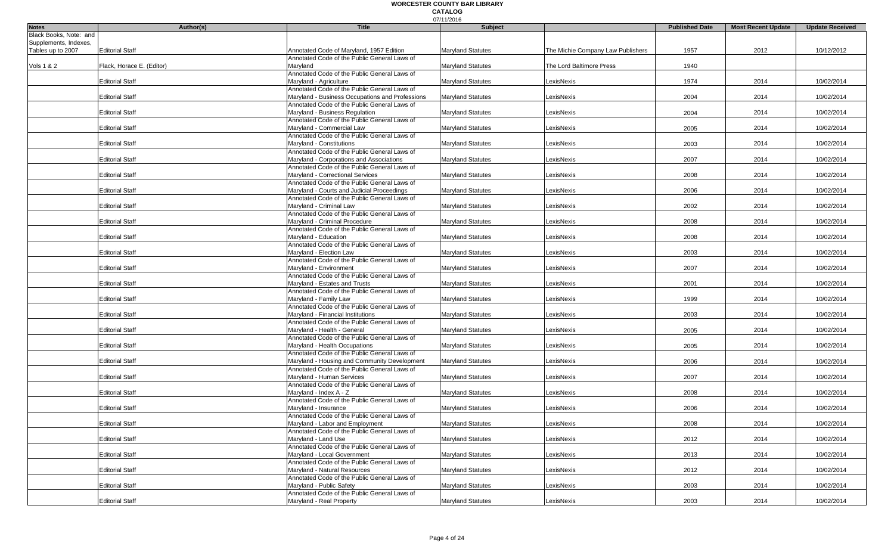|                        |                           |                                                                           | 07/11/2016               |                                   |                       |                           |                        |
|------------------------|---------------------------|---------------------------------------------------------------------------|--------------------------|-----------------------------------|-----------------------|---------------------------|------------------------|
| <b>Notes</b>           | Author(s)                 | <b>Title</b>                                                              | <b>Subject</b>           |                                   | <b>Published Date</b> | <b>Most Recent Update</b> | <b>Update Received</b> |
| Black Books, Note: and |                           |                                                                           |                          |                                   |                       |                           |                        |
| Supplements, Indexes,  |                           |                                                                           |                          |                                   |                       |                           |                        |
| Tables up to 2007      | <b>Editorial Staff</b>    | Annotated Code of Maryland, 1957 Edition                                  | <b>Maryland Statutes</b> | The Michie Company Law Publishers | 1957                  | 2012                      | 10/12/2012             |
|                        |                           | Annotated Code of the Public General Laws of                              |                          |                                   |                       |                           |                        |
| Vols 1 & 2             | Flack, Horace E. (Editor) | Maryland                                                                  | <b>Maryland Statutes</b> | The Lord Baltimore Press          | 1940                  |                           |                        |
|                        |                           | Annotated Code of the Public General Laws of                              |                          |                                   |                       |                           |                        |
|                        | <b>Editorial Staff</b>    | Maryland - Agriculture                                                    | <b>Maryland Statutes</b> | LexisNexis                        | 1974                  | 2014                      | 10/02/2014             |
|                        |                           | Annotated Code of the Public General Laws of                              |                          |                                   |                       |                           |                        |
|                        | <b>Editorial Staff</b>    | Maryland - Business Occupations and Professions                           | <b>Maryland Statutes</b> | LexisNexis                        | 2004                  | 2014                      | 10/02/2014             |
|                        |                           | Annotated Code of the Public General Laws of                              |                          |                                   |                       |                           |                        |
|                        | <b>Editorial Staff</b>    | Maryland - Business Regulation                                            | <b>Maryland Statutes</b> | LexisNexis                        | 2004                  | 2014                      | 10/02/2014             |
|                        | <b>Editorial Staff</b>    | Annotated Code of the Public General Laws of<br>Maryland - Commercial Law | Maryland Statutes        | LexisNexis                        | 2005                  | 2014                      | 10/02/2014             |
|                        |                           | Annotated Code of the Public General Laws of                              |                          |                                   |                       |                           |                        |
|                        | <b>Editorial Staff</b>    | Maryland - Constitutions                                                  | <b>Maryland Statutes</b> | LexisNexis                        | 2003                  | 2014                      | 10/02/2014             |
|                        |                           | Annotated Code of the Public General Laws of                              |                          |                                   |                       |                           |                        |
|                        | <b>Editorial Staff</b>    | Maryland - Corporations and Associations                                  | <b>Maryland Statutes</b> | LexisNexis                        | 2007                  | 2014                      | 10/02/2014             |
|                        |                           | Annotated Code of the Public General Laws of                              |                          |                                   |                       |                           |                        |
|                        | <b>Editorial Staff</b>    | Maryland - Correctional Services                                          | <b>Maryland Statutes</b> | LexisNexis                        | 2008                  | 2014                      | 10/02/2014             |
|                        |                           | Annotated Code of the Public General Laws of                              |                          |                                   |                       |                           |                        |
|                        | <b>Editorial Staff</b>    | Maryland - Courts and Judicial Proceedings                                | <b>Maryland Statutes</b> | LexisNexis                        | 2006                  | 2014                      | 10/02/2014             |
|                        |                           |                                                                           |                          |                                   |                       |                           |                        |
|                        | <b>Editorial Staff</b>    | Annotated Code of the Public General Laws of<br>Maryland - Criminal Law   | <b>Maryland Statutes</b> | LexisNexis                        | 2002                  | 2014                      | 10/02/2014             |
|                        |                           | Annotated Code of the Public General Laws of                              |                          |                                   |                       |                           |                        |
|                        | <b>Editorial Staff</b>    | Maryland - Criminal Procedure                                             | <b>Maryland Statutes</b> | LexisNexis                        | 2008                  | 2014                      | 10/02/2014             |
|                        |                           | Annotated Code of the Public General Laws of                              |                          |                                   |                       |                           |                        |
|                        | <b>Editorial Staff</b>    | Maryland - Education                                                      | <b>Maryland Statutes</b> | LexisNexis                        | 2008                  | 2014                      | 10/02/2014             |
|                        |                           | Annotated Code of the Public General Laws of                              |                          |                                   |                       |                           |                        |
|                        | <b>Editorial Staff</b>    | Maryland - Election Law                                                   | Maryland Statutes        | LexisNexis                        | 2003                  | 2014                      | 10/02/2014             |
|                        |                           | Annotated Code of the Public General Laws of                              |                          |                                   |                       |                           |                        |
|                        | <b>Editorial Staff</b>    | Maryland - Environment                                                    | Maryland Statutes        | LexisNexis                        | 2007                  | 2014                      | 10/02/2014             |
|                        |                           | Annotated Code of the Public General Laws of                              |                          |                                   |                       |                           |                        |
|                        | <b>Editorial Staff</b>    | Maryland - Estates and Trusts                                             | <b>Maryland Statutes</b> | LexisNexis                        | 2001                  | 2014                      | 10/02/2014             |
|                        |                           | Annotated Code of the Public General Laws of                              |                          |                                   |                       |                           |                        |
|                        | <b>Editorial Staff</b>    | Maryland - Family Law                                                     | <b>Maryland Statutes</b> | LexisNexis                        | 1999                  | 2014                      | 10/02/2014             |
|                        |                           | Annotated Code of the Public General Laws of                              |                          |                                   |                       |                           |                        |
|                        | <b>Editorial Staff</b>    | Maryland - Financial Institutions                                         | <b>Maryland Statutes</b> | LexisNexis                        | 2003                  | 2014                      | 10/02/2014             |
|                        |                           | Annotated Code of the Public General Laws of                              |                          |                                   |                       |                           |                        |
|                        | <b>Editorial Staff</b>    | Maryland - Health - General                                               | <b>Maryland Statutes</b> | LexisNexis                        | 2005                  | 2014                      | 10/02/2014             |
|                        |                           | Annotated Code of the Public General Laws of                              |                          |                                   |                       |                           |                        |
|                        | <b>Editorial Staff</b>    | Maryland - Health Occupations                                             | <b>Maryland Statutes</b> | LexisNexis                        | 2005                  | 2014                      | 10/02/2014             |
|                        |                           | Annotated Code of the Public General Laws of                              |                          |                                   |                       |                           |                        |
|                        | <b>Editorial Staff</b>    | Maryland - Housing and Community Development                              | <b>Maryland Statutes</b> | LexisNexis                        | 2006                  | 2014                      | 10/02/2014             |
|                        |                           | Annotated Code of the Public General Laws of                              |                          |                                   |                       |                           |                        |
|                        | <b>Editorial Staff</b>    | Maryland - Human Services                                                 | <b>Maryland Statutes</b> | LexisNexis                        | 2007                  | 2014                      | 10/02/2014             |
|                        |                           | Annotated Code of the Public General Laws of                              |                          |                                   |                       |                           |                        |
|                        | <b>Editorial Staff</b>    | Marvland - Index A - Z                                                    | <b>Maryland Statutes</b> | LexisNexis                        | 2008                  | 2014                      | 10/02/2014             |
|                        |                           | Annotated Code of the Public General Laws of                              |                          |                                   |                       |                           |                        |
|                        | <b>Editorial Staff</b>    | Maryland - Insurance                                                      | <b>Maryland Statutes</b> | LexisNexis                        | 2006                  | 2014                      | 10/02/2014             |
|                        |                           | Annotated Code of the Public General Laws of                              |                          |                                   |                       |                           |                        |
|                        | <b>Editorial Staff</b>    | Maryland - Labor and Employment                                           | <b>Maryland Statutes</b> | LexisNexis                        | 2008                  | 2014                      | 10/02/2014             |
|                        |                           | Annotated Code of the Public General Laws of                              |                          |                                   |                       |                           |                        |
|                        | <b>Editorial Staff</b>    | Marvland - Land Use                                                       | <b>Maryland Statutes</b> | LexisNexis                        | 2012                  | 2014                      | 10/02/2014             |
|                        |                           | Annotated Code of the Public General Laws of                              |                          |                                   |                       |                           |                        |
|                        | <b>Editorial Staff</b>    | Maryland - Local Government                                               | <b>Maryland Statutes</b> | LexisNexis                        | 2013                  | 2014                      | 10/02/2014             |
|                        |                           | Annotated Code of the Public General Laws of                              |                          |                                   |                       |                           |                        |
|                        | <b>Editorial Staff</b>    | Maryland - Natural Resources                                              | <b>Maryland Statutes</b> | LexisNexis                        | 2012                  | 2014                      | 10/02/2014             |
|                        |                           | Annotated Code of the Public General Laws of                              |                          |                                   |                       |                           |                        |
|                        | <b>Editorial Staff</b>    | Maryland - Public Safety                                                  | <b>Maryland Statutes</b> | LexisNexis                        | 2003                  | 2014                      | 10/02/2014             |
|                        |                           | Annotated Code of the Public General Laws of                              |                          |                                   |                       |                           |                        |
|                        | <b>Editorial Staff</b>    | Maryland - Real Property                                                  | <b>Maryland Statutes</b> | LexisNexis                        | 2003                  | 2014                      | 10/02/2014             |
|                        |                           |                                                                           |                          |                                   |                       |                           |                        |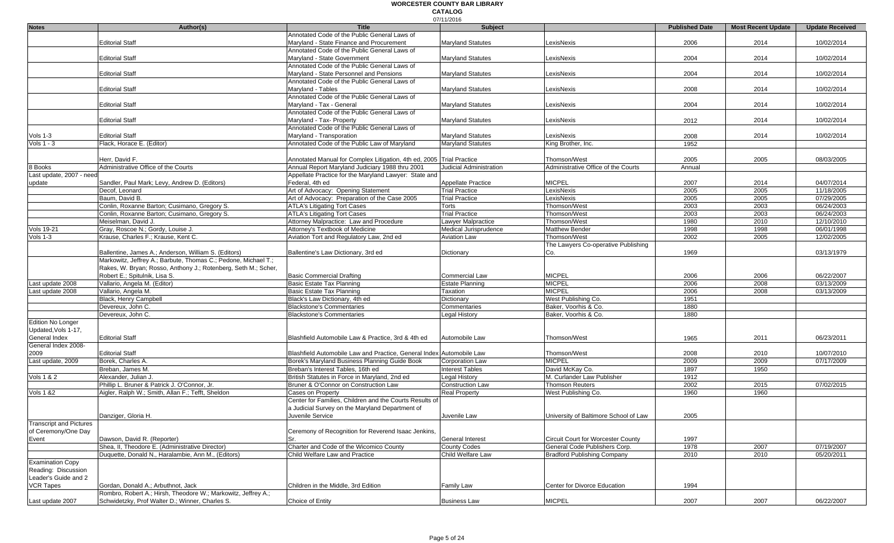|                                |                                                                |                                                                      | 07/11/2016                |                                       |                       |                           |                        |
|--------------------------------|----------------------------------------------------------------|----------------------------------------------------------------------|---------------------------|---------------------------------------|-----------------------|---------------------------|------------------------|
| <b>Notes</b>                   | Author(s)                                                      | <b>Title</b>                                                         | Subject                   |                                       | <b>Published Date</b> | <b>Most Recent Update</b> | <b>Update Received</b> |
|                                |                                                                | Annotated Code of the Public General Laws of                         |                           |                                       |                       |                           |                        |
|                                | <b>Editorial Staff</b>                                         | Maryland - State Finance and Procurement                             | <b>Maryland Statutes</b>  | LexisNexis                            | 2006                  | 2014                      | 10/02/2014             |
|                                |                                                                | Annotated Code of the Public General Laws of                         |                           |                                       |                       |                           |                        |
|                                | <b>Editorial Staff</b>                                         | Maryland - State Government                                          | Maryland Statutes         | LexisNexis                            | 2004                  | 2014                      | 10/02/2014             |
|                                |                                                                | Annotated Code of the Public General Laws of                         |                           |                                       |                       |                           |                        |
|                                | <b>Editorial Staff</b>                                         | Maryland - State Personnel and Pensions                              | <b>Marvland Statutes</b>  | LexisNexis                            | 2004                  | 2014                      | 10/02/2014             |
|                                |                                                                | Annotated Code of the Public General Laws of                         |                           |                                       |                       |                           |                        |
|                                | <b>Editorial Staff</b>                                         | Maryland - Tables                                                    | Maryland Statutes         | LexisNexis                            | 2008                  | 2014                      | 10/02/2014             |
|                                |                                                                | Annotated Code of the Public General Laws of                         |                           |                                       |                       |                           |                        |
|                                | <b>Editorial Staff</b>                                         | Maryland - Tax - General                                             | Maryland Statutes         | LexisNexis                            | 2004                  | 2014                      | 10/02/2014             |
|                                |                                                                | Annotated Code of the Public General Laws of                         |                           |                                       |                       |                           |                        |
|                                | <b>Editorial Staff</b>                                         | Maryland - Tax- Property                                             | <b>Maryland Statutes</b>  | LexisNexis                            | 2012                  | 2014                      | 10/02/2014             |
|                                |                                                                | Annotated Code of the Public General Laws of                         |                           |                                       |                       |                           |                        |
| Vols 1-3                       | <b>Editorial Staff</b>                                         | Maryland - Transporation                                             | Maryland Statutes         | LexisNexis                            | 2008                  | 2014                      | 10/02/2014             |
| Vols 1 - 3                     | Flack, Horace E. (Editor)                                      | Annotated Code of the Public Law of Maryland                         | <b>Maryland Statutes</b>  | King Brother, Inc.                    | 1952                  |                           |                        |
|                                |                                                                |                                                                      |                           |                                       |                       |                           |                        |
|                                | Herr, David F.                                                 | Annotated Manual for Complex Litigation, 4th ed, 2005 Trial Practice |                           | Thomson/West                          | 2005                  | 2005                      | 08/03/2005             |
| 8 Books                        | Administrative Office of the Courts                            | Annual Report Maryland Judiciary 1988 thru 2001                      | Judicial Administration   | Administrative Office of the Courts   | Annual                |                           |                        |
| Last update, 2007 - need       |                                                                | Appellate Practice for the Maryland Lawyer: State and                |                           |                                       |                       |                           |                        |
| update                         | Sandler, Paul Mark; Levy, Andrew D. (Editors)                  | Federal, 4th ed                                                      | <b>Appellate Practice</b> | <b>MICPEL</b>                         | 2007                  | 2014                      | 04/07/2014             |
|                                | Decof, Leonard                                                 | Art of Advocacy: Opening Statement                                   | <b>Trial Practice</b>     | LexisNexis                            | 2005                  | 2005                      | 11/18/2005             |
|                                | Baum, David B.                                                 | Art of Advocacy: Preparation of the Case 2005                        | <b>Trial Practice</b>     | _exisNexis                            | 2005                  | 2005                      | 07/29/2005             |
|                                | Conlin, Roxanne Barton; Cusimano, Gregory S.                   | <b>ATLA's Litigating Tort Cases</b>                                  | Torts                     | Thomson/West                          | 2003                  | 2003                      | 06/24/2003             |
|                                | Conlin, Roxanne Barton; Cusimano, Gregory S.                   | <b>ATLA's Litigating Tort Cases</b>                                  | <b>Trial Practice</b>     | Thomson/West                          | 2003                  | 2003                      | 06/24/2003             |
|                                | Meiselman, David J.                                            | Attorney Malpractice: Law and Procedure                              | Lawyer Malpractice        | Thomson/West                          | 1980                  | 2010                      | 12/10/2010             |
| <b>Vols 19-21</b>              | Gray, Roscoe N.; Gordy, Louise J.                              | Attorney's Textbook of Medicine                                      | Medical Jurisprudence     | <b>Matthew Bender</b>                 | 1998                  | 1998                      | 06/01/1998             |
| Vols 1-3                       | Krause, Charles F.; Krause, Kent C.                            | Aviation Tort and Regulatory Law, 2nd ed                             | <b>Aviation Law</b>       | Thomson/West                          | 2002                  | 2005                      | 12/02/2005             |
|                                |                                                                |                                                                      |                           | The Lawyers Co-operative Publishing   |                       |                           |                        |
|                                | Ballentine, James A.; Anderson, William S. (Editors)           | Ballentine's Law Dictionary, 3rd ed                                  | Dictionary                | Co.                                   | 1969                  |                           | 03/13/1979             |
|                                | Markowitz, Jeffrey A.; Barbute, Thomas C.; Pedone, Michael T.; |                                                                      |                           |                                       |                       |                           |                        |
|                                | Rakes, W. Bryan; Rosso, Anthony J.; Rotenberg, Seth M.; Scher, |                                                                      |                           |                                       |                       |                           |                        |
|                                | Robert E.; Spitulnik, Lisa S.                                  | <b>Basic Commercial Drafting</b>                                     | Commercial Law            | <b>MICPEL</b>                         | 2006                  | 2006                      | 06/22/2007             |
| Last update 2008               | Vallario, Angela M. (Editor)                                   | Basic Estate Tax Planning                                            | Estate Planning           | <b>MICPEL</b>                         | 2006                  | 2008                      | 03/13/2009             |
| Last update 2008               | Vallario, Angela M.                                            | Basic Estate Tax Planning                                            | Taxation                  | <b>MICPEL</b>                         | 2006                  | 2008                      | 03/13/2009             |
|                                | Black, Henry Campbell                                          | Black's Law Dictionary, 4th ed                                       | Dictionary                | West Publishing Co.                   | 1951                  |                           |                        |
|                                | Devereux, John C.                                              | <b>Blackstone's Commentaries</b>                                     | Commentaries              | Baker, Voorhis & Co.                  | 1880                  |                           |                        |
|                                | Devereux, John C.                                              | <b>Blackstone's Commentaries</b>                                     | <b>Legal History</b>      | Baker, Voorhis & Co.                  | 1880                  |                           |                        |
| <b>Edition No Longer</b>       |                                                                |                                                                      |                           |                                       |                       |                           |                        |
| Updated, Vols 1-17,            |                                                                |                                                                      |                           |                                       |                       |                           |                        |
| General Index                  | <b>Editorial Staff</b>                                         | Blashfield Automobile Law & Practice, 3rd & 4th ed                   | Automobile Law            | Thomson/West                          | 1965                  | 2011                      | 06/23/2011             |
| General Index 2008-            |                                                                |                                                                      |                           |                                       |                       |                           |                        |
| 2009                           | <b>Editorial Staff</b>                                         | Blashfield Automobile Law and Practice, General Index Automobile Law |                           | Thomson/West                          | 2008                  | 2010                      | 10/07/2010             |
| Last update, 2009              | Borek, Charles A.                                              | Borek's Maryland Business Planning Guide Book                        | Corporation Law           | <b>MICPEL</b>                         | 2009                  | 2009                      | 07/17/2009             |
|                                | Breban, James M.                                               | Breban's Interest Tables, 16th ed                                    | <b>Interest Tables</b>    | David McKay Co.                       | 1897                  | 1950                      |                        |
| Vols 1 & 2                     | Alexander, Julian J.                                           | British Statutes in Force in Maryland, 2nd ed                        | Legal History             | M. Curlander Law Publisher            | 1912                  |                           |                        |
|                                | Phillip L. Bruner & Patrick J. O'Connor, Jr.                   | Bruner & O'Connor on Construction Law                                | <b>Construction Law</b>   | Thomson Reuters                       | 2002                  | 2015                      | 07/02/2015             |
| <b>Vols 1 &amp;2</b>           | Aigler, Ralph W.; Smith, Allan F.; Tefft, Sheldon              | Cases on Property                                                    | <b>Real Property</b>      | West Publishing Co.                   | 1960                  | 1960                      |                        |
|                                |                                                                | Center for Families, Children and the Courts Results of              |                           |                                       |                       |                           |                        |
|                                |                                                                | a Judicial Survey on the Maryland Department of                      |                           |                                       |                       |                           |                        |
|                                |                                                                |                                                                      |                           |                                       |                       |                           |                        |
| <b>Transcript and Pictures</b> | Danziger, Gloria H.                                            | Juvenile Service                                                     | Juvenile Law              | University of Baltimore School of Law | 2005                  |                           |                        |
|                                |                                                                |                                                                      |                           |                                       |                       |                           |                        |
| of Ceremony/One Day            |                                                                | Ceremony of Recognition for Reverend Isaac Jenkins,                  |                           |                                       |                       |                           |                        |
| Event                          | Dawson, David R. (Reporter)                                    |                                                                      | General Interest          | Circuit Court for Worcester County    | 1997                  |                           |                        |
|                                | Shea, II, Theodore E. (Administrative Director)                | Charter and Code of the Wicomico County                              | <b>County Codes</b>       | General Code Publishers Corp.         | 1978                  | 2007                      | 07/19/2007             |
|                                | Duquette, Donald N., Haralambie, Ann M., (Editors)             | Child Welfare Law and Practice                                       | Child Welfare Law         | <b>Bradford Publishing Company</b>    | 2010                  | 2010                      | 05/20/2011             |
| <b>Examination Copy</b>        |                                                                |                                                                      |                           |                                       |                       |                           |                        |
| Reading: Discussion            |                                                                |                                                                      |                           |                                       |                       |                           |                        |
| Leader's Guide and 2           |                                                                |                                                                      |                           |                                       |                       |                           |                        |
| <b>VCR Tapes</b>               | Gordan, Donald A.; Arbuthnot, Jack                             | Children in the Middle, 3rd Edition                                  | Family Law                | Center for Divorce Education          | 1994                  |                           |                        |
|                                | Rombro, Robert A.; Hirsh, Theodore W.; Markowitz, Jeffrey A.;  |                                                                      |                           |                                       |                       |                           |                        |
| Last update 2007               | Schwidetzky, Prof Walter D.; Winner, Charles S.                | Choice of Entity                                                     | <b>Business Law</b>       | <b>MICPEL</b>                         | 2007                  | 2007                      | 06/22/2007             |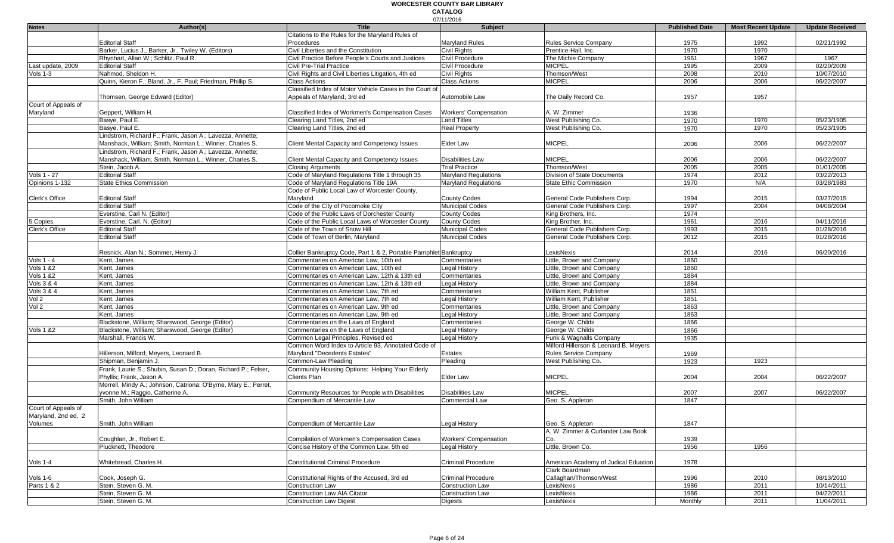|                      |                                                                 |                                                                   | 07/11/2016                   |                                       |                       |                           |                        |
|----------------------|-----------------------------------------------------------------|-------------------------------------------------------------------|------------------------------|---------------------------------------|-----------------------|---------------------------|------------------------|
| <b>Notes</b>         | Author(s)                                                       | <b>Title</b>                                                      | <b>Subject</b>               |                                       | <b>Published Date</b> | <b>Most Recent Update</b> | <b>Update Received</b> |
|                      |                                                                 | Citations to the Rules for the Maryland Rules of                  |                              |                                       |                       |                           |                        |
|                      | <b>Editorial Staff</b>                                          | Procedures                                                        | <b>Marvland Rules</b>        | Rules Service Company                 | 1975                  | 1992                      | 02/21/1992             |
|                      | Barker, Lucius J., Barker, Jr., Twiley W. (Editors)             | Civil Liberties and the Constitution                              | Civil Rights                 | Prentice-Hall, Inc.                   | 1970                  | 1970                      |                        |
|                      | Rhynhart, Allan W.; Schlitz, Paul R.                            | Civil Practice Before People's Courts and Justices                | Civil Procedure              | The Michie Company                    | 1961                  | 1967                      | 1967                   |
| Last update, 2009    | <b>Editorial Staff</b>                                          | <b>Civil Pre-Trial Practice</b>                                   | Civil Procedure              | <b>MICPEL</b>                         | 1995                  | 2009                      | 02/20/2009             |
| Vols $1-3$           | Nahmod, Sheldon H.                                              | Civil Rights and Civil Liberties Litigation, 4th ed               | <b>Civil Rights</b>          | Thomson/West                          | 2008                  | 2010                      | 10/07/2010             |
|                      | Quinn, Kieron F.; Bland, Jr., F. Paul; Friedman, Phillip S.     | <b>Class Actions</b>                                              | <b>Class Actions</b>         | <b>MICPEL</b>                         | 2006                  | 2006                      | 06/22/2007             |
|                      |                                                                 | Classified Index of Motor Vehicle Cases in the Court of           |                              |                                       |                       |                           |                        |
|                      | Thomsen, George Edward (Editor)                                 | Appeals of Maryland, 3rd ed                                       | Automobile Law               | The Daily Record Co.                  | 1957                  | 1957                      |                        |
| Court of Appeals of  |                                                                 |                                                                   |                              |                                       |                       |                           |                        |
| Maryland             | Geppert, William H.                                             | Classified Index of Workmen's Compensation Cases                  | <b>Workers' Compensation</b> | A. W. Zimmer                          | 1936                  |                           |                        |
|                      | Basye, Paul E.                                                  | Clearing Land Titles, 2nd ed                                      | <b>Land Titles</b>           | West Publishing Co.                   | 1970                  | 1970                      | 05/23/1905             |
|                      | Basye, Paul E.                                                  | Clearing Land Titles, 2nd ed                                      | <b>Real Property</b>         | West Publishing Co.                   | 1970                  | 1970                      | 05/23/1905             |
|                      | Lindstrom, Richard F.; Frank, Jason A.; Lavezza, Annette;       |                                                                   |                              |                                       |                       |                           |                        |
|                      | Manshack, William; Smith, Norman L.; Winner, Charles S.         | Client Mental Capacity and Competency Issues                      | Elder Law                    | <b>MICPEL</b>                         | 2006                  | 2006                      | 06/22/2007             |
|                      | Lindstrom, Richard F.; Frank, Jason A.; Lavezza, Annette;       |                                                                   |                              |                                       |                       |                           |                        |
|                      | Manshack, William; Smith, Norman L.; Winner, Charles S.         | Client Mental Capacity and Competency Issues                      | <b>Disabilities Law</b>      | <b>MICPEL</b>                         | 2006                  | 2006                      | 06/22/2007             |
|                      | Stein, Jacob A.                                                 | <b>Closing Arguments</b>                                          | <b>Trial Practice</b>        | Thomson/West                          | 2005                  | 2005                      | 01/01/2005             |
| Vols 1 - 27          | <b>Editorial Staff</b>                                          | Code of Maryland Regulations Title 1 through 35                   | <b>Maryland Regulations</b>  | Division of State Documents           | 1974                  | 2012                      | 03/22/2013             |
| Opinions 1-132       | <b>State Ethics Commission</b>                                  | Code of Maryland Regulations Title 19A                            | <b>Maryland Regulations</b>  | <b>State Ethic Commission</b>         | 1970                  | N/A                       | 03/28/1983             |
|                      |                                                                 | Code of Public Local Law of Worcester County,                     |                              |                                       |                       |                           |                        |
| Clerk's Office       | <b>Editorial Staff</b>                                          | Maryland                                                          | <b>County Codes</b>          | General Code Publishers Corp.         | 1994                  | 2015                      | 03/27/2015             |
|                      | <b>Editorial Staff</b>                                          | Code of the City of Pocomoke City                                 | <b>Municipal Codes</b>       | General Code Publishers Corp.         | 1997                  | 2004                      | 04/08/2004             |
|                      | Everstine, Carl N. (Editor)                                     | Code of the Public Laws of Dorchester County                      | <b>County Codes</b>          | King Brothers, Inc.                   | 1974                  |                           |                        |
| 5 Copies             | Everstine, Carl. N. (Editor)                                    | Code of the Public Local Laws of Worcester County                 | <b>County Codes</b>          | King Brother, Inc.                    | 1961                  | 2016                      | 04/11/2016             |
| Clerk's Office       | <b>Editorial Staff</b>                                          | Code of the Town of Snow Hill                                     | <b>Municipal Codes</b>       | General Code Publishers Corp.         | 1993                  | 2015                      | 01/28/2016             |
|                      | <b>Editorial Staff</b>                                          | Code of Town of Berlin, Maryland                                  | <b>Municipal Codes</b>       | General Code Publishers Corp.         | 2012                  | 2015                      | 01/28/2016             |
|                      |                                                                 |                                                                   |                              |                                       |                       |                           |                        |
|                      | Resnick, Alan N.; Sommer, Henry J.                              | Collier Bankruptcy Code, Part 1 & 2, Portable Pamphlet Bankruptcy |                              | LexisNexis                            | 2014                  | 2016                      | 06/20/2016             |
| Vols $1 - 4$         | Kent, James                                                     | Commentaries on American Law, 10th ed                             | Commentaries                 | Little, Brown and Company             | 1860                  |                           |                        |
| <b>Vols 1 &amp;2</b> | Kent. James                                                     | Commentaries on American Law, 10th ed                             | Legal History                | Little, Brown and Company             | 1860                  |                           |                        |
| <b>Vols 1 &amp;2</b> | Kent, James                                                     | Commentaries on American Law, 12th & 13th ed                      | Commentaries                 | Little, Brown and Company             | 1884                  |                           |                        |
| Vols 3 & 4           | Kent, James                                                     | Commentaries on American Law, 12th & 13th ed                      | Legal History                | Little, Brown and Company             | 1884                  |                           |                        |
| Vols 3 & 4           | Kent, James                                                     | Commentaries on American Law, 7th ed                              | Commentaries                 | William Kent, Publisher               | 1851                  |                           |                        |
| Vol 2                | Kent, James                                                     | Commentaries on American Law, 7th ed                              | <b>Legal History</b>         | William Kent, Publisher               | 1851                  |                           |                        |
| Vol 2                | Kent, James                                                     | Commentaries on American Law, 9th ed                              | Commentaries                 | Little, Brown and Company             | 1863                  |                           |                        |
|                      | Kent, James                                                     | Commentaries on American Law, 9th ed                              | <b>Legal History</b>         | Little, Brown and Company             | 1863                  |                           |                        |
|                      | Blackstone, William; Sharswood, George (Editor)                 | Commentaries on the Laws of England                               | Commentaries                 | George W. Childs                      | 1866                  |                           |                        |
| <b>Vols 1 &amp;2</b> | Blackstone, William; Sharswood, George (Editor)                 | Commentaries on the Laws of England                               | Legal History                | George W. Childs                      | 1866                  |                           |                        |
|                      | Marshall, Francis W.                                            | Common Legal Principles, Revised ed                               | Legal History                | Funk & Wagnalls Company               | 1935                  |                           |                        |
|                      |                                                                 | Common Word Index to Article 93, Annotated Code of                |                              | Milford Hillerson & Leonard B. Meyers |                       |                           |                        |
|                      | Hillerson, Milford; Meyers, Leonard B.                          | Maryland "Decedents Estates"                                      | Estates                      | Rules Service Company                 | 1969                  |                           |                        |
|                      | Shipman, Benjamin J.                                            | Common-Law Pleading                                               | Pleading                     | West Publishing Co.                   | 1923                  | 1923                      |                        |
|                      | Frank, Laurie S.; Shubin, Susan D.; Doran, Richard P.; Felser,  | Community Housing Options: Helping Your Elderly                   |                              |                                       |                       |                           |                        |
|                      | Phyllis; Frank, Jason A.                                        | Clients Plan                                                      | Elder Law                    | <b>MICPEL</b>                         | 2004                  | 2004                      | 06/22/2007             |
|                      | Morrell, Mindy A.; Johnson, Catriona; O'Byrne, Mary E.; Perret, |                                                                   |                              |                                       |                       |                           |                        |
|                      | yvonne M.; Raggio, Catherine A.                                 | Community Resources for People with Disabilities                  | <b>Disabilities Law</b>      | <b>MICPEL</b>                         | 2007                  | 2007                      | 06/22/2007             |
|                      | Smith, John William                                             | Compendium of Mercantile Law                                      | Commercial Law               | Geo. S. Appleton                      | 1847                  |                           |                        |
| Court of Appeals of  |                                                                 |                                                                   |                              |                                       |                       |                           |                        |
| Maryland, 2nd ed, 2  |                                                                 |                                                                   |                              |                                       |                       |                           |                        |
| Volumes              | Smith, John William                                             | Compendium of Mercantile Law                                      | <b>Legal History</b>         | Geo. S. Appleton                      | 1847                  |                           |                        |
|                      |                                                                 |                                                                   |                              | A. W. Zimmer & Curlander Law Book     |                       |                           |                        |
|                      | Coughlan, Jr., Robert E.                                        | Compilation of Workmen's Compensation Cases                       | Workers' Compensation        | Co.                                   | 1939                  |                           |                        |
|                      | Plucknett, Theodore                                             | Concise History of the Common Law, 5th ed                         | Legal History                | Little, Brown Co.                     | 1956                  | 1956                      |                        |
|                      |                                                                 |                                                                   |                              |                                       |                       |                           |                        |
| Vols 1-4             | Whitebread, Charles H.                                          | <b>Constitutional Criminal Procedure</b>                          | <b>Criminal Procedure</b>    | American Academy of Judical Eduation  | 1978                  |                           |                        |
|                      |                                                                 |                                                                   |                              | Clark Boardman                        |                       |                           |                        |
| Vols 1-6             | Cook, Joseph G.                                                 | Constitutional Rights of the Accused, 3rd ed                      | <b>Criminal Procedure</b>    | Callaghan/Thomson/West                | 1996                  | 2010                      | 08/13/2010             |
| Parts 1 & 2          | Stein, Steven G. M.                                             | Construction Law                                                  | Construction Law             | LexisNexis                            | 1986                  | 2011                      | 10/14/2011             |
|                      | Stein, Steven G. M.                                             | <b>Construction Law AIA Citator</b>                               | Construction Law             | LexisNexis                            | 1986                  | 2011                      | 04/22/2011             |
|                      | Stein, Steven G. M.                                             | <b>Construction Law Digest</b>                                    |                              | LexisNexis                            | Monthly               | 2011                      | 11/04/2011             |
|                      |                                                                 |                                                                   | Digests                      |                                       |                       |                           |                        |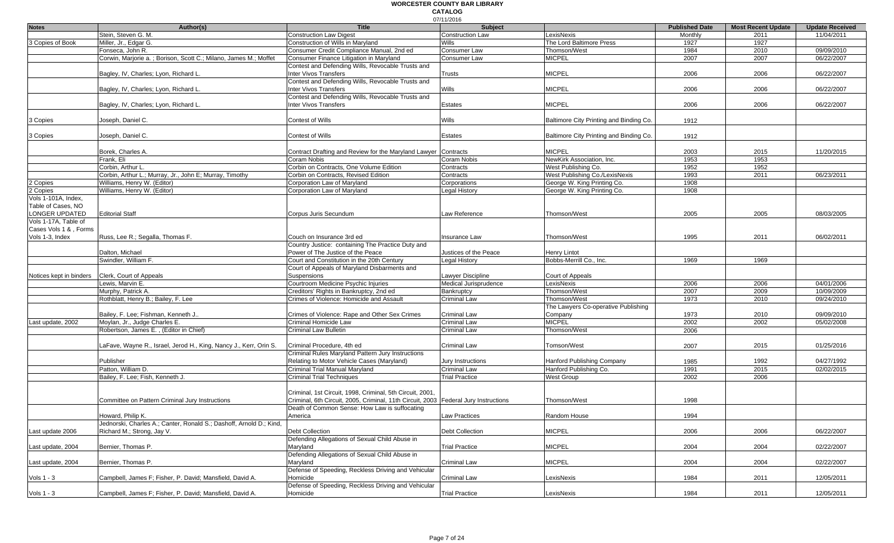#### 07/11/2016 **WORCESTER COUNTY BAR LIBRARY CATALOG**

| <b>Notes</b>            | Author(s)                                                           | <b>Title</b>                                                                        | 017 1 1720 1 U<br><b>Subject</b> |                                         | <b>Published Date</b> | <b>Most Recent Update</b> | <b>Update Received</b> |
|-------------------------|---------------------------------------------------------------------|-------------------------------------------------------------------------------------|----------------------------------|-----------------------------------------|-----------------------|---------------------------|------------------------|
|                         | Stein, Steven G. M.                                                 | <b>Construction Law Digest</b>                                                      | <b>Construction Law</b>          | _exisNexis                              | Monthly               | 2011                      | 11/04/2011             |
| 3 Copies of Book        | Miller, Jr., Edgar G.                                               | Construction of Wills in Maryland                                                   | Wills                            | The Lord Baltimore Press                |                       | 1927                      |                        |
|                         | Fonseca. John R.                                                    | Consumer Credit Compliance Manual, 2nd ed                                           | Consumer Law                     |                                         | 1927                  |                           | 09/09/2010             |
|                         |                                                                     |                                                                                     |                                  | Thomson/West                            | 1984                  | 2010                      |                        |
|                         | Corwin, Marjorie a.; Borison, Scott C.; Milano, James M.; Moffet    | Consumer Finance Litigation in Maryland                                             | Consumer Law                     | <b>MICPEL</b>                           | 2007                  | 2007                      | 06/22/2007             |
|                         |                                                                     | Contest and Defending Wills, Revocable Trusts and                                   |                                  |                                         |                       |                           |                        |
|                         | Bagley, IV, Charles; Lyon, Richard L.                               | nter Vivos Transfers                                                                | Trusts                           | <b>MICPEL</b>                           | 2006                  | 2006                      | 06/22/2007             |
|                         |                                                                     | Contest and Defending Wills, Revocable Trusts and                                   |                                  |                                         |                       |                           |                        |
|                         | Bagley, IV, Charles; Lyon, Richard L                                | Inter Vivos Transfers                                                               | Wills                            | <b>MICPEL</b>                           | 2006                  | 2006                      | 06/22/2007             |
|                         |                                                                     | Contest and Defending Wills, Revocable Trusts and                                   |                                  |                                         |                       |                           |                        |
|                         | Bagley, IV, Charles; Lyon, Richard L.                               | <b>Inter Vivos Transfers</b>                                                        | Estates                          | <b>MICPEL</b>                           | 2006                  | 2006                      | 06/22/2007             |
|                         |                                                                     |                                                                                     |                                  |                                         |                       |                           |                        |
| 3 Copies                | Joseph, Daniel C.                                                   | <b>Contest of Wills</b>                                                             | Wills                            | Baltimore City Printing and Binding Co. | 1912                  |                           |                        |
|                         |                                                                     |                                                                                     |                                  |                                         |                       |                           |                        |
| 3 Copies                | Joseph, Daniel C.                                                   | <b>Contest of Wills</b>                                                             | Estates                          | Baltimore City Printing and Binding Co. | 1912                  |                           |                        |
|                         |                                                                     |                                                                                     |                                  |                                         |                       |                           |                        |
|                         | Borek, Charles A.                                                   | Contract Drafting and Review for the Maryland Lawyer                                | Contracts                        | <b>MICPEL</b>                           | 2003                  | 2015                      | 11/20/2015             |
|                         | Frank, Eli                                                          | Coram Nobis                                                                         | Coram Nobis                      | NewKirk Association, Inc.               | 1953                  | 1953                      |                        |
|                         | Corbin, Arthur L.                                                   | Corbin on Contracts, One Volume Edition                                             | Contracts                        | West Publishing Co.                     | 1952                  | 1952                      |                        |
|                         | Corbin, Arthur L.; Murray, Jr., John E; Murray, Timothy             | Corbin on Contracts, Revised Edition                                                | Contracts                        | West Publishing Co./LexisNexis          | 1993                  | 2011                      | 06/23/2011             |
| 2 Copies                | Williams, Henry W. (Editor)                                         | Corporation Law of Maryland                                                         | Corporations                     | George W. King Printing Co.             | 1908                  |                           |                        |
| 2 Copies                | Williams, Henry W. (Editor)                                         | Corporation Law of Maryland                                                         | Legal History                    | George W. King Printing Co.             | 1908                  |                           |                        |
| Vols 1-101A, Index,     |                                                                     |                                                                                     |                                  |                                         |                       |                           |                        |
| Table of Cases, NO      |                                                                     |                                                                                     |                                  |                                         |                       |                           |                        |
| LONGER UPDATED          | <b>Editorial Staff</b>                                              | Corpus Juris Secundum                                                               | Law Reference                    | Thomson/West                            | 2005                  | 2005                      | 08/03/2005             |
| Vols 1-17A, Table of    |                                                                     |                                                                                     |                                  |                                         |                       |                           |                        |
| Cases Vols 1 & , Forms  |                                                                     |                                                                                     |                                  |                                         |                       |                           |                        |
| Vols 1-3, Index         | Russ, Lee R.; Segalla, Thomas F.                                    | Couch on Insurance 3rd ed                                                           | Insurance Law                    | Thomson/West                            | 1995                  | 2011                      | 06/02/2011             |
|                         |                                                                     | Country Justice: containing The Practice Duty and                                   |                                  |                                         |                       |                           |                        |
|                         | Dalton, Michael                                                     | Power of The Justice of the Peace                                                   | Justices of the Peace            | <b>Henry Lintot</b>                     |                       |                           |                        |
|                         | Swindler, William F.                                                | Court and Constitution in the 20th Century                                          | Legal History                    | Bobbs-Merrill Co., Inc.                 |                       | 1969                      |                        |
|                         |                                                                     |                                                                                     |                                  |                                         | 1969                  |                           |                        |
|                         |                                                                     | Court of Appeals of Maryland Disbarments and                                        |                                  |                                         |                       |                           |                        |
| Notices kept in binders | Clerk, Court of Appeals                                             | Suspensions                                                                         | Lawyer Discipline                | Court of Appeals                        |                       |                           |                        |
|                         | Lewis, Marvin E.                                                    | Courtroom Medicine Psychic Injuries                                                 | Medical Jurisprudence            | LexisNexis                              | 2006                  | 2006                      | 04/01/2006             |
|                         | Murphy, Patrick A.                                                  | Creditors' Rights in Bankruptcy, 2nd ed                                             | Bankruptcy                       | Thomson/West                            | 2007                  | 2009                      | 10/09/2009             |
|                         | Rothblatt, Henry B.; Bailey, F. Lee                                 | Crimes of Violence: Homicide and Assault                                            | Criminal Law                     | Thomson/West                            | 1973                  | 2010                      | 09/24/2010             |
|                         |                                                                     |                                                                                     |                                  | The Lawyers Co-operative Publishing     |                       |                           |                        |
|                         | Bailey, F. Lee; Fishman, Kenneth J                                  | Crimes of Violence: Rape and Other Sex Crimes                                       | Criminal Law                     | Company                                 | 1973                  | 2010                      | 09/09/2010             |
| Last update, 2002       | Moylan, Jr., Judge Charles E.                                       | Criminal Homicide Law                                                               | <b>Criminal Law</b>              | <b>MICPEL</b>                           | 2002                  | 2002                      | 05/02/2008             |
|                         | Robertson, James E., (Editor in Chief)                              | <b>Criminal Law Bulletin</b>                                                        | Criminal Law                     | Thomson/West                            | 2006                  |                           |                        |
|                         |                                                                     |                                                                                     |                                  |                                         |                       |                           |                        |
|                         | LaFave, Wayne R., Israel, Jerod H., King, Nancy J., Kerr, Orin S.   | Criminal Procedure, 4th ed                                                          | Criminal Law                     | Tomson/West                             | 2007                  | 2015                      | 01/25/2016             |
|                         |                                                                     | Criminal Rules Maryland Pattern Jury Instructions                                   |                                  |                                         |                       |                           |                        |
|                         | Publisher                                                           | Relating to Motor Vehicle Cases (Maryland)                                          | Jury Instructions                | <b>Hanford Publishing Company</b>       | 1985                  | 1992                      | 04/27/1992             |
|                         | Patton, William D.                                                  | Criminal Trial Manual Maryland                                                      | Criminal Law                     | Hanford Publishing Co.                  | 1991                  | 2015                      | 02/02/2015             |
|                         | Bailey, F. Lee; Fish, Kenneth J.                                    | <b>Criminal Trial Techniques</b>                                                    | <b>Trial Practice</b>            | <b>West Group</b>                       | 2002                  | 2006                      |                        |
|                         |                                                                     |                                                                                     |                                  |                                         |                       |                           |                        |
|                         |                                                                     | Criminal, 1st Circuit, 1998, Criminal, 5th Circuit, 2001,                           |                                  |                                         |                       |                           |                        |
|                         | Committee on Pattern Criminal Jury Instructions                     | Criminal, 6th Circuit, 2005, Criminal, 11th Circuit, 2003 Federal Jury Instructions |                                  | Thomson/West                            | 1998                  |                           |                        |
|                         |                                                                     | Death of Common Sense: How Law is suffocating                                       |                                  |                                         |                       |                           |                        |
|                         | Howard, Philip K.                                                   | America                                                                             | <b>Law Practices</b>             | Random House                            | 1994                  |                           |                        |
|                         | Jednorski, Charles A.; Canter, Ronald S.; Dashoff, Arnold D.; Kind, |                                                                                     |                                  |                                         |                       |                           |                        |
| Last update 2006        | Richard M.; Strong, Jay V.                                          | <b>Debt Collection</b>                                                              | <b>Debt Collection</b>           | <b>MICPEL</b>                           | 2006                  | 2006                      | 06/22/2007             |
|                         |                                                                     | Defending Allegations of Sexual Child Abuse in                                      |                                  |                                         |                       |                           |                        |
| Last update, 2004       | Bernier, Thomas P.                                                  | Maryland                                                                            | <b>Trial Practice</b>            | <b>MICPEL</b>                           | 2004                  | 2004                      | 02/22/2007             |
|                         |                                                                     | Defending Allegations of Sexual Child Abuse in                                      |                                  |                                         |                       |                           |                        |
| Last update, 2004       | Bernier, Thomas P.                                                  | Maryland                                                                            | Criminal Law                     | <b>MICPEL</b>                           | 2004                  | 2004                      | 02/22/2007             |
|                         |                                                                     | Defense of Speeding, Reckless Driving and Vehicular                                 |                                  |                                         |                       |                           |                        |
| Vols 1 - 3              | Campbell, James F: Fisher, P. David: Mansfield, David A.            | Homicide                                                                            | Criminal Law                     | LexisNexis                              | 1984                  | 2011                      | 12/05/2011             |
|                         |                                                                     | Defense of Speeding, Reckless Driving and Vehicular                                 |                                  |                                         |                       |                           |                        |
| Vols $1 - 3$            | Campbell, James F; Fisher, P. David; Mansfield, David A.            | Homicide                                                                            | <b>Trial Practice</b>            | LexisNexis                              | 1984                  | 2011                      | 12/05/2011             |
|                         |                                                                     |                                                                                     |                                  |                                         |                       |                           |                        |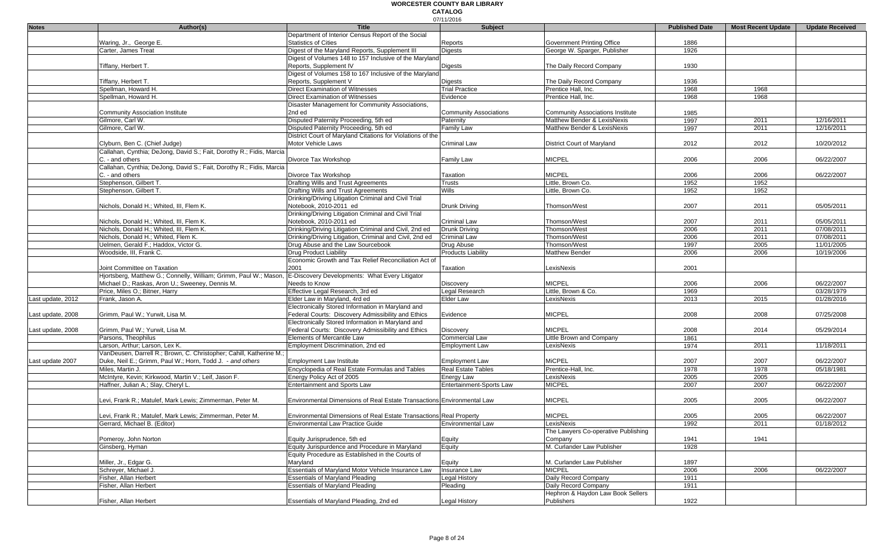|                   |                                                                                                       |                                                                                | 07/11/2016                                  |                                                                        |                       |                           |                          |
|-------------------|-------------------------------------------------------------------------------------------------------|--------------------------------------------------------------------------------|---------------------------------------------|------------------------------------------------------------------------|-----------------------|---------------------------|--------------------------|
| <b>Notes</b>      | Author(s)                                                                                             | <b>Title</b>                                                                   | Subject                                     |                                                                        | <b>Published Date</b> | <b>Most Recent Update</b> | <b>Update Received</b>   |
|                   |                                                                                                       | Department of Interior Census Report of the Social                             |                                             |                                                                        |                       |                           |                          |
|                   | Waring, Jr., George E.                                                                                | <b>Statistics of Cities</b>                                                    | Reports                                     | Government Printing Office                                             | 1886                  |                           |                          |
|                   | Carter, James Treat                                                                                   | Digest of the Maryland Reports, Supplement III                                 | <b>Digests</b>                              | George W. Sparger, Publisher                                           | 1926                  |                           |                          |
|                   |                                                                                                       | Digest of Volumes 148 to 157 Inclusive of the Maryland                         |                                             |                                                                        |                       |                           |                          |
|                   | Tiffany, Herbert T.                                                                                   | Reports, Supplement IV                                                         | <b>Digests</b>                              | The Daily Record Company                                               | 1930                  |                           |                          |
|                   |                                                                                                       | Digest of Volumes 158 to 167 Inclusive of the Maryland                         |                                             |                                                                        |                       |                           |                          |
|                   | Tiffany, Herbert T.                                                                                   | Reports, Supplement V                                                          | <b>Digests</b>                              | The Daily Record Company                                               | 1936                  |                           |                          |
|                   | Spellman, Howard H.                                                                                   | <b>Direct Examination of Witnesses</b>                                         | <b>Trial Practice</b>                       | Prentice Hall, Inc.                                                    | 1968                  | 1968                      |                          |
|                   | Spellman, Howard H.                                                                                   | <b>Direct Examination of Witnesses</b>                                         | Evidence                                    | Prentice Hall, Inc.                                                    | 1968                  | 1968                      |                          |
|                   |                                                                                                       | Disaster Management for Community Associations,                                |                                             |                                                                        |                       |                           |                          |
|                   | <b>Community Association Institute</b><br>Gilmore, Carl W.                                            | 2nd ed<br>Disputed Paternity Proceeding, 5th ed                                | <b>Community Associations</b>               | <b>Community Associations Institute</b><br>Matthew Bender & LexisNexis | 1985<br>1997          | 2011                      | 12/16/2011               |
|                   | Gilmore, Carl W.                                                                                      |                                                                                | Paternity                                   | Matthew Bender & LexisNexis                                            |                       | 2011                      | 12/16/2011               |
|                   |                                                                                                       | Disputed Paternity Proceeding, 5th ed                                          | Family Law                                  |                                                                        | 1997                  |                           |                          |
|                   |                                                                                                       | District Court of Maryland Citations for Violations of the                     |                                             |                                                                        |                       |                           |                          |
|                   | Clyburn, Ben C. (Chief Judge)<br>Callahan, Cynthia; DeJong, David S.; Fait, Dorothy R.; Fidis, Marcia | Motor Vehicle Laws                                                             | <b>Criminal Law</b>                         | District Court of Maryland                                             | 2012                  | 2012                      | 10/20/2012               |
|                   | C. - and others                                                                                       | Divorce Tax Workshop                                                           |                                             | <b>MICPEL</b>                                                          | 2006                  | 2006                      |                          |
|                   | Callahan, Cynthia; DeJong, David S.; Fait, Dorothy R.; Fidis, Marcia                                  |                                                                                | Family Law                                  |                                                                        |                       |                           | 06/22/2007               |
|                   | C. - and others                                                                                       | Divorce Tax Workshop                                                           | Taxation                                    | <b>MICPEL</b>                                                          | 2006                  | 2006                      | 06/22/2007               |
|                   | Stephenson, Gilbert T.                                                                                | Drafting Wills and Trust Agreements                                            | Trusts                                      | Little, Brown Co.                                                      | 1952                  | 1952                      |                          |
|                   | Stephenson, Gilbert T.                                                                                | Drafting Wills and Trust Agreements                                            | <b>Wills</b>                                | Little, Brown Co.                                                      | 1952                  | 1952                      |                          |
|                   |                                                                                                       |                                                                                |                                             |                                                                        |                       |                           |                          |
|                   |                                                                                                       | Drinking/Driving Litigation Criminal and Civil Trial                           |                                             | Thomson/West                                                           |                       |                           |                          |
|                   | Nichols, Donald H.; Whited, III, Flem K.                                                              | Notebook, 2010-2011 ed<br>Drinking/Driving Litigation Criminal and Civil Trial | Drunk Driving                               |                                                                        | 2007                  | 2011                      | 05/05/2011               |
|                   |                                                                                                       | Notebook. 2010-2011 ed                                                         |                                             |                                                                        |                       |                           |                          |
|                   | Nichols, Donald H.; Whited, III, Flem K.<br>Nichols, Donald H.; Whited, III, Flem K.                  | Drinking/Driving Litigation Criminal and Civil, 2nd ed                         | <b>Criminal Law</b><br><b>Drunk Driving</b> | Thomson/West<br>Thomson/West                                           | 2007<br>2006          | 2011<br>2011              | 05/05/2011<br>07/08/2011 |
|                   | Nichols, Donald H.; Whited, Flem K.                                                                   | Drinking/Driving Litigation, Criminal and Civil, 2nd ed                        | <b>Criminal Law</b>                         | Thomson/West                                                           |                       | 2011                      | 07/08/2011               |
|                   | Uelmen, Gerald F.; Haddox, Victor G.                                                                  | Drug Abuse and the Law Sourcebook                                              | Drug Abuse                                  | Thomson/West                                                           | 2006<br>1997          | 2005                      | 11/01/2005               |
|                   | Woodside, III, Frank C.                                                                               | Drug Product Liability                                                         | <b>Products Liability</b>                   | <b>Matthew Bender</b>                                                  | 2006                  | 2006                      | 10/19/2006               |
|                   |                                                                                                       | Economic Growth and Tax Relief Reconciliation Act of                           |                                             |                                                                        |                       |                           |                          |
|                   | Joint Committee on Taxation                                                                           | 2001                                                                           | Taxation                                    | LexisNexis                                                             | 2001                  |                           |                          |
|                   | Hjortsberg, Matthew G.; Connelly, William; Grimm, Paul W.; Mason,                                     | E-Discovery Developments: What Every Litigator                                 |                                             |                                                                        |                       |                           |                          |
|                   | Michael D.; Raskas, Aron U.; Sweeney, Dennis M.                                                       | Needs to Know                                                                  | Discovery                                   | <b>MICPEL</b>                                                          | 2006                  | 2006                      | 06/22/2007               |
|                   | Price, Miles O.; Bitner, Harry                                                                        | Effective Legal Research, 3rd ed                                               | Legal Research                              | Little, Brown & Co.                                                    | 1969                  |                           | 03/28/1979               |
| Last update, 2012 | Frank, Jason A.                                                                                       | Elder Law in Maryland, 4rd ed                                                  | <b>Elder Law</b>                            | LexisNexis                                                             | 2013                  | 2015                      | 01/28/2016               |
|                   |                                                                                                       | Electronically Stored Information in Maryland and                              |                                             |                                                                        |                       |                           |                          |
| Last update, 2008 | Grimm, Paul W.; Yurwit, Lisa M.                                                                       | Federal Courts: Discovery Admissibility and Ethics                             | Evidence                                    | <b>MICPEL</b>                                                          | 2008                  | 2008                      | 07/25/2008               |
|                   |                                                                                                       | Electronically Stored Information in Maryland and                              |                                             |                                                                        |                       |                           |                          |
| Last update, 2008 | Grimm, Paul W.; Yurwit, Lisa M.                                                                       | Federal Courts: Discovery Admissibility and Ethics                             | <b>Discovery</b>                            | <b>MICPEL</b>                                                          | 2008                  | 2014                      | 05/29/2014               |
|                   | Parsons, Theophilus                                                                                   | Elements of Mercantile Law                                                     | Commercial Law                              | Little Brown and Company                                               | 1861                  |                           |                          |
|                   | Larson, Arthur; Larson, Lex K.                                                                        | Employment Discrimination, 2nd ed                                              | <b>Employment Law</b>                       | LexisNexis                                                             | 1974                  | 2011                      | 11/18/2011               |
|                   | VanDeusen, Darrell R.; Brown, C. Christopher; Cahill, Katherine M.;                                   |                                                                                |                                             |                                                                        |                       |                           |                          |
| Last update 2007  | Duke, Neil E.; Grimm, Paul W.; Horn, Todd J. - and others                                             | <b>Employment Law Institute</b>                                                | <b>Employment Law</b>                       | <b>MiCPEL</b>                                                          | 2007                  | 2007                      | 06/22/2007               |
|                   | Miles, Martin J.                                                                                      | Encyclopedia of Real Estate Formulas and Tables                                | <b>Real Estate Tables</b>                   | Prentice-Hall, Inc.                                                    | 1978                  | 1978                      | 05/18/1981               |
|                   | McIntyre, Kevin; Kirkwood, Martin V.; Leif, Jason F.                                                  | Energy Policy Act of 2005                                                      | <b>Energy Law</b>                           | LexisNexis                                                             | 2005                  | 2005                      |                          |
|                   | Haffner, Julian A.; Slay, Cheryl L.                                                                   | Entertainment and Sports Law                                                   | Entertainment-Sports Law                    | <b>MICPEL</b>                                                          | 2007                  | 2007                      | 06/22/2007               |
|                   |                                                                                                       |                                                                                |                                             |                                                                        |                       |                           |                          |
|                   | Levi, Frank R.; Matulef, Mark Lewis; Zimmerman, Peter M                                               | Environmental Dimensions of Real Estate Transactions Environmental Law         |                                             | <b>MICPEL</b>                                                          | 2005                  | 2005                      | 06/22/2007               |
|                   |                                                                                                       |                                                                                |                                             |                                                                        |                       |                           |                          |
|                   | Levi, Frank R.; Matulef, Mark Lewis; Zimmerman, Peter M.                                              | Environmental Dimensions of Real Estate Transactions Real Property             |                                             | <b>MICPEL</b>                                                          | 2005                  | 2005                      | 06/22/2007               |
|                   | Gerrard, Michael B. (Editor)                                                                          | Environmental Law Practice Guide                                               | <b>Environmental Law</b>                    | LexisNexis                                                             | 1992                  | 2011                      | 01/18/2012               |
|                   |                                                                                                       |                                                                                |                                             | The Lawyers Co-operative Publishing                                    |                       |                           |                          |
|                   | Pomeroy, John Norton                                                                                  | Equity Jurisprudence, 5th ed                                                   | Equity                                      | Company                                                                | 1941                  | 1941                      |                          |
|                   | Ginsberg, Hyman                                                                                       | Equity Jurispurdence and Procedure in Maryland                                 | Equity                                      | M. Curlander Law Publisher                                             | 1928                  |                           |                          |
|                   |                                                                                                       | Equity Procedure as Established in the Courts of                               |                                             |                                                                        |                       |                           |                          |
|                   | Miller, Jr., Edgar G.                                                                                 | Maryland                                                                       | Equity                                      | M. Curlander Law Publisher                                             | 1897                  |                           |                          |
|                   | Schreyer, Michael J.                                                                                  | Essentials of Maryland Motor Vehicle Insurance Law                             | Insurance Law                               | <b>MICPEL</b>                                                          | 2006                  | 2006                      | 06/22/2007               |
|                   | Fisher, Allan Herbert                                                                                 | <b>Essentials of Maryland Pleading</b>                                         | Legal History                               | Daily Record Company                                                   | 1911                  |                           |                          |
|                   | Fisher, Allan Herbert                                                                                 | <b>Essentials of Maryland Pleading</b>                                         | Pleading                                    | Daily Record Company                                                   | 1911                  |                           |                          |
|                   |                                                                                                       |                                                                                |                                             | Hephron & Haydon Law Book Sellers                                      |                       |                           |                          |
|                   | Fisher, Allan Herbert                                                                                 | Essentials of Maryland Pleading, 2nd ed                                        | <b>Legal History</b>                        | Publishers                                                             | 1922                  |                           |                          |
|                   |                                                                                                       |                                                                                |                                             |                                                                        |                       |                           |                          |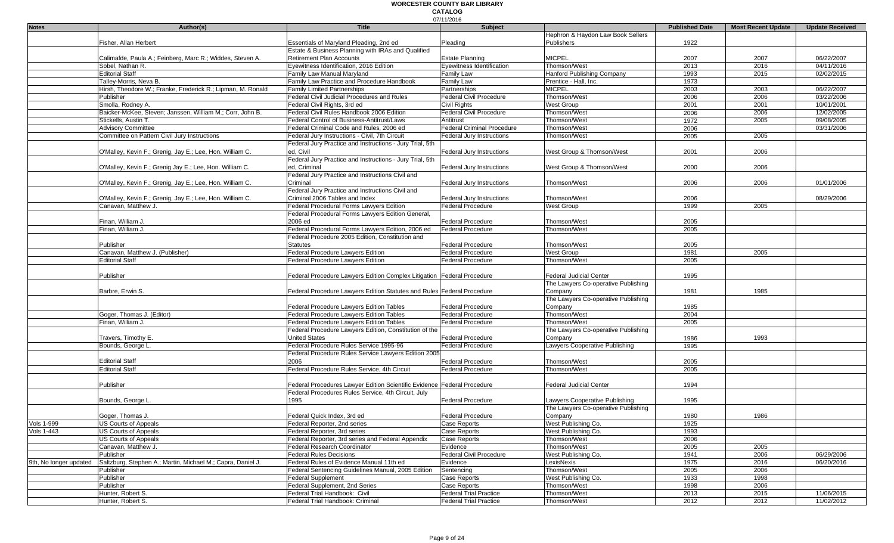|                        |                                                             |                                                                         | 07/11/2016                        |                                     |                       |                           |                        |
|------------------------|-------------------------------------------------------------|-------------------------------------------------------------------------|-----------------------------------|-------------------------------------|-----------------------|---------------------------|------------------------|
| <b>Notes</b>           | Author(s)                                                   | <b>Title</b>                                                            | <b>Subject</b>                    |                                     | <b>Published Date</b> | <b>Most Recent Update</b> | <b>Update Received</b> |
|                        |                                                             |                                                                         |                                   | Hephron & Haydon Law Book Sellers   |                       |                           |                        |
|                        | Fisher, Allan Herbert                                       | Essentials of Maryland Pleading, 2nd ed                                 | Pleading                          | <b>Publishers</b>                   | 1922                  |                           |                        |
|                        |                                                             | Estate & Business Planning with IRAs and Qualified                      |                                   |                                     |                       |                           |                        |
|                        | Calimafde, Paula A.; Feinberg, Marc R.; Widdes, Steven A.   | Retirement Plan Accounts                                                | <b>Estate Planning</b>            | <b>MICPEL</b>                       | 2007                  | 2007                      | 06/22/2007             |
|                        | Sobel, Nathan R.                                            | Eyewitness Identification, 2016 Edition                                 | Eyewitness Identification         | Thomson/West                        | 2013                  | 2016                      | 04/11/2016             |
|                        | <b>Editorial Staff</b>                                      | Family Law Manual Maryland                                              | Family Law                        | <b>Hanford Publishing Company</b>   | 1993                  | 2015                      | 02/02/2015             |
|                        | Talley-Morris, Neva B.                                      | Family Law Practice and Procedure Handbook                              | Family Law                        | Prentice - Hall, Inc.               | 1973                  |                           |                        |
|                        | Hirsh, Theodore W.; Franke, Frederick R.; Lipman, M. Ronald | <b>Family Limited Partnerships</b>                                      | Partnerships                      | <b>MICPEL</b>                       | 2003                  | 2003                      | 06/22/2007             |
|                        | Publisher                                                   | Federal Civil Judicial Procedures and Rules                             | <b>Federal Civil Procedure</b>    | Thomson/West                        | 2006                  | 2006                      | 03/22/2006             |
|                        | Smolla, Rodney A.                                           | Federal Civil Rights, 3rd ed                                            | Civil Rights                      | West Group                          | 2001                  | 2001                      | 10/01/2001             |
|                        | Baicker-McKee, Steven: Janssen, William M.; Corr, John B.   | Federal Civil Rules Handbook 2006 Edition                               | Federal Civil Procedure           | Thomson/West                        | 2006                  | 2006                      | 12/02/2005             |
|                        | Stickells, Austin T.                                        | Federal Control of Business-Antitrust/Laws                              | Antitrust                         | Thomson/West                        | 1972                  | 2005                      | 09/08/2005             |
|                        | <b>Advisory Committee</b>                                   | Federal Criminal Code and Rules, 2006 ed                                | <b>Federal Criminal Procedure</b> | Thomson/West                        | 2006                  |                           | 03/31/2006             |
|                        | Committee on Pattern Civil Jury Instructions                | Federal Jury Instructions - Civil, 7th Circuit                          | Federal Jury Instructions         | Thomson/West                        | 2005                  | 2005                      |                        |
|                        |                                                             | Federal Jury Practice and Instructions - Jury Trial, 5th                |                                   |                                     |                       |                           |                        |
|                        |                                                             |                                                                         |                                   |                                     |                       | 2006                      |                        |
|                        | O'Malley, Kevin F.; Grenig, Jay E.; Lee, Hon. William C.    | ed, Civil                                                               | Federal Jury Instructions         | West Group & Thomson/West           | 2001                  |                           |                        |
|                        |                                                             | Federal Jury Practice and Instructions - Jury Trial, 5th                |                                   |                                     |                       |                           |                        |
|                        | O'Malley, Kevin F.; Grenig Jay E.; Lee, Hon. William C.     | ed, Criminal                                                            | Federal Jury Instructions         | West Group & Thomson/West           | 2000                  | 2006                      |                        |
|                        |                                                             | Federal Jury Practice and Instructions Civil and                        |                                   |                                     |                       |                           |                        |
|                        | O'Malley, Kevin F.; Grenig, Jay E.; Lee, Hon. William C.    | Criminal                                                                | Federal Jury Instructions         | Thomson/West                        | 2006                  | 2006                      | 01/01/2006             |
|                        |                                                             | Federal Jury Practice and Instructions Civil and                        |                                   |                                     |                       |                           |                        |
|                        | O'Malley, Kevin F.; Grenig, Jay E.; Lee, Hon. William C.    | Criminal 2006 Tables and Index                                          | <b>Federal Jury Instructions</b>  | Thomson/West                        | 2006                  |                           | 08/29/2006             |
|                        | Canavan, Matthew J.                                         | Federal Procedural Forms Lawyers Edition                                | Federal Procedure                 | West Group                          | 1999                  | 2005                      |                        |
|                        |                                                             | Federal Procedural Forms Lawyers Edition General,                       |                                   |                                     |                       |                           |                        |
|                        | Finan, William J.                                           | 2006 ed                                                                 | Federal Procedure                 | Thomson/West                        | 2005                  |                           |                        |
|                        | Finan, William J.                                           | Federal Procedural Forms Lawyers Edition, 2006 ed                       | <b>Federal Procedure</b>          | Thomson/West                        | 2005                  |                           |                        |
|                        |                                                             | Federal Procedure 2005 Edition, Constitution and                        |                                   |                                     |                       |                           |                        |
|                        | Publisher                                                   | <b>Statutes</b>                                                         | <b>Federal Procedure</b>          | Thomson/West                        | 2005                  |                           |                        |
|                        | Canavan, Matthew J. (Publisher)                             | Federal Procedure Lawyers Edition                                       |                                   |                                     |                       |                           |                        |
|                        |                                                             |                                                                         | <b>Federal Procedure</b>          | West Group                          | 1981                  | 2005                      |                        |
|                        | <b>Editorial Staff</b>                                      | Federal Procedure Lawyers Edition                                       | <b>Federal Procedure</b>          | Thomson/West                        | 2005                  |                           |                        |
|                        |                                                             |                                                                         |                                   |                                     |                       |                           |                        |
|                        | Publisher                                                   | Federal Procedure Lawyers Edition Complex Litigation Federal Procedure  |                                   | <b>Federal Judicial Center</b>      | 1995                  |                           |                        |
|                        |                                                             |                                                                         |                                   | The Lawyers Co-operative Publishing |                       |                           |                        |
|                        | Barbre, Erwin S.                                            | Federal Procedure Lawyers Edition Statutes and Rules Federal Procedure  |                                   | Company                             | 1981                  | 1985                      |                        |
|                        |                                                             |                                                                         |                                   | The Lawyers Co-operative Publishing |                       |                           |                        |
|                        |                                                             | <b>Federal Procedure Lawyers Edition Tables</b>                         | <b>Federal Procedure</b>          | Company                             | 1985                  |                           |                        |
|                        | Goger, Thomas J. (Editor)                                   | <b>Federal Procedure Lawyers Edition Tables</b>                         | <b>Federal Procedure</b>          | Thomson/West                        | 2004                  |                           |                        |
|                        | Finan, William J.                                           | Federal Procedure Lawyers Edition Tables                                | Federal Procedure                 | Thomson/West                        | 2005                  |                           |                        |
|                        |                                                             | Federal Procedure Lawyers Edition, Constitution of the                  |                                   | The Lawyers Co-operative Publishing |                       |                           |                        |
|                        | Travers, Timothy E.                                         | <b>United States</b>                                                    | <b>Federal Procedure</b>          | Company                             | 1986                  | 1993                      |                        |
|                        | Bounds, George L.                                           | Federal Procedure Rules Service 1995-96                                 | <b>Federal Procedure</b>          | Lawyers Cooperative Publishing      | 1995                  |                           |                        |
|                        |                                                             | Federal Procedure Rules Service Lawyers Edition 2005                    |                                   |                                     |                       |                           |                        |
|                        | <b>Editorial Staff</b>                                      | 2006                                                                    | <b>Federal Procedure</b>          | Thomson/West                        | 2005                  |                           |                        |
|                        | <b>Editorial Staff</b>                                      | Federal Procedure Rules Service, 4th Circuit                            | Federal Procedure                 | Thomson/West                        | 2005                  |                           |                        |
|                        |                                                             |                                                                         |                                   |                                     |                       |                           |                        |
|                        |                                                             |                                                                         |                                   |                                     |                       |                           |                        |
|                        | Publisher                                                   | Federal Procedures Lawyer Edition Scientific Evidence Federal Procedure |                                   | Federal Judicial Center             | 1994                  |                           |                        |
|                        |                                                             | Federal Procedures Rules Service, 4th Circuit, July                     |                                   |                                     |                       |                           |                        |
|                        | Bounds, George L.                                           | 1995                                                                    | <b>Federal Procedure</b>          | Lawyers Cooperative Publishing      | 1995                  |                           |                        |
|                        |                                                             |                                                                         |                                   | The Lawyers Co-operative Publishing |                       |                           |                        |
|                        | Goger, Thomas J.                                            | Federal Quick Index, 3rd ed                                             | Federal Procedure                 | Company                             | 1980                  | 1986                      |                        |
| <b>Vols 1-999</b>      | <b>US Courts of Appeals</b>                                 | Federal Reporter, 2nd series                                            | Case Reports                      | West Publishing Co.                 | 1925                  |                           |                        |
| <b>Vols 1-443</b>      | <b>US Courts of Appeals</b>                                 | Federal Reporter, 3rd series                                            | Case Reports                      | West Publishing Co.                 | 1993                  |                           |                        |
|                        | <b>US Courts of Appeals</b>                                 | Federal Reporter, 3rd series and Federal Appendix                       | Case Reports                      | Thomson/West                        | 2006                  |                           |                        |
|                        | Canavan, Matthew J.                                         | Federal Research Coordinator                                            | Evidence                          | Thomson/West                        | 2005                  | 2005                      |                        |
|                        | Publisher                                                   | <b>Federal Rules Decisions</b>                                          | Federal Civil Procedure           | West Publishing Co.                 | 1941                  | 2006                      | 06/29/2006             |
| 9th, No longer updated | Saltzburg, Stephen A.; Martin, Michael M.; Capra, Daniel J. | Federal Rules of Evidence Manual 11th ed                                | Evidence                          | LexisNexis                          | 1975                  | 2016                      | 06/20/2016             |
|                        | Publisher                                                   | Federal Sentencing Guidelines Manual, 2005 Edition                      | Sentencing                        | Thomson/West                        | 2005                  | 2006                      |                        |
|                        |                                                             |                                                                         |                                   | West Publishing Co.                 |                       | 1998                      |                        |
|                        | Publisher                                                   | <b>Federal Supplement</b>                                               | Case Reports                      |                                     | 1933                  |                           |                        |
|                        | Publisher                                                   | Federal Supplement, 2nd Series                                          | Case Reports                      | Thomson/West                        | 1998                  | 2006                      |                        |
|                        | Hunter, Robert S.                                           | Federal Trial Handbook: Civil                                           | <b>Federal Trial Practice</b>     | Thomson/West                        | 2013                  | 2015                      | 11/06/2015             |
|                        | Hunter, Robert S.                                           | Federal Trial Handbook: Criminal                                        | <b>Federal Trial Practice</b>     | Thomson/West                        | 2012                  | 2012                      | 11/02/2012             |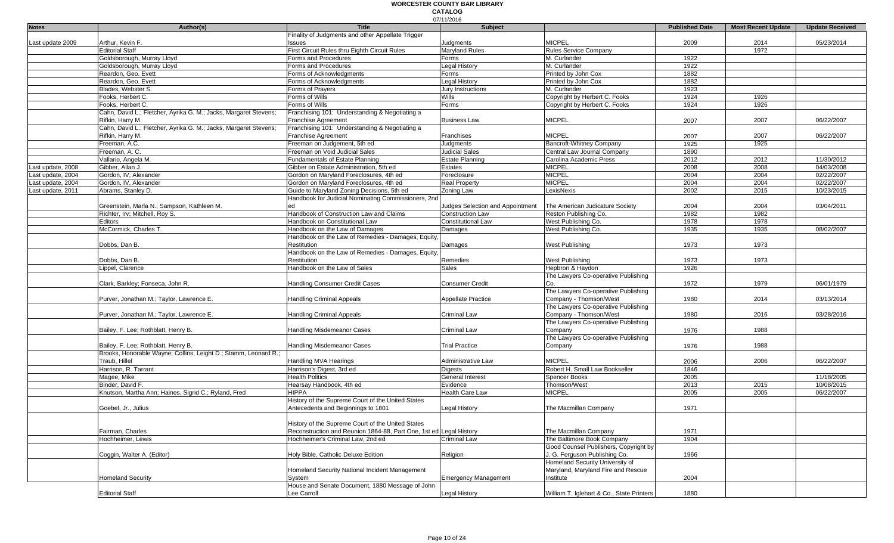|                   |                                                                  |                                                                    | 07/11/2016                       |                                           |                       |                           |                        |
|-------------------|------------------------------------------------------------------|--------------------------------------------------------------------|----------------------------------|-------------------------------------------|-----------------------|---------------------------|------------------------|
| <b>Notes</b>      | Author(s)                                                        | <b>Title</b>                                                       | Subject                          |                                           | <b>Published Date</b> | <b>Most Recent Update</b> | <b>Update Received</b> |
|                   |                                                                  | Finality of Judgments and other Appellate Trigger                  |                                  |                                           |                       |                           |                        |
| Last update 2009  | Arthur, Kevin F.                                                 | ssues                                                              | Judgments                        | <b>MICPEL</b>                             | 2009                  | 2014                      | 05/23/2014             |
|                   | <b>Editorial Staff</b>                                           | First Circuit Rules thru Eighth Circuit Rules                      | Maryland Rules                   | <b>Rules Service Company</b>              |                       | 1972                      |                        |
|                   | Goldsborough, Murray Lloyd                                       | Forms and Procedures                                               | Forms                            | M. Curlander                              | 1922                  |                           |                        |
|                   | Goldsborough, Murray Lloyd                                       | Forms and Procedures                                               | Legal History                    | M. Curlander                              | 1922                  |                           |                        |
|                   | Reardon, Geo. Evett                                              | Forms of Acknowledgments                                           | Forms                            | Printed by John Cox                       | 1882                  |                           |                        |
|                   | Reardon, Geo. Evett                                              | Forms of Acknowledgments                                           | Legal History                    | Printed by John Cox                       | 1882                  |                           |                        |
|                   | Blades, Webster S.                                               | Forms of Prayers                                                   | Jury Instructions                | M. Curlander                              | 1923                  |                           |                        |
|                   | Fooks, Herbert C.                                                | Forms of Wills                                                     | Wills                            | Copyright by Herbert C. Fooks             | 1924                  | 1926                      |                        |
|                   | Fooks, Herbert C.                                                | Forms of Wills                                                     | Forms                            | Copyright by Herbert C. Fooks             | 1924                  | 1926                      |                        |
|                   | Cahn, David L.; Fletcher, Ayrika G. M.; Jacks, Margaret Stevens; | Franchising 101: Understanding & Negotiating a                     |                                  |                                           |                       |                           |                        |
|                   | Rifkin, Harry M.                                                 | <b>Franchise Agreement</b>                                         | <b>Business Law</b>              | <b>MICPEL</b>                             | 2007                  | 2007                      | 06/22/2007             |
|                   | Cahn, David L.; Fletcher, Ayrika G. M.; Jacks, Margaret Stevens; | Franchising 101: Understanding & Negotiating a                     |                                  |                                           |                       |                           |                        |
|                   | Rifkin, Harry M.                                                 | <b>Franchise Agreement</b>                                         | Franchises                       | <b>MICPEL</b>                             | 2007                  | 2007                      | 06/22/2007             |
|                   | Freeman, A.C.                                                    | Freeman on Judgement, 5th ed                                       | Judgments                        | Bancroft-Whitney Company                  | 1925                  | 1925                      |                        |
|                   | Freeman, A. C.                                                   | Freeman on Void Judicial Sales                                     | Judicial Sales                   | Central Law Journal Company               | 1890                  |                           |                        |
|                   |                                                                  | Fundamentals of Estate Planning                                    | Estate Planning                  |                                           | 2012                  | 2012                      | 11/30/2012             |
|                   | Vallario, Angela M.                                              |                                                                    |                                  | Carolina Academic Press                   | 2008                  | 2008                      | 04/03/2008             |
| Last update, 2008 | Gibber, Allan J.<br>Gordon, IV, Alexander                        | Gibber on Estate Administration, 5th ed                            | Estates<br>Foreclosure           | <b>MICPEL</b><br><b>MICPEL</b>            | 2004                  | 2004                      | 02/22/2007             |
| Last update, 2004 |                                                                  | Gordon on Maryland Foreclosures, 4th ed                            |                                  |                                           |                       |                           |                        |
| Last update, 2004 | Gordon, IV, Alexander                                            | Gordon on Maryland Foreclosures, 4th ed                            | <b>Real Property</b>             | <b>MICPEL</b>                             | 2004                  | 2004                      | 02/22/2007             |
| Last update, 2011 | Abrams, Stanley D.                                               | Guide to Maryland Zoning Decisions, 5th ed                         | Zoning Law                       | LexisNexis                                | 2002                  | 2015                      | 10/23/2015             |
|                   |                                                                  | Handbook for Judicial Nominating Commissioners, 2nd                |                                  |                                           |                       |                           |                        |
|                   | Greenstein, Marla N.; Sampson, Kathleen M.                       | ed                                                                 | Judges Selection and Appointment | The American Judicature Society           | 2004                  | 2004                      | 03/04/2011             |
|                   | Richter, Irv; Mitchell, Roy S.                                   | Handbook of Construction Law and Claims                            | <b>Construction Law</b>          | Reston Publishing Co.                     | 1982                  | 1982                      |                        |
|                   | Editors                                                          | Handbook on Constitutional Law                                     | <b>Constitutional Law</b>        | West Publishing Co.                       | 1978                  | 1978                      |                        |
|                   | McCormick. Charles T.                                            | Handbook on the Law of Damages                                     | Damages                          | West Publishing Co.                       | 1935                  | 1935                      | 08/02/2007             |
|                   |                                                                  | Handbook on the Law of Remedies - Damages, Equity,                 |                                  |                                           |                       |                           |                        |
|                   | Dobbs, Dan B.                                                    | Restitution                                                        | Damages                          | West Publishing                           | 1973                  | 1973                      |                        |
|                   |                                                                  | Handbook on the Law of Remedies - Damages, Equity,                 |                                  |                                           |                       |                           |                        |
|                   | Dobbs, Dan B.                                                    | Restitution                                                        | Remedies                         | <b>West Publishing</b>                    | 1973                  | 1973                      |                        |
|                   | Lippel, Clarence                                                 | Handbook on the Law of Sales                                       | <b>Sales</b>                     | Hepbron & Haydon                          | 1926                  |                           |                        |
|                   |                                                                  |                                                                    |                                  | The Lawyers Co-operative Publishing       |                       |                           |                        |
|                   | Clark, Barkley; Fonseca, John R.                                 | Handling Consumer Credit Cases                                     | <b>Consumer Credit</b>           | Co.                                       | 1972                  | 1979                      | 06/01/1979             |
|                   |                                                                  |                                                                    |                                  | The Lawyers Co-operative Publishing       |                       |                           |                        |
|                   | Purver, Jonathan M.; Taylor, Lawrence E.                         | <b>Handling Criminal Appeals</b>                                   | <b>Appellate Practice</b>        | Company - Thomson/West                    | 1980                  | 2014                      | 03/13/2014             |
|                   |                                                                  |                                                                    |                                  | The Lawyers Co-operative Publishing       |                       |                           |                        |
|                   | Purver, Jonathan M.; Taylor, Lawrence E.                         | <b>Handling Criminal Appeals</b>                                   | Criminal Law                     | Company - Thomson/West                    | 1980                  | 2016                      | 03/28/2016             |
|                   |                                                                  |                                                                    |                                  | The Lawyers Co-operative Publishing       |                       |                           |                        |
|                   | Bailey, F. Lee; Rothblatt, Henry B.                              | Handling Misdemeanor Cases                                         | Criminal Law                     | Company                                   | 1976                  | 1988                      |                        |
|                   |                                                                  |                                                                    |                                  | The Lawyers Co-operative Publishing       |                       |                           |                        |
|                   | Bailey, F. Lee; Rothblatt, Henry B.                              | Handling Misdemeanor Cases                                         | <b>Trial Practice</b>            | Company                                   | 1976                  | 1988                      |                        |
|                   | Brooks, Honorable Wayne; Collins, Leight D.; Stamm, Leonard R.;  |                                                                    |                                  |                                           |                       |                           |                        |
|                   | Traub, Hillel                                                    | Handling MVA Hearings                                              | Administrative Law               | <b>MICPEL</b>                             | 2006                  | 2006                      | 06/22/2007             |
|                   | Harrison, R. Tarrant                                             | Harrison's Digest, 3rd ed                                          | <b>Digests</b>                   | Robert H. Small Law Bookseller            | 1846                  |                           |                        |
|                   |                                                                  |                                                                    |                                  |                                           |                       |                           |                        |
|                   | Magee, Mike                                                      | <b>Health Politics</b>                                             | General Interest                 | Spencer Books                             | 2005                  |                           | 11/18/2005             |
|                   | Binder, David F.                                                 | Hearsay Handbook, 4th ed                                           | Evidence                         | Thomson/West                              | 2013                  | 2015                      | 10/08/2015             |
|                   | Knutson, Martha Ann; Haines, Sigrid C.; Ryland, Fred             | <b>HIPPA</b>                                                       | <b>Health Care Law</b>           | <b>MICPEL</b>                             | 2005                  | 2005                      | 06/22/2007             |
|                   |                                                                  | History of the Supreme Court of the United States                  |                                  |                                           |                       |                           |                        |
|                   | Goebel, Jr., Julius                                              | Antecedents and Beginnings to 1801                                 | Legal History                    | The Macmillan Company                     | 1971                  |                           |                        |
|                   |                                                                  |                                                                    |                                  |                                           |                       |                           |                        |
|                   |                                                                  | History of the Supreme Court of the United States                  |                                  |                                           |                       |                           |                        |
|                   | Fairman, Charles                                                 | Reconstruction and Reunion 1864-88, Part One, 1st ed Legal History |                                  | The Macmillan Company                     | 1971                  |                           |                        |
|                   | Hochheimer, Lewis                                                | Hochheimer's Criminal Law, 2nd ed                                  | Criminal Law                     | The Baltimore Book Company                | 1904                  |                           |                        |
|                   |                                                                  |                                                                    |                                  | Good Counsel Publishers, Copyright by     |                       |                           |                        |
|                   | Coggin, Walter A. (Editor)                                       | Holy Bible, Catholic Deluxe Edition                                | Religion                         | J. G. Ferguson Publishing Co.             | 1966                  |                           |                        |
|                   |                                                                  |                                                                    |                                  | Homeland Security University of           |                       |                           |                        |
|                   |                                                                  | Homeland Security National Incident Management                     |                                  | Maryland, Maryland Fire and Rescue        |                       |                           |                        |
|                   | <b>Homeland Security</b>                                         | System                                                             | <b>Emergency Management</b>      | Institute                                 | 2004                  |                           |                        |
|                   |                                                                  | House and Senate Document, 1880 Message of John                    |                                  |                                           |                       |                           |                        |
|                   | <b>Editorial Staff</b>                                           | Lee Carroll                                                        | Legal History                    | William T. Iglehart & Co., State Printers | 1880                  |                           |                        |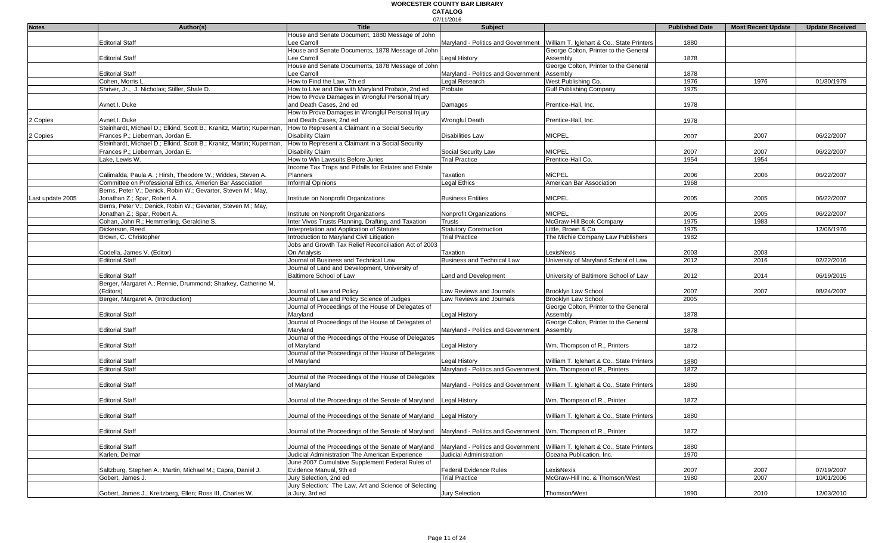|                  |                                                                      |                                                                                                                     | 07/11/2016                                                        |                                                                                |                       |                           |                        |
|------------------|----------------------------------------------------------------------|---------------------------------------------------------------------------------------------------------------------|-------------------------------------------------------------------|--------------------------------------------------------------------------------|-----------------------|---------------------------|------------------------|
| <b>Notes</b>     | Author(s)                                                            | Title                                                                                                               | <b>Subject</b>                                                    |                                                                                | <b>Published Date</b> | <b>Most Recent Update</b> | <b>Update Received</b> |
|                  |                                                                      | House and Senate Document, 1880 Message of John                                                                     |                                                                   |                                                                                |                       |                           |                        |
|                  | Editorial Staff                                                      | Lee Carroll                                                                                                         |                                                                   | Maryland - Politics and Government William T. Iglehart & Co., State Printers   | 1880                  |                           |                        |
|                  |                                                                      | House and Senate Documents, 1878 Message of John                                                                    |                                                                   | George Colton, Printer to the General                                          |                       |                           |                        |
|                  | <b>Editorial Staff</b>                                               | Lee Carroll                                                                                                         | Legal History                                                     | Assembly                                                                       | 1878                  |                           |                        |
|                  |                                                                      | House and Senate Documents, 1878 Message of John                                                                    |                                                                   | George Colton, Printer to the General                                          |                       |                           |                        |
|                  |                                                                      |                                                                                                                     |                                                                   |                                                                                |                       |                           |                        |
|                  | <b>Editorial Staff</b>                                               | Lee Carroll                                                                                                         | Maryland - Politics and Government                                | Assembly                                                                       | 1878                  |                           |                        |
|                  | Cohen, Morris L                                                      | How to Find the Law, 7th ed                                                                                         | Legal Research                                                    | West Publishing Co.                                                            | 1976                  | 1976                      | 01/30/1979             |
|                  | Shriver, Jr., J. Nicholas; Stiller, Shale D.                         | How to Live and Die with Maryland Probate, 2nd ed                                                                   | Probate                                                           | <b>Gulf Publishing Company</b>                                                 | 1975                  |                           |                        |
|                  |                                                                      | How to Prove Damages in Wrongful Personal Injury                                                                    |                                                                   |                                                                                |                       |                           |                        |
|                  | Avnet, I. Duke                                                       | and Death Cases, 2nd ed                                                                                             | Damages                                                           | Prentice-Hall, Inc.                                                            | 1978                  |                           |                        |
|                  |                                                                      | How to Prove Damages in Wrongful Personal Injury                                                                    |                                                                   |                                                                                |                       |                           |                        |
|                  |                                                                      |                                                                                                                     |                                                                   |                                                                                |                       |                           |                        |
| 2 Copies         | Avnet, I. Duke                                                       | and Death Cases, 2nd ed                                                                                             | <b>Wrongful Death</b>                                             | Prentice-Hall, Inc.                                                            | 1978                  |                           |                        |
|                  | Steinhardt, Michael D.; Elkind, Scott B.; Kranitz, Martin; Kuperman, | How to Represent a Claimant in a Social Security                                                                    |                                                                   |                                                                                |                       |                           |                        |
| 2 Copies         | Frances P.; Lieberman, Jordan E.                                     | Disability Claim                                                                                                    | <b>Disabilities Law</b>                                           | <b>MICPEL</b>                                                                  | 2007                  | 2007                      | 06/22/2007             |
|                  | Steinhardt, Michael D.; Elkind, Scott B.; Kranitz, Martin; Kuperman, | How to Represent a Claimant in a Social Security                                                                    |                                                                   |                                                                                |                       |                           |                        |
|                  | Frances P.; Lieberman, Jordan E.                                     | Disability Claim                                                                                                    | Social Security Law                                               | <b>MICPEL</b>                                                                  | 2007                  | 2007                      | 06/22/2007             |
|                  | Lake, Lewis W.                                                       | How to Win Lawsuits Before Juries                                                                                   | <b>Trial Practice</b>                                             | Prentice-Hall Co.                                                              | 1954                  | 1954                      |                        |
|                  |                                                                      | Income Tax Traps and Pitfalls for Estates and Estate                                                                |                                                                   |                                                                                |                       |                           |                        |
|                  |                                                                      |                                                                                                                     |                                                                   |                                                                                |                       |                           |                        |
|                  | Calimafda, Paula A.; Hirsh, Theodore W.; Widdes, Steven A.           | Planners                                                                                                            | Taxation                                                          | <b>MICPEL</b>                                                                  | 2006                  | 2006                      | 06/22/2007             |
|                  | Committee on Professional Ethics, Americn Bar Association            | <b>Informal Opinions</b>                                                                                            | Legal Ethics                                                      | American Bar Association                                                       | 1968                  |                           |                        |
|                  | Berns, Peter V.; Denick, Robin W.; Gevarter, Steven M.; May,         |                                                                                                                     |                                                                   |                                                                                |                       |                           |                        |
| Last update 2005 | Jonathan Z.; Spar, Robert A.                                         | Institute on Nonprofit Organizations                                                                                | <b>Business Entities</b>                                          | <b>MICPEL</b>                                                                  | 2005                  | 2005                      | 06/22/2007             |
|                  | Berns, Peter V.; Denick, Robin W.; Gevarter, Steven M.; May,         |                                                                                                                     |                                                                   |                                                                                |                       |                           |                        |
|                  | Jonathan Z.; Spar, Robert A.                                         | Institute on Nonprofit Organizations                                                                                | Nonprofit Organizations                                           | <b>MICPEL</b>                                                                  | 2005                  | 2005                      | 06/22/2007             |
|                  | Cohan, John R.; Hemmerling, Geraldine S.                             |                                                                                                                     |                                                                   |                                                                                |                       |                           |                        |
|                  |                                                                      | Inter Vivos Trusts Planning, Drafting, and Taxation                                                                 | <b>Trusts</b>                                                     | McGraw-Hill Book Company                                                       | 1975                  | 1983                      |                        |
|                  | Dickerson, Reed                                                      | Interpretation and Application of Statutes                                                                          | <b>Statutory Construction</b>                                     | Little, Brown & Co.                                                            | 1975                  |                           | 12/06/1976             |
|                  | Brown, C. Christopher                                                | Introduction to Maryland Civil Litigation                                                                           | <b>Trial Practice</b>                                             | The Michie Company Law Publishers                                              | 1982                  |                           |                        |
|                  |                                                                      | Jobs and Growth Tax Relief Reconciliation Act of 2003                                                               |                                                                   |                                                                                |                       |                           |                        |
|                  | Codella, James V. (Editor)                                           | On Analysis                                                                                                         | Taxation                                                          | LexisNexis                                                                     | 2003                  | 2003                      |                        |
|                  | <b>Editorial Staff</b>                                               | Journal of Business and Technical Law                                                                               | <b>Business and Technical Law</b>                                 | University of Maryland School of Law                                           | 2012                  | 2016                      | 02/22/2016             |
|                  |                                                                      | Journal of Land and Development, University of                                                                      |                                                                   |                                                                                |                       |                           |                        |
|                  | <b>Editorial Staff</b>                                               | Baltimore School of Law                                                                                             |                                                                   |                                                                                | 2012                  | 2014                      | 06/19/2015             |
|                  |                                                                      |                                                                                                                     | Land and Development                                              | University of Baltimore School of Law                                          |                       |                           |                        |
|                  | Berger, Margaret A.; Rennie, Drummond; Sharkey, Catherine M.         |                                                                                                                     |                                                                   |                                                                                |                       |                           |                        |
|                  | (Editors)                                                            | Journal of Law and Policy                                                                                           | Law Reviews and Journals                                          | Brooklyn Law School                                                            | 2007                  | 2007                      | 08/24/2007             |
|                  | Berger, Margaret A. (Introduction)                                   | Journal of Law and Policy Science of Judges                                                                         | Law Reviews and Journals                                          | <b>Brooklyn Law School</b>                                                     | 2005                  |                           |                        |
|                  |                                                                      | Journal of Proceedings of the House of Delegates of                                                                 |                                                                   | George Colton, Printer to the General                                          |                       |                           |                        |
|                  | <b>Editorial Staff</b>                                               | Maryland                                                                                                            | Legal History                                                     | Assembly                                                                       | 1878                  |                           |                        |
|                  |                                                                      | Journal of Proceedings of the House of Delegates of                                                                 |                                                                   | George Colton, Printer to the General                                          |                       |                           |                        |
|                  | <b>Editorial Staff</b>                                               | Marvland                                                                                                            | Maryland - Politics and Government                                | Assembly                                                                       | 1878                  |                           |                        |
|                  |                                                                      |                                                                                                                     |                                                                   |                                                                                |                       |                           |                        |
|                  |                                                                      | Journal of the Proceedings of the House of Delegates                                                                |                                                                   |                                                                                |                       |                           |                        |
|                  | <b>Editorial Staff</b>                                               | of Maryland                                                                                                         | <b>Legal History</b>                                              | Wm. Thompson of R., Printers                                                   | 1872                  |                           |                        |
|                  |                                                                      | Journal of the Proceedings of the House of Delegates                                                                |                                                                   |                                                                                |                       |                           |                        |
|                  | <b>Editorial Staff</b>                                               | of Maryland                                                                                                         | Legal History                                                     | William T. Iglehart & Co., State Printers                                      | 1880                  |                           |                        |
|                  | <b>Editorial Staff</b>                                               |                                                                                                                     | Maryland - Politics and Government   Wm. Thompson of R., Printers |                                                                                | 1872                  |                           |                        |
|                  |                                                                      | Journal of the Proceedings of the House of Delegates                                                                |                                                                   |                                                                                |                       |                           |                        |
|                  | <b>Editorial Staff</b>                                               | of Maryland                                                                                                         |                                                                   | Maryland - Politics and Government   William T. Iglehart & Co., State Printers | 1880                  |                           |                        |
|                  |                                                                      |                                                                                                                     |                                                                   |                                                                                |                       |                           |                        |
|                  |                                                                      |                                                                                                                     |                                                                   |                                                                                |                       |                           |                        |
|                  | <b>Editorial Staff</b>                                               | Journal of the Proceedings of the Senate of Maryland                                                                | <b>Legal History</b>                                              | Wm. Thompson of R., Printer                                                    | 1872                  |                           |                        |
|                  |                                                                      |                                                                                                                     |                                                                   |                                                                                |                       |                           |                        |
|                  | <b>Editorial Staff</b>                                               | Journal of the Proceedings of the Senate of Maryland Legal History                                                  |                                                                   | William T. Iglehart & Co., State Printers                                      | 1880                  |                           |                        |
|                  |                                                                      |                                                                                                                     |                                                                   |                                                                                |                       |                           |                        |
|                  | <b>Editorial Staff</b>                                               | Journal of the Proceedings of the Senate of Marvland Marvland - Politics and Government Wm. Thompson of R., Printer |                                                                   |                                                                                | 1872                  |                           |                        |
|                  |                                                                      |                                                                                                                     |                                                                   |                                                                                |                       |                           |                        |
|                  |                                                                      |                                                                                                                     |                                                                   |                                                                                |                       |                           |                        |
|                  | <b>Editorial Staff</b>                                               | Journal of the Proceedings of the Senate of Maryland                                                                |                                                                   | Maryland - Politics and Government   William T. Iglehart & Co., State Printers | 1880                  |                           |                        |
|                  | Karlen, Delmar                                                       | Judicial Administration The American Experience                                                                     | Judicial Administration                                           | Oceana Publication, Inc.                                                       | 1970                  |                           |                        |
|                  |                                                                      | June 2007 Cumulative Supplement Federal Rules of                                                                    |                                                                   |                                                                                |                       |                           |                        |
|                  | Saltzburg, Stephen A.; Martin, Michael M.; Capra, Daniel J.          | Evidence Manual, 9th ed                                                                                             | Federal Evidence Rules                                            | LexisNexis                                                                     | 2007                  | 2007                      | 07/19/2007             |
|                  | Gobert, James J.                                                     | Jury Selection, 2nd ed                                                                                              | <b>Trial Practice</b>                                             | McGraw-Hill Inc. & Thomson/West                                                | 1980                  | 2007                      | 10/01/2006             |
|                  |                                                                      | Jury Selection: The Law, Art and Science of Selecting                                                               |                                                                   |                                                                                |                       |                           |                        |
|                  | Gobert, James J., Kreitzberg, Ellen; Ross III, Charles W.            | a Jury, 3rd ed                                                                                                      |                                                                   | Thomson/West                                                                   |                       |                           |                        |
|                  |                                                                      |                                                                                                                     | Jury Selection                                                    |                                                                                | 1990                  | 2010                      | 12/03/2010             |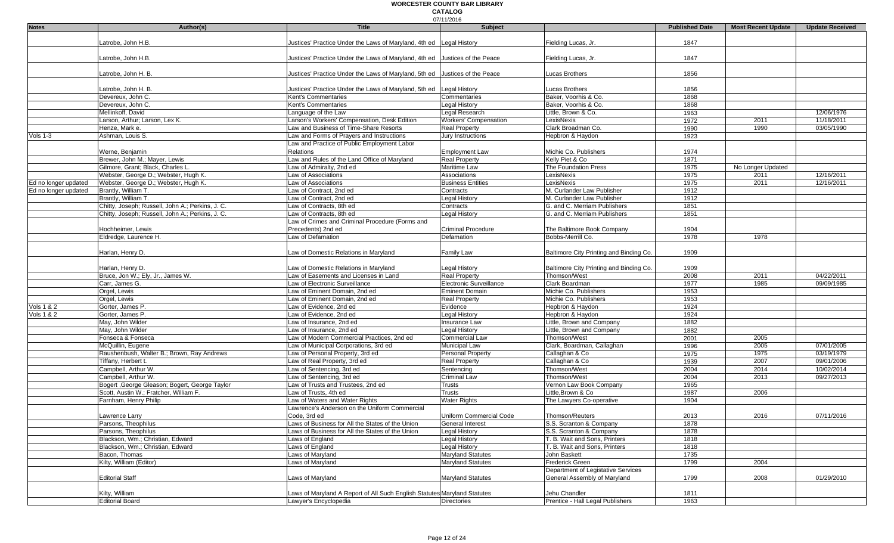|                                       |                                                  |                                                                             | 07/11/2016                                           |                                               |                       |                           |                        |
|---------------------------------------|--------------------------------------------------|-----------------------------------------------------------------------------|------------------------------------------------------|-----------------------------------------------|-----------------------|---------------------------|------------------------|
| <b>Notes</b>                          | Author(s)                                        | <b>Title</b>                                                                | <b>Subject</b>                                       |                                               | <b>Published Date</b> | <b>Most Recent Update</b> | <b>Update Received</b> |
|                                       | Latrobe, John H.B.                               | Justices' Practice Under the Laws of Maryland, 4th ed Legal History         |                                                      | Fielding Lucas, Jr.                           | 1847                  |                           |                        |
|                                       |                                                  |                                                                             |                                                      |                                               |                       |                           |                        |
|                                       | Latrobe, John H.B.                               | Justices' Practice Under the Laws of Maryland, 4th ed Justices of the Peace |                                                      | Fielding Lucas, Jr.                           | 1847                  |                           |                        |
|                                       |                                                  |                                                                             |                                                      |                                               |                       |                           |                        |
|                                       | Latrobe, John H. B.                              | Justices' Practice Under the Laws of Maryland, 5th ed Justices of the Peace |                                                      | Lucas Brothers                                | 1856                  |                           |                        |
|                                       |                                                  |                                                                             |                                                      |                                               |                       |                           |                        |
|                                       | Latrobe, John H. B.                              | Justices' Practice Under the Laws of Maryland, 5th ed                       | <b>Legal History</b>                                 | Lucas Brothers                                | 1856                  |                           |                        |
|                                       | Devereux, John C.                                | Kent's Commentaries                                                         | Commentaries                                         | Baker, Voorhis & Co.                          | 1868                  |                           |                        |
|                                       | Devereux, John C.                                | Kent's Commentaries                                                         | <b>Legal History</b>                                 | Baker, Voorhis & Co.                          | 1868                  |                           |                        |
|                                       | Mellinkoff, David                                | Language of the Law                                                         | Legal Research                                       | Little, Brown & Co.                           | 1963                  |                           | 12/06/1976             |
|                                       | Larson, Arthur; Larson, Lex K.                   | Larson's Workers' Compensation, Desk Edition                                | <b>Workers' Compensation</b>                         | LexisNexis                                    | 1972                  | 2011                      | 11/18/2011             |
|                                       | Henze, Mark e.                                   | Law and Business of Time-Share Resorts                                      | <b>Real Property</b>                                 | Clark Broadman Co.                            | 1990                  | 1990                      | 03/05/1990             |
| Vols 1-3                              | Ashman, Louis S.                                 | Law and Forms of Prayers and Instructions                                   | Jury Instructions                                    | Hepbron & Haydon                              | 1923                  |                           |                        |
|                                       |                                                  | Law and Practice of Public Employment Labor                                 |                                                      |                                               |                       |                           |                        |
|                                       | Werne, Benjamin<br>Brewer, John M.; Mayer, Lewis | Relations<br>Law and Rules of the Land Office of Maryland                   | <b>Employment Law</b><br><b>Real Property</b>        | Michie Co. Publishers<br>Kelly Piet & Co      | 1974<br>1871          |                           |                        |
|                                       | Gilmore, Grant; Black, Charles L.                | Law of Admiralty, 2nd ed                                                    | Maritime Law                                         | The Foundation Press                          | 1975                  | No Longer Updated         |                        |
|                                       | Webster, George D.; Webster, Hugh K.             | Law of Associations                                                         | Associations                                         | LexisNexis                                    | 1975                  | 2011                      | 12/16/2011             |
| Ed no longer updated                  | Webster, George D.; Webster, Hugh K.             | Law of Associations                                                         | <b>Business Entities</b>                             | LexisNexis                                    | 1975                  | 2011                      | 12/16/2011             |
| Ed no longer updated                  | Brantly, William T.                              | Law of Contract, 2nd ed                                                     | Contracts                                            | M. Curlander Law Publisher                    | 1912                  |                           |                        |
|                                       | Brantly, William T.                              | Law of Contract, 2nd ed                                                     | Legal History                                        | M. Curlander Law Publisher                    | 1912                  |                           |                        |
|                                       | Chitty, Joseph; Russell, John A.; Perkins, J. C. | Law of Contracts, 8th ed                                                    | Contracts                                            | G. and C. Merriam Publishers                  | 1851                  |                           |                        |
|                                       | Chitty, Joseph; Russell, John A.; Perkins, J. C. | Law of Contracts, 8th ed                                                    | Legal History                                        | G. and C. Merriam Publishers                  | 1851                  |                           |                        |
|                                       |                                                  | Law of Crimes and Criminal Procedure (Forms and                             |                                                      |                                               |                       |                           |                        |
|                                       | Hochheimer, Lewis                                | Precedents) 2nd ed                                                          | <b>Criminal Procedure</b>                            | The Baltimore Book Company                    | 1904                  |                           |                        |
|                                       | Eldredge, Laurence H.                            | Law of Defamation                                                           | Defamation                                           | Bobbs-Merrill Co.                             | 1978                  | 1978                      |                        |
|                                       |                                                  |                                                                             |                                                      |                                               |                       |                           |                        |
|                                       | Harlan, Henry D.                                 | Law of Domestic Relations in Maryland                                       | Family Law                                           | Baltimore City Printing and Binding Co.       | 1909                  |                           |                        |
|                                       |                                                  |                                                                             |                                                      |                                               |                       |                           |                        |
|                                       | Harlan, Henry D.                                 | Law of Domestic Relations in Maryland                                       | Legal History                                        | Baltimore City Printing and Binding Co.       | 1909                  |                           |                        |
|                                       | Bruce, Jon W.; Ely, Jr., James W.                | Law of Easements and Licenses in Land                                       | <b>Real Property</b>                                 | Thomson/West                                  | 2008                  | 2011                      | 04/22/2011             |
|                                       | Carr, James G.                                   | Law of Electronic Surveillance                                              | Electronic Surveillance                              | Clark Boardman                                | 1977                  | 1985                      | 09/09/1985             |
|                                       | Orgel, Lewis                                     | Law of Eminent Domain, 2nd ed                                               | <b>Eminent Domain</b>                                | Michie Co. Publishers                         | 1953                  |                           |                        |
|                                       | Orgel, Lewis                                     | Law of Eminent Domain, 2nd ed                                               | <b>Real Property</b>                                 | Michie Co. Publishers                         | 1953                  |                           |                        |
| <b>Vols 1 &amp; 2</b><br>Vols $1 & 2$ | Gorter, James P.<br>Gorter, James P.             | Law of Evidence, 2nd ed<br>Law of Evidence, 2nd ed                          | Evidence<br>Legal History                            | Hepbron & Haydon<br>Hepbron & Haydon          | 1924<br>1924          |                           |                        |
|                                       | May, John Wilder                                 | Law of Insurance, 2nd ed                                                    | <b>Insurance Law</b>                                 | Little, Brown and Company                     | 1882                  |                           |                        |
|                                       | May, John Wilder                                 | Law of Insurance, 2nd ed                                                    | <b>Legal History</b>                                 | Little, Brown and Company                     | 1882                  |                           |                        |
|                                       | Fonseca & Fonseca                                | Law of Modern Commercial Practices, 2nd ed                                  | Commercial Law                                       | Thomson/West                                  | 2001                  | 2005                      |                        |
|                                       | McQuillin, Eugene                                | Law of Municipal Corporations, 3rd ed                                       | Municipal Law                                        | Clark, Boardman, Callaghan                    | 1996                  | 2005                      | 07/01/2005             |
|                                       | Raushenbush, Walter B.; Brown, Ray Andrews       | Law of Personal Property, 3rd ed                                            | <b>Personal Property</b>                             | Callaghan & Co                                | 1975                  | 1975                      | 03/19/1979             |
|                                       | Tiffany, Herbert t.                              | Law of Real Property, 3rd ed                                                | <b>Real Property</b>                                 | Callaghan & Co                                | 1939                  | 2007                      | 09/01/2006             |
|                                       | Campbell, Arthur W.                              | Law of Sentencing, 3rd ed                                                   | Sentencing                                           | Thomson/West                                  | 2004                  | 2014                      | 10/02/2014             |
|                                       | Campbell, Arthur W.                              | Law of Sentencing, 3rd ed                                                   | Criminal Law                                         | Thomson/West                                  | 2004                  | 2013                      | 09/27/2013             |
|                                       | Bogert , George Gleason; Bogert, George Taylor   | Law of Trusts and Trustees, 2nd ed                                          | Trusts                                               | Vernon Law Book Company                       | 1965                  |                           |                        |
|                                       | Scott, Austin W.; Fratcher, William F.           | Law of Trusts, 4th ed                                                       | Trusts                                               | Little, Brown & Co                            | 1987                  | 2006                      |                        |
|                                       | Farnham, Henry Philip                            | Law of Waters and Water Rights                                              | Water Rights                                         | The Lawyers Co-operative                      | 1904                  |                           |                        |
|                                       |                                                  | Lawrence's Anderson on the Uniform Commercial                               |                                                      |                                               |                       |                           |                        |
|                                       | Lawrence Larry                                   | Code, 3rd ed                                                                | Uniform Commercial Code                              | Thomson/Reuters                               | 2013                  | 2016                      | 07/11/2016             |
|                                       | Parsons, Theophilus                              | Laws of Business for All the States of the Union                            | General Interest                                     | S.S. Scranton & Company                       | 1878                  |                           |                        |
|                                       | Parsons, Theophilus                              | Laws of Business for All the States of the Union                            | Legal History                                        | S.S. Scranton & Company                       | 1878                  |                           |                        |
|                                       | Blackson, Wm.; Christian, Edward                 | Laws of England                                                             | Legal History                                        | T. B. Wait and Sons, Printers                 | 1818                  |                           |                        |
|                                       | Blackson, Wm.; Christian, Edward                 | Laws of England                                                             | Legal History                                        | T. B. Wait and Sons, Printers<br>John Baskett | 1818                  |                           |                        |
|                                       | Bacon, Thomas<br>Kilty, William (Editor)         | Laws of Maryland<br>Laws of Maryland                                        | <b>Maryland Statutes</b><br><b>Maryland Statutes</b> | Frederick Green                               | 1735<br>1799          | 2004                      |                        |
|                                       |                                                  |                                                                             |                                                      | Department of Legistative Services            |                       |                           |                        |
|                                       | <b>Editorial Staff</b>                           | Laws of Maryland                                                            | Maryland Statutes                                    | General Assembly of Maryland                  | 1799                  | 2008                      | 01/29/2010             |
|                                       |                                                  |                                                                             |                                                      |                                               |                       |                           |                        |
|                                       | Kilty, William                                   | Laws of Maryland A Report of All Such English Statutes Maryland Statutes    |                                                      | Jehu Chandler                                 | 1811                  |                           |                        |
|                                       | <b>Editorial Board</b>                           | Lawyer's Encyclopedia                                                       | <b>Directories</b>                                   | Prentice - Hall Legal Publishers              | 1963                  |                           |                        |
|                                       |                                                  |                                                                             |                                                      |                                               |                       |                           |                        |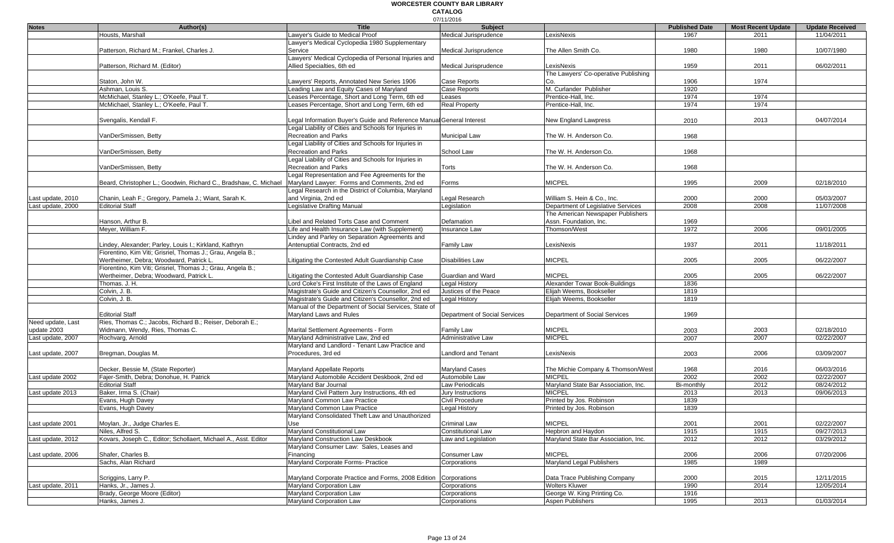|                   |                                                                                                              |                                                                       | 07/11/2016                    |                                      |                       |                           |                        |
|-------------------|--------------------------------------------------------------------------------------------------------------|-----------------------------------------------------------------------|-------------------------------|--------------------------------------|-----------------------|---------------------------|------------------------|
| <b>Notes</b>      | Author(s)                                                                                                    | <b>Title</b>                                                          | <b>Subject</b>                |                                      | <b>Published Date</b> | <b>Most Recent Update</b> | <b>Update Received</b> |
|                   | Housts, Marshall                                                                                             | Lawyer's Guide to Medical Proof                                       | Medical Jurisprudence         | LexisNexis                           | 1967                  | 2011                      | 11/04/2011             |
|                   |                                                                                                              | Lawyer's Medical Cyclopedia 1980 Supplementary                        |                               |                                      |                       |                           |                        |
|                   | Patterson, Richard M.: Frankel, Charles J                                                                    | Service                                                               | Medical Jurisprudence         | The Allen Smith Co.                  | 1980                  | 1980                      | 10/07/1980             |
|                   |                                                                                                              | Lawyers' Medical Cyclopedia of Personal Injuries and                  |                               |                                      |                       |                           |                        |
|                   | Patterson, Richard M. (Editor)                                                                               | Allied Specialties, 6th ed                                            | Medical Jurisprudence         | LexisNexis                           | 1959                  | 2011                      | 06/02/2011             |
|                   |                                                                                                              |                                                                       |                               | The Lawyers' Co-operative Publishing |                       |                           |                        |
|                   | Staton. John W.                                                                                              | Lawvers' Reports, Annotated New Series 1906                           | Case Reports                  | Co.                                  | 1906                  | 1974                      |                        |
|                   | Ashman. Louis S.                                                                                             | Leading Law and Equity Cases of Maryland                              | Case Reports                  | M. Curlander Publisher               | 1920                  |                           |                        |
|                   | McMichael, Stanley L.; O'Keefe, Paul T                                                                       | Leases Percentage, Short and Long Term, 6th ed                        | Leases                        | Prentice-Hall, Inc.                  | 1974                  | 1974                      |                        |
|                   | McMichael, Stanley L.; O'Keefe, Paul T.                                                                      | Leases Percentage, Short and Long Term, 6th ed                        | <b>Real Property</b>          | Prentice-Hall, Inc.                  | 1974                  | 1974                      |                        |
|                   |                                                                                                              |                                                                       |                               |                                      |                       |                           |                        |
|                   | Svengalis, Kendall F.                                                                                        | Legal Information Buyer's Guide and Reference Manual General Interest |                               | New England Lawpress                 | 2010                  | 2013                      | 04/07/2014             |
|                   |                                                                                                              | Legal Liability of Cities and Schools for Injuries in                 |                               |                                      |                       |                           |                        |
|                   | VanDerSmissen, Betty                                                                                         | <b>Recreation and Parks</b>                                           | Municipal Law                 | The W. H. Anderson Co.               | 1968                  |                           |                        |
|                   |                                                                                                              | Legal Liability of Cities and Schools for Injuries in                 |                               |                                      |                       |                           |                        |
|                   | VanDerSmissen, Betty                                                                                         | <b>Recreation and Parks</b>                                           | School Law                    | The W. H. Anderson Co.               | 1968                  |                           |                        |
|                   |                                                                                                              | Legal Liability of Cities and Schools for Injuries in                 |                               |                                      |                       |                           |                        |
|                   |                                                                                                              |                                                                       |                               |                                      |                       |                           |                        |
|                   | VanDerSmissen, Betty                                                                                         | <b>Recreation and Parks</b>                                           | Torts                         | The W. H. Anderson Co.               | 1968                  |                           |                        |
|                   |                                                                                                              | Legal Representation and Fee Agreements for the                       |                               |                                      |                       |                           |                        |
|                   | Beard, Christopher L.; Goodwin, Richard C., Bradshaw, C. Michael Maryland Lawyer: Forms and Comments, 2nd ed |                                                                       | Forms                         | <b>MICPEL</b>                        | 1995                  | 2009                      | 02/18/2010             |
|                   |                                                                                                              | Legal Research in the District of Columbia, Maryland                  |                               |                                      |                       |                           |                        |
| Last update, 2010 | Chanin, Leah F.; Gregory, Pamela J.; Wiant, Sarah K.                                                         | and Virginia, 2nd ed                                                  | Legal Research                | William S. Hein & Co., Inc.          | 2000                  | 2000                      | 05/03/2007             |
| Last update, 2000 | <b>Editorial Staff</b>                                                                                       | <b>Legislative Drafting Manual</b>                                    | Legislation                   | Department of Legislative Services   | 2008                  | 2008                      | 11/07/2008             |
|                   |                                                                                                              |                                                                       |                               | The American Newspaper Publishers    |                       |                           |                        |
|                   | Hanson, Arthur B.                                                                                            | Libel and Related Torts Case and Comment                              | Defamation                    | Assn. Foundation, Inc.               | 1969                  |                           |                        |
|                   | Meyer, William F.                                                                                            | Life and Health Insurance Law (with Supplement)                       | Insurance Law                 | Thomson/West                         | 1972                  | 2006                      | 09/01/2005             |
|                   |                                                                                                              | Lindey and Parley on Separation Agreements and                        |                               |                                      |                       |                           |                        |
|                   | Lindey, Alexander; Parley, Louis I.; Kirkland, Kathryn                                                       | Antenuptial Contracts, 2nd ed                                         | <b>Family Law</b>             | LexisNexis                           | 1937                  | 2011                      | 11/18/2011             |
|                   | Fiorentino, Kim Viti; Grisriel, Thomas J.; Grau, Angela B.;                                                  |                                                                       |                               |                                      |                       |                           |                        |
|                   | Wertheimer, Debra; Woodward, Patrick L.                                                                      | Litigating the Contested Adult Guardianship Case                      | <b>Disabilities Law</b>       | <b>MICPEL</b>                        | 2005                  | 2005                      | 06/22/2007             |
|                   | Fiorentino, Kim Viti; Grisriel, Thomas J.; Grau, Angela B.;                                                  |                                                                       |                               |                                      |                       |                           |                        |
|                   | Wertheimer, Debra; Woodward, Patrick L.                                                                      | Litigating the Contested Adult Guardianship Case                      | Guardian and Ward             | <b>MICPEL</b>                        | 2005                  | 2005                      | 06/22/2007             |
|                   | Thomas. J. H.                                                                                                | Lord Coke's First Institute of the Laws of England                    | Legal History                 | Alexander Towar Book-Buildings       | 1836                  |                           |                        |
|                   | Colvin, J. B.                                                                                                | Magistrate's Guide and Citizen's Counsellor, 2nd ed                   | Justices of the Peace         | Elijah Weems, Bookseller             | 1819                  |                           |                        |
|                   | Colvin, J. B.                                                                                                | Magistrate's Guide and Citizen's Counsellor, 2nd ed                   | <b>Legal History</b>          | Elijah Weems, Bookseller             | 1819                  |                           |                        |
|                   |                                                                                                              | Manual of the Department of Social Services, State of                 |                               |                                      |                       |                           |                        |
|                   | <b>Editorial Staff</b>                                                                                       | Maryland Laws and Rules                                               | Department of Social Services | Department of Social Services        | 1969                  |                           |                        |
|                   | Ries, Thomas C.; Jacobs, Richard B.; Reiser, Deborah E.;                                                     |                                                                       |                               |                                      |                       |                           |                        |
| Need update, Last |                                                                                                              |                                                                       |                               |                                      |                       |                           |                        |
| update 2003       | Widmann, Wendy, Ries, Thomas C.                                                                              | Marital Settlement Agreements - Form                                  | <b>Family Law</b>             | <b>MICPEL</b>                        | 2003                  | 2003                      | 02/18/2010             |
| Last update, 2007 | Rochvarg, Arnold                                                                                             | Maryland Administrative Law, 2nd ed                                   | <b>Administrative Law</b>     | <b>MICPEL</b>                        | 2007                  | 2007                      | 02/22/2007             |
|                   |                                                                                                              | Maryland and Landlord - Tenant Law Practice and                       |                               |                                      |                       |                           |                        |
| Last update, 2007 | Bregman, Douglas M.                                                                                          | Procedures, 3rd ed                                                    | Landlord and Tenant           | LexisNexis                           | 2003                  | 2006                      | 03/09/2007             |
|                   |                                                                                                              |                                                                       |                               |                                      |                       |                           |                        |
|                   | Decker, Bessie M, (State Reporter)                                                                           | Maryland Appellate Reports                                            | <b>Maryland Cases</b>         | The Michie Company & Thomson/West    | 1968                  | 2016                      | 06/03/2016             |
| Last update 2002  | Fajer-Smith, Debra; Donohue, H. Patrick                                                                      | Maryland Automobile Accident Deskbook, 2nd ed                         | Automobile Law                | <b>MICPEL</b>                        | 2002                  | 2002                      | 02/22/2007             |
|                   | <b>Editorial Staff</b>                                                                                       | Maryland Bar Journal                                                  | Law Periodicals               | Maryland State Bar Association, Inc. | Bi-monthly            | 2012                      | 08/24/2012             |
| Last update 2013  | Baker, Irma S. (Chair)                                                                                       | Maryland Civil Pattern Jury Instructions, 4th ed                      | Jury Instructions             | <b>MICPEL</b>                        | 2013                  | 2013                      | 09/06/2013             |
|                   | Evans, Hugh Davey                                                                                            | Maryland Common Law Practice                                          | Civil Procedure               | Printed by Jos. Robinson             | 1839                  |                           |                        |
|                   | Evans, Hugh Davey                                                                                            | Maryland Common Law Practice                                          | Legal History                 | Printed by Jos. Robinson             | 1839                  |                           |                        |
|                   |                                                                                                              | Maryland Consolidated Theft Law and Unauthorized                      |                               |                                      |                       |                           |                        |
| Last update 2001  | Moylan, Jr., Judge Charles E.                                                                                | Use                                                                   | Criminal Law                  | <b>MICPEL</b>                        | 2001                  | 2001                      | 02/22/2007             |
|                   | Niles. Alfred S.                                                                                             | Maryland Constitutional Law                                           | <b>Constitutional Law</b>     | Hepbron and Haydon                   | 1915                  | 1915                      | 09/27/2013             |
| Last update, 2012 | Kovars, Joseph C., Editor; Schollaert, Michael A., Asst. Editor                                              | Maryland Construction Law Deskbook                                    | Law and Legislation           | Marvland State Bar Association, Inc. | 2012                  | 2012                      | 03/29/2012             |
|                   |                                                                                                              | Maryland Consumer Law: Sales, Leases and                              |                               |                                      |                       |                           |                        |
| Last update, 2006 | Shafer, Charles B.                                                                                           | Financing                                                             | Consumer Law                  | <b>MICPEL</b>                        | 2006                  | 2006                      | 07/20/2006             |
|                   | Sachs, Alan Richard                                                                                          | Maryland Corporate Forms- Practice                                    | Corporations                  | Maryland Legal Publishers            | 1985                  | 1989                      |                        |
|                   |                                                                                                              |                                                                       |                               |                                      |                       |                           |                        |
|                   | Scriggins, Larry P.                                                                                          | Maryland Corporate Practice and Forms, 2008 Edition                   | Corporations                  | Data Trace Publishing Company        | 2000                  | 2015                      | 12/11/2015             |
| Last update, 2011 | Hanks, Jr., James J.                                                                                         | Maryland Corporation Law                                              | Corporations                  | Wolters Kluwer                       | 1990                  | 2014                      | 12/05/2014             |
|                   | Brady, George Moore (Editor)                                                                                 | Maryland Corporation Law                                              |                               |                                      |                       |                           |                        |
|                   |                                                                                                              |                                                                       | Corporations                  | George W. King Printing Co.          | 1916                  |                           |                        |
|                   | Hanks, James J.                                                                                              | Maryland Corporation Law                                              | Corporations                  | Aspen Publishers                     | 1995                  | 2013                      | 01/03/2014             |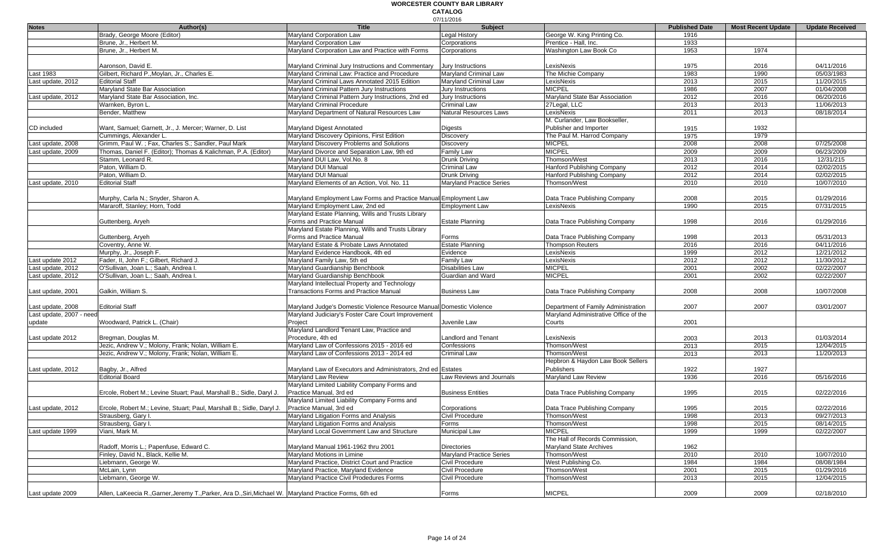#### 07/11/2016 **WORCESTER COUNTY BAR LIBRARY CATALOG**

| <b>Notes</b>             | Author(s)                                                                                               | <b>Title</b>                                                         | 017 1 1720 1 0<br>Subject       |                                       | <b>Published Date</b> | <b>Most Recent Update</b> | <b>Update Received</b> |
|--------------------------|---------------------------------------------------------------------------------------------------------|----------------------------------------------------------------------|---------------------------------|---------------------------------------|-----------------------|---------------------------|------------------------|
|                          | Brady, George Moore (Editor)                                                                            | Maryland Corporation Law                                             | Legal History                   | George W. King Printing Co.           | 1916                  |                           |                        |
|                          | Brune, Jr., Herbert M.                                                                                  | Maryland Corporation Law                                             | Corporations                    | Prentice - Hall, Inc.                 |                       |                           |                        |
|                          |                                                                                                         | Maryland Corporation Law and Practice with Forms                     |                                 | Washington Law Book Co                | 1933<br>1953          | 1974                      |                        |
|                          | Brune, Jr., Herbert M.                                                                                  |                                                                      | Corporations                    |                                       |                       |                           |                        |
|                          | Aaronson, David E.                                                                                      |                                                                      | <b>Jury Instructions</b>        | LexisNexis                            |                       |                           | 04/11/2016             |
|                          | Gilbert, Richard P., Moylan, Jr., Charles E.                                                            | Maryland Criminal Jury Instructions and Commentary                   | Maryland Criminal Law           | The Michie Company                    | 1975<br>1983          | 2016<br>1990              | 05/03/1983             |
| Last 1983                |                                                                                                         | Maryland Criminal Law: Practice and Procedure                        |                                 |                                       |                       |                           |                        |
| Last update, 2012        | <b>Editorial Staff</b>                                                                                  | Maryland Criminal Laws Annotated 2015 Edition                        | Maryland Criminal Law           | LexisNexis                            | 2013                  | 2015                      | 11/20/2015             |
|                          | Maryland State Bar Association                                                                          | Maryland Criminal Pattern Jury Instructions                          | Jury Instructions               | <b>MICPEL</b>                         | 1986                  | 2007                      | 01/04/2008             |
| Last update, 2012        | Maryland State Bar Association, Inc.                                                                    | Maryland Criminal Pattern Jury Instructions, 2nd ed                  | Jury Instructions               | Maryland State Bar Association        | 2012                  | 2016                      | 06/20/2016             |
|                          | Warnken, Byron L.                                                                                       | Maryland Criminal Procedure                                          | <b>Criminal Law</b>             | 27Legal, LLC                          | 2013                  | 2013                      | 11/06/2013             |
|                          | Bender, Matthew                                                                                         | Maryland Department of Natural Resources Law                         | <b>Natural Resources Laws</b>   | LexisNexis                            | 2011                  | 2013                      | 08/18/2014             |
|                          |                                                                                                         |                                                                      |                                 | M. Curlander, Law Bookseller,         |                       |                           |                        |
| CD included              | Want, Samuel; Garnett, Jr., J. Mercer; Warner, D. List                                                  | Maryland Digest Annotated                                            | Digests                         | Publisher and Importer                | 1915                  | 1932                      |                        |
|                          | Cummings, Alexander L.                                                                                  | Maryland Discovery Opinions, First Edition                           | <b>Discovery</b>                | The Paul M. Harrod Company            | 1975                  | 1979                      |                        |
| Last update, 2008        | Grimm, Paul W.; Fax, Charles S.; Sandler, Paul Mark                                                     | Maryland Discovery Problems and Solutions                            | <b>Discovery</b>                | <b>MICPEL</b>                         | 2008                  | 2008                      | 07/25/2008             |
| Last update, 2009        | Thomas, Daniel F. (Editor); Thomas & Kalichman, P.A. (Editor)                                           | Maryland Divorce and Separation Law, 9th ed                          | Family Law                      | <b>MICPEL</b>                         | 2009                  | 2009                      | 06/23/2009             |
|                          | Stamm, Leonard R.                                                                                       | Maryland DUI Law, Vol.No. 8                                          | <b>Drunk Driving</b>            | Thomson/West                          | 2013                  | 2016                      | 12/31/215              |
|                          | Paton, William D.                                                                                       | Maryland DUI Manual                                                  | <b>Criminal Law</b>             | Hanford Publishing Company            | 2012                  | 2014                      | 02/02/2015             |
|                          | Paton, William D.                                                                                       | Maryland DUI Manual                                                  | Drunk Driving                   | Hanford Publishing Company            | 2012                  | 2014                      | 02/02/2015             |
| Last update, 2010        | <b>Editorial Staff</b>                                                                                  | Maryland Elements of an Action, Vol. No. 11                          | <b>Maryland Practice Series</b> | Thomson/West                          | 2010                  | 2010                      | 10/07/2010             |
|                          |                                                                                                         |                                                                      |                                 |                                       |                       |                           |                        |
|                          | Murphy, Carla N.; Snyder, Sharon A.                                                                     | Maryland Employment Law Forms and Practice Manual Employment Law     |                                 | Data Trace Publishing Company         | 2008                  | 2015                      | 01/29/2016             |
|                          | Mararoff, Stanley; Horn, Todd                                                                           | Maryland Employment Law, 2nd ed                                      | <b>Employment Law</b>           | LexisNexis                            | 1990                  | 2015                      | 07/31/2015             |
|                          |                                                                                                         | Maryland Estate Planning, Wills and Trusts Library                   |                                 |                                       |                       |                           |                        |
|                          | Guttenberg, Aryeh                                                                                       | Forms and Practice Manual                                            | <b>Estate Planning</b>          | Data Trace Publishing Company         | 1998                  | 2016                      | 01/29/2016             |
|                          |                                                                                                         | Maryland Estate Planning, Wills and Trusts Library                   |                                 |                                       |                       |                           |                        |
|                          | Guttenberg, Aryeh                                                                                       | Forms and Practice Manual                                            | Forms                           | Data Trace Publishing Company         | 1998                  | 2013                      | 05/31/2013             |
|                          | Coventry, Anne W.                                                                                       | Maryland Estate & Probate Laws Annotated                             | <b>Estate Planning</b>          | <b>Thompson Reuters</b>               | 2016                  | 2016                      | 04/11/2016             |
|                          | Murphy, Jr., Joseph F.                                                                                  | Maryland Evidence Handbook, 4th ed                                   | Evidence                        | LexisNexis                            | 1999                  | 2012                      | 12/21/2012             |
| Last update 2012         | Fader, II, John F.; Gilbert, Richard J.                                                                 | Maryland Family Law, 5th ed                                          | Family Law                      | LexisNexis                            | 2012                  | 2012                      | 11/30/2012             |
| Last update, 2012        | O'Sullivan, Joan L.; Saah, Andrea I                                                                     | Maryland Guardianship Benchbook                                      | <b>Disabilities Law</b>         | <b>MICPEL</b>                         | 2001                  | 2002                      | 02/22/2007             |
| Last update, 2012        | O'Sullivan, Joan L.; Saah, Andrea I                                                                     | Maryland Guardianship Benchbook                                      | Guardian and Ward               | <b>MICPEL</b>                         | 2001                  | 2002                      | 02/22/2007             |
|                          |                                                                                                         | Maryland Intellectual Property and Technology                        |                                 |                                       |                       |                           |                        |
| Last update, 2001        | Galkin, William S.                                                                                      | <b>Transactions Forms and Practice Manual</b>                        | <b>Business Law</b>             | Data Trace Publishing Company         | 2008                  | 2008                      | 10/07/2008             |
|                          |                                                                                                         |                                                                      |                                 |                                       |                       |                           |                        |
| Last update, 2008        | <b>Editorial Staff</b>                                                                                  | Maryland Judge's Domestic Violence Resource Manual Domestic Violence |                                 | Department of Family Administration   | 2007                  | 2007                      | 03/01/2007             |
| Last update, 2007 - need |                                                                                                         | Maryland Judiciary's Foster Care Court Improvement                   |                                 | Maryland Administrative Office of the |                       |                           |                        |
| update                   | Woodward, Patrick L. (Chair)                                                                            | Project                                                              | Juvenile Law                    | Courts                                | 2001                  |                           |                        |
|                          |                                                                                                         | Maryland Landlord Tenant Law, Practice and                           |                                 |                                       |                       |                           |                        |
| Last update 2012         | Bregman, Douglas M.                                                                                     | Procedure, 4th ed                                                    | Landlord and Tenant             | LexisNexis                            | 2003                  | 2013                      | 01/03/2014             |
|                          | Jezic, Andrew V.; Molony, Frank; Nolan, William E.                                                      | Maryland Law of Confessions 2015 - 2016 ed                           | Confessions                     | Thomson/West                          | 2013                  | 2015                      | 12/04/2015             |
|                          | Jezic, Andrew V.; Molony, Frank; Nolan, William E.                                                      | Maryland Law of Confessions 2013 - 2014 ed                           | Criminal Law                    | Thomson/West                          | 2013                  | 2013                      | 11/20/2013             |
|                          |                                                                                                         |                                                                      |                                 | Hepbron & Haydon Law Book Sellers     |                       |                           |                        |
|                          |                                                                                                         | Maryland Law of Executors and Administrators, 2nd ed Estates         |                                 | Publishers                            | 1922                  | 1927                      |                        |
| Last update, 2012        | Bagby, Jr., Alfred<br><b>Editorial Board</b>                                                            | Maryland Law Review                                                  | aw Reviews and Journals         | Maryland Law Review                   | 1936                  | 2016                      | 05/16/2016             |
|                          |                                                                                                         | Maryland Limited Liability Company Forms and                         |                                 |                                       |                       |                           |                        |
|                          |                                                                                                         |                                                                      |                                 |                                       |                       |                           |                        |
|                          | Ercole, Robert M.; Levine Stuart; Paul, Marshall B.; Sidle, Daryl J.                                    | Practice Manual, 3rd ed                                              | <b>Business Entities</b>        | Data Trace Publishing Company         | 1995                  | 2015                      | 02/22/2016             |
|                          |                                                                                                         | Maryland Limited Liability Company Forms and                         |                                 |                                       |                       |                           |                        |
| Last update, 2012        | Ercole, Robert M.; Levine, Stuart; Paul, Marshall B.; Sidle, Daryl J.                                   | Practice Manual, 3rd ed                                              | Corporations                    | Data Trace Publishing Company         | 1995                  | 2015                      | 02/22/2016             |
|                          | Strausberg, Gary I.                                                                                     | Maryland Litigation Forms and Analysis                               | Civil Procedure                 | Thomson/West                          | 1998                  | 2013                      | 09/27/2013             |
|                          | Strausberg, Gary I.                                                                                     | Maryland Litigation Forms and Analysis                               | Forms                           | Thomson/West                          | 1998                  | 2015                      | 08/14/2015             |
| Last update 1999         | Viani, Mark M.                                                                                          | Maryland Local Government Law and Structure                          | Municipal Law                   | <b>MICPEL</b>                         | 1999                  | 1999                      | 02/22/2007             |
|                          |                                                                                                         |                                                                      |                                 | The Hall of Records Commission,       |                       |                           |                        |
|                          | Radoff, Morris L.; Papenfuse, Edward C.                                                                 | Marvland Manual 1961-1962 thru 2001                                  | <b>Directories</b>              | <b>Maryland State Archives</b>        | 1962                  |                           |                        |
|                          | Finley, David N., Black, Kellie M.                                                                      | Maryland Motions in Limine                                           | <b>Maryland Practice Series</b> | Thomson/West                          | 2010                  | 2010                      | 10/07/2010             |
|                          | Liebmann, George W.                                                                                     | Maryland Practice, District Court and Practice                       | Civil Procedure                 | West Publishing Co.                   | 1984                  | 1984                      | 08/08/1984             |
|                          | McLain, Lynn                                                                                            | Maryland Practice, Maryland Evidence                                 | Civil Procedure                 | Thomson/West                          | 2001                  | 2015                      | 01/29/2016             |
|                          | Liebmann, George W.                                                                                     | Maryland Practice Civil Prodedures Forms                             | Civil Procedure                 | Thomson/West                          | 2013                  | 2015                      | 12/04/2015             |
|                          |                                                                                                         |                                                                      |                                 |                                       |                       |                           |                        |
| Last update 2009         | Allen, LaKeecia R., Garner, Jeremy T., Parker, Ara D., Siri, Michael W. Maryland Practice Forms, 6th ed |                                                                      | Forms                           | <b>MICPEL</b>                         | 2009                  | 2009                      | 02/18/2010             |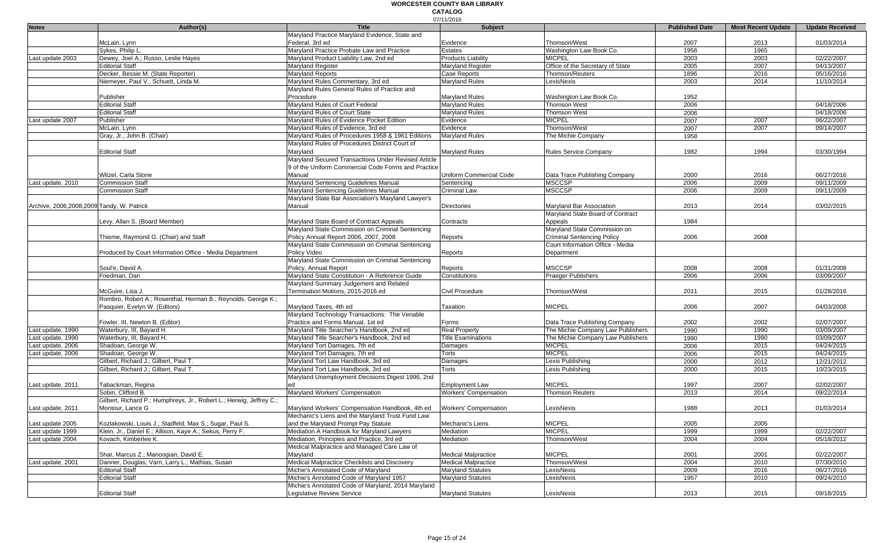|                                             |                                                                     |                                                     | 07/11/2016                   |                                   |                       |                           |                        |
|---------------------------------------------|---------------------------------------------------------------------|-----------------------------------------------------|------------------------------|-----------------------------------|-----------------------|---------------------------|------------------------|
| <b>Notes</b>                                | Author(s)                                                           | <b>Title</b>                                        | <b>Subject</b>               |                                   | <b>Published Date</b> | <b>Most Recent Update</b> | <b>Update Received</b> |
|                                             |                                                                     | Maryland Practice Maryland Evidence, State and      |                              |                                   |                       |                           |                        |
|                                             | McLain, Lynn                                                        | Federal, 3rd ed                                     | Evidence                     | Thomson/West                      | 2007                  | 2013                      | 01/03/2014             |
|                                             | Sykes, Philip L                                                     | Marvland Practice Probate Law and Practice          | <b>Estates</b>               | Washington Law Book Co.           | 1956                  | 1965                      |                        |
| Last update 2003                            | Dewey, Joel A.; Russo, Leslie Hayes                                 | Maryland Product Liability Law, 2nd ed              | <b>Products Liability</b>    | <b>MICPEL</b>                     | 2003                  | 2003                      | 02/22/2007             |
|                                             | <b>Editorial Staff</b>                                              | Maryland Register                                   | Maryland Register            | Office of the Secretary of State  | 2005                  | 2007                      | 04/13/2007             |
|                                             | Decker, Bessie M. (State Reporter)                                  | Maryland Reports                                    | Case Reports                 | Thomson/Reuters                   | 1896                  | 2016                      | 05/16/2016             |
|                                             | Niemeyer, Paul V.; Schuett, Linda M.                                | Maryland Rules Commentary, 3rd ed                   | <b>Maryland Rules</b>        | LexisNexis                        | 2003                  | 2014                      | 11/10/2014             |
|                                             |                                                                     | Maryland Rules General Rules of Practice and        |                              |                                   |                       |                           |                        |
|                                             | Publisher                                                           | Procedure                                           | Maryland Rules               | Washington Law Book Co.           | 1952                  |                           |                        |
|                                             | <b>Editorial Staff</b>                                              | Maryland Rules of Court Federal                     | <b>Maryland Rules</b>        | <b>Thomson West</b>               | 2006                  |                           | 04/18/2006             |
|                                             | <b>Editorial Staff</b>                                              | Marvland Rules of Court State                       | <b>Maryland Rules</b>        | <b>Thomson West</b>               | 2006                  |                           | 04/18/2006             |
| Last update 2007                            | Publisher                                                           | Maryland Rules of Evidence Pocket Edition           | Evidence                     | <b>MICPEL</b>                     | 2007                  | 2007                      | 06/22/2007             |
|                                             | McLain, Lynn                                                        | Maryland Rules of Evidence, 3rd ed                  | Evidence                     | Thomson/West                      | 2007                  | 2007                      | 09/14/2007             |
|                                             | Gray, Jr., John B. (Chair)                                          | Maryland Rules of Procedures 1958 & 1961 Editions   | Maryland Rules               | The Michie Company                | 1958                  |                           |                        |
|                                             |                                                                     | Maryland Rules of Procedures District Court of      |                              |                                   |                       |                           |                        |
|                                             | <b>Editorial Staff</b>                                              | Maryland                                            | <b>Maryland Rules</b>        | <b>Rules Service Company</b>      | 1982                  | 1994                      | 03/30/1994             |
|                                             |                                                                     | Maryland Secured Transactions Under Revised Article |                              |                                   |                       |                           |                        |
|                                             |                                                                     | 9 of the Uniform Commercial Code Forms and Practice |                              |                                   |                       |                           |                        |
|                                             | Witzel, Carla Stone                                                 | Manual                                              | Uniform Commercial Code      | Data Trace Publishing Company     | 2000                  | 2016                      | 06/27/2016             |
| Last update, 2010                           | <b>Commission Staff</b>                                             | Maryland Sentencing Guidelines Manual               | Sentencing                   | <b>MSCCSP</b>                     | 2006                  | 2009                      | 09/11/2009             |
|                                             | <b>Commission Staff</b>                                             | Maryland Sentencing Guidelines Manual               | Criminal Law                 | <b>MSCCSP</b>                     | 2006                  | 2009                      | 09/11/2009             |
|                                             |                                                                     | Maryland State Bar Association's Maryland Lawyer's  |                              |                                   |                       |                           |                        |
| Archive, 2006, 2008, 2009 Tandy, W. Patrick |                                                                     | Manual                                              | <b>Directories</b>           | Marvland Bar Association          | 2013                  | 2014                      | 03/02/2015             |
|                                             |                                                                     |                                                     |                              | Maryland State Board of Contract  |                       |                           |                        |
|                                             | Levy, Allan S. (Board Member)                                       | Maryland State Board of Contract Appeals            | Contracts                    | Appeals                           | 1984                  |                           |                        |
|                                             |                                                                     | Maryland State Commission on Criminal Sentencing    |                              | Maryland State Commission on      |                       |                           |                        |
|                                             | Thieme, Raymond G. (Chair) and Staff                                | Policy Annual Report 2006, 2007, 2008               | Reports                      | <b>Criminal Sentencing Policy</b> | 2006                  | 2008                      |                        |
|                                             |                                                                     | Maryland State Commission on Criminal Sentencing    |                              | Court Information Office - Media  |                       |                           |                        |
|                                             | Produced by Court Information Office - Media Department             | Policy Video                                        | Reports                      | Department                        |                       |                           |                        |
|                                             |                                                                     | Maryland State Commission on Criminal Sentencing    |                              |                                   |                       |                           |                        |
|                                             | Soul'e, David A                                                     | Policy, Annual Report                               | Reports                      | <b>MSCCSP</b>                     | 2008                  | 2008                      | 01/31/2008             |
|                                             | Friedman, Dan                                                       | Maryland State Constitution - A Reference Guide     | Constitutions                | Praeger Publishers                | 2006                  | 2006                      | 03/09/2007             |
|                                             |                                                                     | Maryland Summary Judgement and Related              |                              |                                   |                       |                           |                        |
|                                             | McGuire. Lisa J.                                                    | Termination Motions, 2015-2016 ed                   | Civil Procedure              | Thomson/West                      | 2011                  | 2015                      | 01/28/2016             |
|                                             | Rombro, Robert A.; Rosenthal, Herman B.; Reynolds, George K.;       |                                                     |                              |                                   |                       |                           |                        |
|                                             | Pasquier, Evelyn W. (Editors)                                       | Maryland Taxes, 4th ed                              | <b>Taxation</b>              | <b>MICPEL</b>                     | 2006                  | 2007                      | 04/03/2008             |
|                                             |                                                                     | Maryland Technology Transactions: The Venable       |                              |                                   |                       |                           |                        |
|                                             | Fowler, III, Newton B. (Editor)                                     | Practice and Forms Manual, 1st ed                   | Forms                        | Data Trace Publishing Company     | 2002                  | 2002                      | 02/07/2007             |
| Last update, 1990                           | Waterbury, III, Bayard H.                                           | Maryland Title Searcher's Handbook, 2nd ed          | <b>Real Property</b>         | The Michie Company Law Publishers | 1990                  | 1990                      | 03/09/2007             |
| Last update, 1990                           | Waterbury, III, Bayard H.                                           | Maryland Title Searcher's Handbook, 2nd ed          | <b>Title Examinations</b>    | The Michie Company Law Publishers | 1990                  | 1990                      | 03/09/2007             |
| Last update, 2006                           | Shadoan, George W.                                                  | Maryland Tort Damages, 7th ed                       | Damages                      | <b>MICPEL</b>                     | 2006                  | 2015                      | 04/24/2015             |
| Last update, 2006                           | Shadoan, George W.                                                  | Maryland Tort Damages, 7th ed                       | Torts                        | <b>MICPEL</b>                     | 2006                  | 2015                      | 04/24/2015             |
|                                             | Gilbert, Richard J.; Gilbert, Paul T.                               | Maryland Tort Law Handbook, 3rd ed                  | Damages                      | Lexis Publishing                  | 2000                  | 2012                      | 12/21/2012             |
|                                             | Gilbert, Richard J.; Gilbert, Paul T.                               | Maryland Tort Law Handbook, 3rd ed                  | Torts                        | Lexis Publishing                  | 2000                  | 2015                      | 10/23/2015             |
|                                             |                                                                     | Maryland Unemployment Decisions Digest 1996, 2nd    |                              |                                   |                       |                           |                        |
| Last update, 2011                           | Tabackman, Regina                                                   |                                                     | <b>Employment Law</b>        | <b>MICPEL</b>                     | 1997                  | 2007                      | 02/02/2007             |
|                                             | Sobin. Clifford B.                                                  | Maryland Workers' Compensation                      | <b>Workers' Compensation</b> | <b>Thomson Reuters</b>            | 2013                  | 2014                      | 09/22/2014             |
|                                             | Gilbert, Richard P.; Humphreys, Jr., Robert L.; Herwig, Jeffrey C.; |                                                     |                              |                                   |                       |                           |                        |
| Last update, 2011                           | Montour, Lance G                                                    | Maryland Workers' Compensation Handbook, 4th ed     | <b>Workers' Compensation</b> | LexisNexis                        | 1988                  | 2013                      | 01/03/2014             |
|                                             |                                                                     | Mechanic's Liens and the Maryland Trust Fund Law    |                              |                                   |                       |                           |                        |
| Last update 2005                            | Kozlakowski, Louis J.; Stadfeld, Max S.; Sugar, Paul S.             | and the Maryland Prompt Pay Statute                 | Mechanic's Liens             | <b>MICPEL</b>                     | 2005                  | 2005                      |                        |
| Last update 1999                            | Klein, Jr., Daniel E.; Allison, Kaye A.; Sekus, Perry F.            | Mediation A Handbook for Maryland Lawyers           | Mediation                    | <b>MICPEL</b>                     | 1999                  | 1999                      | 02/22/2007             |
| Last update 2004                            | Kovach, Kimberlee K.                                                | Mediation, Principles and Practice, 3rd ed          | Mediation                    | Thomson/West                      | 2004                  | 2004                      | 05/18/2012             |
|                                             |                                                                     | Medical Malpractice and Managed Care Law of         |                              |                                   |                       |                           |                        |
|                                             | Shar, Marcus Z.; Manoogian, David E.                                | Maryland                                            | <b>Medical Malpractice</b>   | <b>MICPEL</b>                     | 2001                  | 2001                      | 02/22/2007             |
| Last update, 2001                           | Danner, Douglas; Varn, Larry L.; Mathias, Susan                     | Medical Malpractice Checklists and Discovery        | <b>Medical Malpractice</b>   | Thomson/West                      | 2004                  | 2010                      | 07/30/2010             |
|                                             | <b>Editorial Staff</b>                                              | Michie's Annotated Code of Maryland                 | <b>Maryland Statutes</b>     | LexisNexis                        | 2009                  | 2016                      | 06/27/2016             |
|                                             | <b>Editorial Staff</b>                                              | Michie's Annotated Code of Maryland 1957            | <b>Maryland Statutes</b>     | LexisNexis                        | 1957                  | 2010                      | 09/24/2010             |
|                                             |                                                                     | Michie's Annotated Code of Maryland, 2014 Maryland  |                              |                                   |                       |                           |                        |
|                                             | <b>Editorial Staff</b>                                              | Legislative Review Service                          | <b>Maryland Statutes</b>     | LexisNexis                        | 2013                  | 2015                      | 09/18/2015             |
|                                             |                                                                     |                                                     |                              |                                   |                       |                           |                        |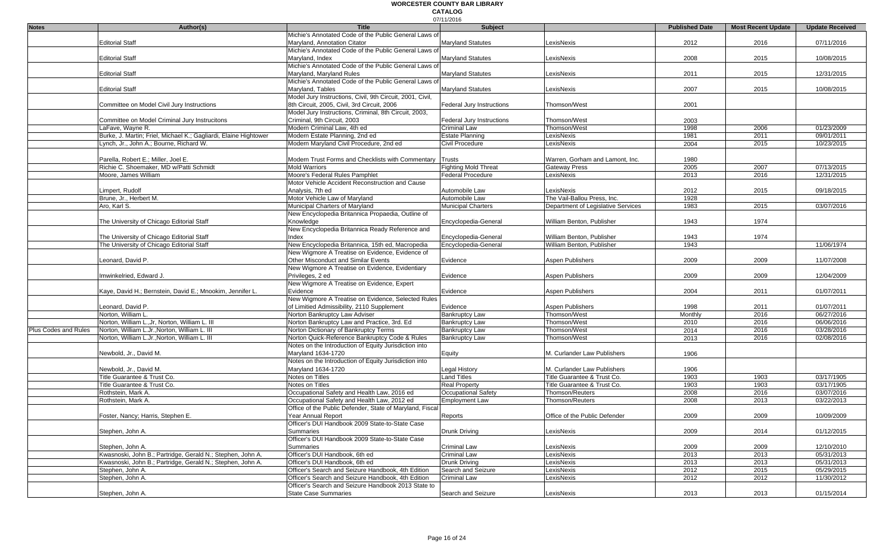|                      |                                                                  |                                                           | 07/11/2016                  |                                    |                       |                           |                        |
|----------------------|------------------------------------------------------------------|-----------------------------------------------------------|-----------------------------|------------------------------------|-----------------------|---------------------------|------------------------|
| <b>Notes</b>         | Author(s)                                                        | <b>Title</b>                                              | Subject                     |                                    | <b>Published Date</b> | <b>Most Recent Update</b> | <b>Update Received</b> |
|                      |                                                                  | Michie's Annotated Code of the Public General Laws of     |                             |                                    |                       |                           |                        |
|                      | <b>Editorial Staff</b>                                           | Marvland, Annotation Citator                              | <b>Maryland Statutes</b>    | LexisNexis                         | 2012                  | 2016                      | 07/11/2016             |
|                      |                                                                  | Michie's Annotated Code of the Public General Laws of     |                             |                                    |                       |                           |                        |
|                      | <b>Editorial Staff</b>                                           | Maryland, Index                                           | <b>Maryland Statutes</b>    | LexisNexis                         | 2008                  | 2015                      | 10/08/2015             |
|                      |                                                                  | Michie's Annotated Code of the Public General Laws of     |                             |                                    |                       |                           |                        |
|                      | <b>Editorial Staff</b>                                           | Maryland, Maryland Rules                                  | Maryland Statutes           | LexisNexis                         | 2011                  | 2015                      | 12/31/2015             |
|                      |                                                                  | Michie's Annotated Code of the Public General Laws of     |                             |                                    |                       |                           |                        |
|                      | <b>Editorial Staff</b>                                           | Marvland, Tables                                          | Maryland Statutes           | _exisNexis                         | 2007                  | 2015                      | 10/08/2015             |
|                      |                                                                  | Model Jury Instructions, Civil, 9th Circuit, 2001, Civil, |                             |                                    |                       |                           |                        |
|                      | Committee on Model Civil Jury Instructions                       | 8th Circuit, 2005, Civil, 3rd Circuit, 2006               | Federal Jury Instructions   | Thomson/West                       | 2001                  |                           |                        |
|                      |                                                                  | Model Jury Instructions, Criminal, 8th Circuit, 2003,     |                             |                                    |                       |                           |                        |
|                      | Committee on Model Criminal Jury Instrucitons                    | Criminal, 9th Circuit, 2003                               | Federal Jury Instructions   | Thomson/West                       | 2003                  |                           |                        |
|                      | LaFave, Wayne R.                                                 | Modern Criminal Law, 4th ed                               | <b>Criminal Law</b>         | Thomson/West                       | 1998                  | 2006                      | 01/23/2009             |
|                      | Burke, J. Martin; Friel, Michael K.; Gagliardi, Elaine Hightower | Modern Estate Planning, 2nd ed                            | Estate Planning             | LexisNexis                         | 1981                  | 2011                      | 09/01/2011             |
|                      | Lynch, Jr., John A.; Bourne, Richard W.                          | Modern Maryland Civil Procedure, 2nd ed                   | Civil Procedure             | LexisNexis                         | 2004                  | 2015                      | 10/23/2015             |
|                      |                                                                  |                                                           |                             |                                    |                       |                           |                        |
|                      | Parella, Robert E.; Miller, Joel E.                              | Modern Trust Forms and Checklists with Commentary         | <b>Trusts</b>               | Warren, Gorham and Lamont, Inc.    | 1980                  |                           |                        |
|                      | Richie C. Shoemaker, MD w/Patti Schmidt                          | <b>Mold Warriors</b>                                      | <b>Fighting Mold Threat</b> | <b>Gateway Press</b>               | 2005                  | 2007                      | 07/13/2015             |
|                      | Moore, James William                                             | Moore's Federal Rules Pamphlet                            | <b>Federal Procedure</b>    | LexisNexis                         | 2013                  | 2016                      | 12/31/2015             |
|                      |                                                                  | Motor Vehicle Accident Reconstruction and Cause           |                             |                                    |                       |                           |                        |
|                      | _impert, Rudolf                                                  | Analysis, 7th ed                                          | Automobile Law              | LexisNexis                         | 2012                  | 2015                      | 09/18/2015             |
|                      | Brune, Jr., Herbert M.                                           | Motor Vehicle Law of Maryland                             | Automobile Law              | The Vail-Ballou Press, Inc.        | 1928                  |                           |                        |
|                      | Aro, Karl S.                                                     | Municipal Charters of Maryland                            | Municipal Charters          | Department of Legislative Services | 1983                  | 2015                      | 03/07/2016             |
|                      |                                                                  | New Encyclopedia Britannica Propaedia, Outline of         |                             |                                    |                       |                           |                        |
|                      | The University of Chicago Editorial Staff                        | Knowledge                                                 | Encyclopedia-General        | William Benton, Publisher          | 1943                  | 1974                      |                        |
|                      |                                                                  | New Encyclopedia Britannica Ready Reference and           |                             |                                    |                       |                           |                        |
|                      | The University of Chicago Editorial Staff                        | Index                                                     | Encyclopedia-General        | William Benton, Publisher          | 1943                  | 1974                      |                        |
|                      | The University of Chicago Editorial Staff                        | New Encyclopedia Britannica, 15th ed, Macropedia          | Encyclopedia-General        | William Benton, Publisher          | 1943                  |                           | 11/06/1974             |
|                      |                                                                  | New Wigmore A Treatise on Evidence, Evidence of           |                             |                                    |                       |                           |                        |
|                      | Leonard, David P.                                                | Other Misconduct and Similar Events                       | Evidence                    | Aspen Publishers                   | 2009                  | 2009                      | 11/07/2008             |
|                      |                                                                  | New Wigmore A Treatise on Evidence, Evidentiary           |                             |                                    |                       |                           |                        |
|                      | mwinkelried. Edward J.                                           |                                                           | Evidence                    | Aspen Publishers                   |                       |                           |                        |
|                      |                                                                  | Privileges, 2 ed                                          |                             |                                    | 2009                  | 2009                      | 12/04/2009             |
|                      |                                                                  | New Wigmore A Treatise on Evidence, Expert                |                             |                                    |                       |                           |                        |
|                      | Kaye, David H.; Bernstein, David E.; Mnookim, Jennifer L.        | Evidence                                                  | Evidence                    | <b>Aspen Publishers</b>            | 2004                  | 2011                      | 01/07/2011             |
|                      |                                                                  | New Wigmore A Treatise on Evidence, Selected Rules        |                             |                                    |                       |                           |                        |
|                      | Leonard, David P.                                                | of Limitied Admissibility, 2110 Supplement                | Evidence                    | Aspen Publishers                   | 1998                  | 2011                      | 01/07/2011             |
|                      | Norton, William L.                                               | Norton Bankruptcy Law Adviser                             | <b>Bankruptcy Law</b>       | Thomson/West                       | Monthly               | 2016                      | 06/27/2016             |
|                      | Norton, William L., Jr, Norton, William L. III                   | Norton Bankruptcy Law and Practice, 3rd. Ed               | <b>Bankruptcy Law</b>       | Thomson/West                       | 2010                  | 2016                      | 06/06/2016             |
| Plus Codes and Rules | Norton, William L.Jr., Norton, William L. III                    | Norton Dictionary of Bankruptcy Terms                     | <b>Bankruptcy Law</b>       | Thomson/West                       | 2014                  | 2016                      | 03/28/2016             |
|                      | Norton, William L.Jr., Norton, William L. III                    | Norton Quick-Reference Bankruptcy Code & Rules            | <b>Bankruptcy Law</b>       | Thomson/West                       | 2013                  | 2016                      | 02/08/2016             |
|                      |                                                                  | Notes on the Introduction of Equity Jurisdiction into     |                             |                                    |                       |                           |                        |
|                      | Newbold, Jr., David M.                                           | Maryland 1634-1720                                        | Equity                      | M. Curlander Law Publishers        | 1906                  |                           |                        |
|                      |                                                                  | Notes on the Introduction of Equity Jurisdiction into     |                             |                                    |                       |                           |                        |
|                      | Newbold, Jr., David M.                                           | Maryland 1634-1720                                        | Legal History               | M. Curlander Law Publishers        | 1906                  |                           |                        |
|                      | Title Guarantee & Trust Co.                                      | Notes on Titles                                           | Land Titles                 | Title Guarantee & Trust Co.        | 1903                  | 1903                      | 03/17/1905             |
|                      | Title Guarantee & Trust Co.                                      | Notes on Titles                                           | <b>Real Property</b>        | Title Guarantee & Trust Co.        | 1903                  | 1903                      | 03/17/1905             |
|                      | Rothstein, Mark A.                                               | Occupational Safety and Health Law, 2016 ed               | Occupational Safety         | Thomson/Reuters                    | 2008                  | 2016                      | 03/07/2016             |
|                      | Rothstein, Mark A.                                               | Occupational Safety and Health Law, 2012 ed               | Employment Law              | <b>Thomson/Reuters</b>             | 2008                  | 2013                      | 03/22/2013             |
|                      |                                                                  | Office of the Public Defender, State of Maryland, Fiscal  |                             |                                    |                       |                           |                        |
|                      | Foster, Nancy; Harris, Stephen E.                                | Year Annual Report                                        | Reports                     | Office of the Public Defender      | 2009                  | 2009                      | 10/09/2009             |
|                      |                                                                  | Officer's DUI Handbook 2009 State-to-State Case           |                             |                                    |                       |                           |                        |
|                      | Stephen, John A.                                                 | Summaries                                                 | Drunk Driving               | LexisNexis                         | 2009                  | 2014                      | 01/12/2015             |
|                      |                                                                  | Officer's DUI Handbook 2009 State-to-State Case           |                             |                                    |                       |                           |                        |
|                      | Stephen, John A.                                                 | Summaries                                                 | <b>Criminal Law</b>         | LexisNexis                         | 2009                  | 2009                      | 12/10/2010             |
|                      | Kwasnoski, John B.; Partridge, Gerald N.; Stephen, John A.       | Officer's DUI Handbook, 6th ed                            | Criminal Law                | LexisNexis                         | 2013                  | 2013                      | 05/31/2013             |
|                      | Kwasnoski, John B.; Partridge, Gerald N.; Stephen, John A.       | Officer's DUI Handbook. 6th ed                            | Drunk Driving               | LexisNexis                         | 2013                  | 2013                      | 05/31/2013             |
|                      | Stephen, John A.                                                 | Officer's Search and Seizure Handbook, 4th Edition        | Search and Seizure          | _exisNexis                         | 2012                  | 2015                      | 05/29/2015             |
|                      | Stephen, John A.                                                 | Officer's Search and Seizure Handbook, 4th Edition        | Criminal Law                | _exisNexis                         | 2012                  | 2012                      | 11/30/2012             |
|                      |                                                                  | Officer's Search and Seizure Handbook 2013 State to       |                             |                                    |                       |                           |                        |
|                      |                                                                  |                                                           |                             |                                    |                       |                           |                        |
|                      | Stephen, John A.                                                 | <b>State Case Summaries</b>                               | Search and Seizure          | LexisNexis                         | 2013                  | 2013                      | 01/15/2014             |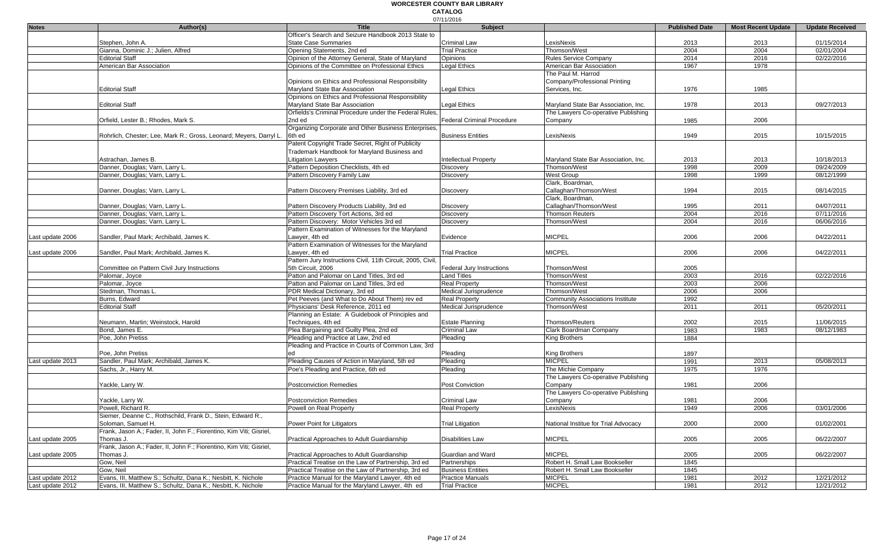| Officer's Search and Seizure Handbook 2013 State to<br>Stephen. John A.<br><b>State Case Summaries</b><br><b>Criminal Law</b><br>LexisNexis<br>2013<br>01/15/2014<br>2013<br>Gianna, Dominic J.; Julien, Alfred<br>Opening Statements, 2nd ed<br><b>Trial Practice</b><br>Thomson/West<br>2004<br>2004<br>02/01/2004<br>02/22/2016<br><b>Editorial Staff</b><br>Opinion of the Attorney General, State of Maryland<br><b>Rules Service Company</b><br>2014<br>2016<br><b>Opinions</b><br>Opinions of the Committee on Professional Ethics<br><b>Legal Ethics</b><br>American Bar Association<br>American Bar Association<br>1967<br>1978<br>The Paul M. Harrod<br>Opinions on Ethics and Professional Responsibility<br>Company/Professional Printing<br><b>Editorial Staff</b><br>Maryland State Bar Association<br>Legal Ethics<br>Services, Inc.<br>1985<br>1976<br>Opinions on Ethics and Professional Responsibility<br><b>Editorial Staff</b><br>Maryland State Bar Association<br>Legal Ethics<br>Maryland State Bar Association, Inc.<br>2013<br>09/27/2013<br>1978<br>Orfields's Criminal Procedure under the Federal Rules.<br>The Lawyers Co-operative Publishing<br>2nd ed<br>Orfield, Lester B.; Rhodes, Mark S.<br>1985<br>2006<br>Federal Criminal Procedure<br>Company<br>Organizing Corporate and Other Business Enterprises,<br>1949<br>2015<br>6th ed<br><b>Business Entities</b><br>LexisNexis<br>10/15/2015<br>Rohrlich, Chester; Lee, Mark R.; Gross, Leonard; Meyers, Darryl L.<br>Patent Copyright Trade Secret, Right of Publicity<br>Trademark Handbook for Maryland Business and<br>Astrachan, James B.<br>Litigation Lawyers<br><b>Intellectual Property</b><br>Maryland State Bar Association, Inc.<br>2013<br>2013<br>10/18/2013<br>Danner, Douglas; Varn, Larry L.<br>Pattern Deposition Checklists, 4th ed<br>1998<br>2009<br>09/24/2009<br>Thomson/West<br>Discovery<br>Danner, Douglas; Varn, Larry L.<br>Pattern Discovery Family Law<br>1999<br>08/12/1999<br>West Group<br>1998<br>Discovery<br>Clark, Boardman,<br>Danner, Douglas; Varn, Larry L.<br>Pattern Discovery Premises Liability, 3rd ed<br>Callaghan/Thomson/West<br>2015<br>08/14/2015<br>Discovery<br>1994<br>Clark, Boardman,<br>Callaghan/Thomson/West<br>Danner, Douglas; Varn, Larry L.<br>Pattern Discovery Products Liability, 3rd ed<br>1995<br>2011<br>04/07/2011<br>Discovery<br>Pattern Discovery Tort Actions, 3rd ed<br>2016<br>07/11/2016<br>Danner, Douglas; Varn, Larry L<br><b>Thomson Reuters</b><br>2004<br>Discovery<br>Pattern Discovery: Motor Vehicles 3rd ed<br>2004<br>2016<br>06/06/2016<br>Danner, Douglas; Varn, Larry L<br>Thomson/West<br>Discovery<br>Pattern Examination of Witnesses for the Maryland<br><b>MICPEL</b><br>Last update 2006<br>2006<br>04/22/2011<br>Sandler, Paul Mark; Archibald, James K.<br>Lawyer, 4th ed<br>Evidence<br>2006<br>Pattern Examination of Witnesses for the Maryland<br><b>MICPEL</b><br>Sandler, Paul Mark; Archibald, James K.<br><b>Trial Practice</b><br>2006<br>2006<br>04/22/2011<br>Last update 2006<br>awver. 4th ed<br>Pattern Jury Instructions Civil, 11th Circuit, 2005, Civil,<br>5th Circuit, 2006<br>Thomson/West<br>2005<br>Committee on Pattern Civil Jury Instructions<br>Federal Jury Instructions<br>Patton and Palomar on Land Titles, 3rd ed<br><b>Land Titles</b><br>2003<br>2016<br>02/22/2016<br>Palomar, Joyce<br>Thomson/West<br>Patton and Palomar on Land Titles, 3rd ed<br>2003<br>2006<br>Palomar, Joyce<br>Real Property<br>Thomson/West<br>PDR Medical Dictionary, 3rd ed<br>2006<br>2006<br>Stedman, Thomas L<br>Medical Jurisprudence<br>Thomson/West<br>Pet Peeves (and What to Do About Them) rev ed<br>1992<br>Burns, Edward<br><b>Real Property</b><br><b>Community Associations Institute</b><br><b>Editorial Staff</b><br>Physicians' Desk Reference, 2011 ed<br>2011<br>Medical Jurisprudence<br>Thomson/West<br>2011<br>05/20/2011<br>Planning an Estate: A Guidebook of Principles and<br>Neumann, Martin; Weinstock, Harold<br>Techniques, 4th ed<br><b>Estate Planning</b><br>Thomson/Reuters<br>2002<br>2015<br>11/06/2015<br>Bond, James E.<br>Plea Bargaining and Guilty Plea, 2nd ed<br><b>Criminal Law</b><br>Clark Boardman Company<br>1983<br>1983<br>08/12/1983<br>1884<br>Poe, John Pretiss<br>Pleading and Practice at Law, 2nd ed<br>Pleading<br>King Brothers<br>Pleading and Practice in Courts of Common Law, 3rd<br>1897<br>Poe, John Pretiss<br>Pleading<br>King Brothers<br><b>MICPEL</b><br>Sandler, Paul Mark; Archibald, James K.<br>Pleading Causes of Action in Maryland, 5th ed<br>1991<br>2013<br>05/08/2013<br>Last update 2013<br>Pleading<br>Poe's Pleading and Practice, 6th ed<br>1976<br>Sachs, Jr., Harry M.<br>Pleading<br>The Michie Company<br>1975<br>The Lawyers Co-operative Publishing<br>2006<br>Yackle, Larry W.<br><b>Postconviction Remedies</b><br>Post Conviction<br>1981<br>Company<br>The Lawyers Co-operative Publishing<br>Yackle, Larry W.<br><b>Postconviction Remedies</b><br><b>Criminal Law</b><br>Company<br>1981<br>2006<br>Powell, Richard R.<br>LexisNexis<br>2006<br><b>Real Property</b><br>1949<br>03/01/2006<br>Powell on Real Property<br>Siemer, Deanne C., Rothschild, Frank D., Stein, Edward R.<br>2000<br>Soloman, Samuel H.<br><b>Trial Litigation</b><br>National Institue for Trial Advocacy<br>2000<br>01/02/2001<br>Power Point for Litigators<br>Frank, Jason A.; Fader, II, John F.; Fiorentino, Kim Viti; Gisriel,<br><b>MICPEL</b><br>Practical Approaches to Adult Guardianship<br>Disabilities Law<br>2005<br>2005<br>06/22/2007<br>Thomas J.<br>Frank, Jason A.; Fader, II, John F.; Fiorentino, Kim Viti; Gisriel,<br><b>MICPEL</b><br>2005<br>06/22/2007<br>Practical Approaches to Adult Guardianship<br>Guardian and Ward<br>2005<br>Thomas J.<br>Practical Treatise on the Law of Partnership, 3rd ed<br>Robert H. Small Law Bookseller<br>Gow, Neil<br>1845<br>Partnerships<br>Gow, Neil<br>Practical Treatise on the Law of Partnership, 3rd ed<br><b>Business Entities</b><br>Robert H. Small Law Bookseller<br>1845<br>Practice Manual for the Maryland Lawyer, 4th ed<br><b>Practice Manuals</b><br><b>MICPEL</b><br>1981<br>2012<br>12/21/2012<br>Evans, III, Matthew S.; Schultz, Dana K.; Nesbitt, K. Nichole<br>Evans, III, Matthew S.; Schultz, Dana K.; Nesbitt, K. Nichole<br>Practice Manual for the Maryland Lawyer, 4th ed<br><b>Trial Practice</b><br><b>MICPEL</b><br>1981<br>2012<br>12/21/2012 | <b>Notes</b>     | Author(s) | <b>Title</b> | 07/11/2016<br><b>Subject</b> | <b>Published Date</b> | <b>Most Recent Update</b> | <b>Update Received</b> |
|--------------------------------------------------------------------------------------------------------------------------------------------------------------------------------------------------------------------------------------------------------------------------------------------------------------------------------------------------------------------------------------------------------------------------------------------------------------------------------------------------------------------------------------------------------------------------------------------------------------------------------------------------------------------------------------------------------------------------------------------------------------------------------------------------------------------------------------------------------------------------------------------------------------------------------------------------------------------------------------------------------------------------------------------------------------------------------------------------------------------------------------------------------------------------------------------------------------------------------------------------------------------------------------------------------------------------------------------------------------------------------------------------------------------------------------------------------------------------------------------------------------------------------------------------------------------------------------------------------------------------------------------------------------------------------------------------------------------------------------------------------------------------------------------------------------------------------------------------------------------------------------------------------------------------------------------------------------------------------------------------------------------------------------------------------------------------------------------------------------------------------------------------------------------------------------------------------------------------------------------------------------------------------------------------------------------------------------------------------------------------------------------------------------------------------------------------------------------------------------------------------------------------------------------------------------------------------------------------------------------------------------------------------------------------------------------------------------------------------------------------------------------------------------------------------------------------------------------------------------------------------------------------------------------------------------------------------------------------------------------------------------------------------------------------------------------------------------------------------------------------------------------------------------------------------------------------------------------------------------------------------------------------------------------------------------------------------------------------------------------------------------------------------------------------------------------------------------------------------------------------------------------------------------------------------------------------------------------------------------------------------------------------------------------------------------------------------------------------------------------------------------------------------------------------------------------------------------------------------------------------------------------------------------------------------------------------------------------------------------------------------------------------------------------------------------------------------------------------------------------------------------------------------------------------------------------------------------------------------------------------------------------------------------------------------------------------------------------------------------------------------------------------------------------------------------------------------------------------------------------------------------------------------------------------------------------------------------------------------------------------------------------------------------------------------------------------------------------------------------------------------------------------------------------------------------------------------------------------------------------------------------------------------------------------------------------------------------------------------------------------------------------------------------------------------------------------------------------------------------------------------------------------------------------------------------------------------------------------------------------------------------------------------------------------------------------------------------------------------------------------------------------------------------------------------------------------------------------------------------------------------------------------------------------------------------------------------------------------------------------------------------------------------------------------------------------------------------------------------------------------------------------------------------------------------------------------------------------------------------------------------------------------------------------------------------------------------------------------------------------------------------------------------------------------------------------------------------------------------------------------------------------------------------------------------------------------------------------------------------------------------------------------------------------------------------------------------------------------------------------------------------------------------------------------------------------------------------------------------------------------------------------------|------------------|-----------|--------------|------------------------------|-----------------------|---------------------------|------------------------|
|                                                                                                                                                                                                                                                                                                                                                                                                                                                                                                                                                                                                                                                                                                                                                                                                                                                                                                                                                                                                                                                                                                                                                                                                                                                                                                                                                                                                                                                                                                                                                                                                                                                                                                                                                                                                                                                                                                                                                                                                                                                                                                                                                                                                                                                                                                                                                                                                                                                                                                                                                                                                                                                                                                                                                                                                                                                                                                                                                                                                                                                                                                                                                                                                                                                                                                                                                                                                                                                                                                                                                                                                                                                                                                                                                                                                                                                                                                                                                                                                                                                                                                                                                                                                                                                                                                                                                                                                                                                                                                                                                                                                                                                                                                                                                                                                                                                                                                                                                                                                                                                                                                                                                                                                                                                                                                                                                                                                                                                                                                                                                                                                                                                                                                                                                                                                                                                                                                                                                                                                                                                                                                                                                                                                                                                                                                                                                                                                                                                                                                                          |                  |           |              |                              |                       |                           |                        |
|                                                                                                                                                                                                                                                                                                                                                                                                                                                                                                                                                                                                                                                                                                                                                                                                                                                                                                                                                                                                                                                                                                                                                                                                                                                                                                                                                                                                                                                                                                                                                                                                                                                                                                                                                                                                                                                                                                                                                                                                                                                                                                                                                                                                                                                                                                                                                                                                                                                                                                                                                                                                                                                                                                                                                                                                                                                                                                                                                                                                                                                                                                                                                                                                                                                                                                                                                                                                                                                                                                                                                                                                                                                                                                                                                                                                                                                                                                                                                                                                                                                                                                                                                                                                                                                                                                                                                                                                                                                                                                                                                                                                                                                                                                                                                                                                                                                                                                                                                                                                                                                                                                                                                                                                                                                                                                                                                                                                                                                                                                                                                                                                                                                                                                                                                                                                                                                                                                                                                                                                                                                                                                                                                                                                                                                                                                                                                                                                                                                                                                                          |                  |           |              |                              |                       |                           |                        |
|                                                                                                                                                                                                                                                                                                                                                                                                                                                                                                                                                                                                                                                                                                                                                                                                                                                                                                                                                                                                                                                                                                                                                                                                                                                                                                                                                                                                                                                                                                                                                                                                                                                                                                                                                                                                                                                                                                                                                                                                                                                                                                                                                                                                                                                                                                                                                                                                                                                                                                                                                                                                                                                                                                                                                                                                                                                                                                                                                                                                                                                                                                                                                                                                                                                                                                                                                                                                                                                                                                                                                                                                                                                                                                                                                                                                                                                                                                                                                                                                                                                                                                                                                                                                                                                                                                                                                                                                                                                                                                                                                                                                                                                                                                                                                                                                                                                                                                                                                                                                                                                                                                                                                                                                                                                                                                                                                                                                                                                                                                                                                                                                                                                                                                                                                                                                                                                                                                                                                                                                                                                                                                                                                                                                                                                                                                                                                                                                                                                                                                                          |                  |           |              |                              |                       |                           |                        |
|                                                                                                                                                                                                                                                                                                                                                                                                                                                                                                                                                                                                                                                                                                                                                                                                                                                                                                                                                                                                                                                                                                                                                                                                                                                                                                                                                                                                                                                                                                                                                                                                                                                                                                                                                                                                                                                                                                                                                                                                                                                                                                                                                                                                                                                                                                                                                                                                                                                                                                                                                                                                                                                                                                                                                                                                                                                                                                                                                                                                                                                                                                                                                                                                                                                                                                                                                                                                                                                                                                                                                                                                                                                                                                                                                                                                                                                                                                                                                                                                                                                                                                                                                                                                                                                                                                                                                                                                                                                                                                                                                                                                                                                                                                                                                                                                                                                                                                                                                                                                                                                                                                                                                                                                                                                                                                                                                                                                                                                                                                                                                                                                                                                                                                                                                                                                                                                                                                                                                                                                                                                                                                                                                                                                                                                                                                                                                                                                                                                                                                                          |                  |           |              |                              |                       |                           |                        |
|                                                                                                                                                                                                                                                                                                                                                                                                                                                                                                                                                                                                                                                                                                                                                                                                                                                                                                                                                                                                                                                                                                                                                                                                                                                                                                                                                                                                                                                                                                                                                                                                                                                                                                                                                                                                                                                                                                                                                                                                                                                                                                                                                                                                                                                                                                                                                                                                                                                                                                                                                                                                                                                                                                                                                                                                                                                                                                                                                                                                                                                                                                                                                                                                                                                                                                                                                                                                                                                                                                                                                                                                                                                                                                                                                                                                                                                                                                                                                                                                                                                                                                                                                                                                                                                                                                                                                                                                                                                                                                                                                                                                                                                                                                                                                                                                                                                                                                                                                                                                                                                                                                                                                                                                                                                                                                                                                                                                                                                                                                                                                                                                                                                                                                                                                                                                                                                                                                                                                                                                                                                                                                                                                                                                                                                                                                                                                                                                                                                                                                                          |                  |           |              |                              |                       |                           |                        |
|                                                                                                                                                                                                                                                                                                                                                                                                                                                                                                                                                                                                                                                                                                                                                                                                                                                                                                                                                                                                                                                                                                                                                                                                                                                                                                                                                                                                                                                                                                                                                                                                                                                                                                                                                                                                                                                                                                                                                                                                                                                                                                                                                                                                                                                                                                                                                                                                                                                                                                                                                                                                                                                                                                                                                                                                                                                                                                                                                                                                                                                                                                                                                                                                                                                                                                                                                                                                                                                                                                                                                                                                                                                                                                                                                                                                                                                                                                                                                                                                                                                                                                                                                                                                                                                                                                                                                                                                                                                                                                                                                                                                                                                                                                                                                                                                                                                                                                                                                                                                                                                                                                                                                                                                                                                                                                                                                                                                                                                                                                                                                                                                                                                                                                                                                                                                                                                                                                                                                                                                                                                                                                                                                                                                                                                                                                                                                                                                                                                                                                                          |                  |           |              |                              |                       |                           |                        |
|                                                                                                                                                                                                                                                                                                                                                                                                                                                                                                                                                                                                                                                                                                                                                                                                                                                                                                                                                                                                                                                                                                                                                                                                                                                                                                                                                                                                                                                                                                                                                                                                                                                                                                                                                                                                                                                                                                                                                                                                                                                                                                                                                                                                                                                                                                                                                                                                                                                                                                                                                                                                                                                                                                                                                                                                                                                                                                                                                                                                                                                                                                                                                                                                                                                                                                                                                                                                                                                                                                                                                                                                                                                                                                                                                                                                                                                                                                                                                                                                                                                                                                                                                                                                                                                                                                                                                                                                                                                                                                                                                                                                                                                                                                                                                                                                                                                                                                                                                                                                                                                                                                                                                                                                                                                                                                                                                                                                                                                                                                                                                                                                                                                                                                                                                                                                                                                                                                                                                                                                                                                                                                                                                                                                                                                                                                                                                                                                                                                                                                                          |                  |           |              |                              |                       |                           |                        |
|                                                                                                                                                                                                                                                                                                                                                                                                                                                                                                                                                                                                                                                                                                                                                                                                                                                                                                                                                                                                                                                                                                                                                                                                                                                                                                                                                                                                                                                                                                                                                                                                                                                                                                                                                                                                                                                                                                                                                                                                                                                                                                                                                                                                                                                                                                                                                                                                                                                                                                                                                                                                                                                                                                                                                                                                                                                                                                                                                                                                                                                                                                                                                                                                                                                                                                                                                                                                                                                                                                                                                                                                                                                                                                                                                                                                                                                                                                                                                                                                                                                                                                                                                                                                                                                                                                                                                                                                                                                                                                                                                                                                                                                                                                                                                                                                                                                                                                                                                                                                                                                                                                                                                                                                                                                                                                                                                                                                                                                                                                                                                                                                                                                                                                                                                                                                                                                                                                                                                                                                                                                                                                                                                                                                                                                                                                                                                                                                                                                                                                                          |                  |           |              |                              |                       |                           |                        |
|                                                                                                                                                                                                                                                                                                                                                                                                                                                                                                                                                                                                                                                                                                                                                                                                                                                                                                                                                                                                                                                                                                                                                                                                                                                                                                                                                                                                                                                                                                                                                                                                                                                                                                                                                                                                                                                                                                                                                                                                                                                                                                                                                                                                                                                                                                                                                                                                                                                                                                                                                                                                                                                                                                                                                                                                                                                                                                                                                                                                                                                                                                                                                                                                                                                                                                                                                                                                                                                                                                                                                                                                                                                                                                                                                                                                                                                                                                                                                                                                                                                                                                                                                                                                                                                                                                                                                                                                                                                                                                                                                                                                                                                                                                                                                                                                                                                                                                                                                                                                                                                                                                                                                                                                                                                                                                                                                                                                                                                                                                                                                                                                                                                                                                                                                                                                                                                                                                                                                                                                                                                                                                                                                                                                                                                                                                                                                                                                                                                                                                                          |                  |           |              |                              |                       |                           |                        |
|                                                                                                                                                                                                                                                                                                                                                                                                                                                                                                                                                                                                                                                                                                                                                                                                                                                                                                                                                                                                                                                                                                                                                                                                                                                                                                                                                                                                                                                                                                                                                                                                                                                                                                                                                                                                                                                                                                                                                                                                                                                                                                                                                                                                                                                                                                                                                                                                                                                                                                                                                                                                                                                                                                                                                                                                                                                                                                                                                                                                                                                                                                                                                                                                                                                                                                                                                                                                                                                                                                                                                                                                                                                                                                                                                                                                                                                                                                                                                                                                                                                                                                                                                                                                                                                                                                                                                                                                                                                                                                                                                                                                                                                                                                                                                                                                                                                                                                                                                                                                                                                                                                                                                                                                                                                                                                                                                                                                                                                                                                                                                                                                                                                                                                                                                                                                                                                                                                                                                                                                                                                                                                                                                                                                                                                                                                                                                                                                                                                                                                                          |                  |           |              |                              |                       |                           |                        |
|                                                                                                                                                                                                                                                                                                                                                                                                                                                                                                                                                                                                                                                                                                                                                                                                                                                                                                                                                                                                                                                                                                                                                                                                                                                                                                                                                                                                                                                                                                                                                                                                                                                                                                                                                                                                                                                                                                                                                                                                                                                                                                                                                                                                                                                                                                                                                                                                                                                                                                                                                                                                                                                                                                                                                                                                                                                                                                                                                                                                                                                                                                                                                                                                                                                                                                                                                                                                                                                                                                                                                                                                                                                                                                                                                                                                                                                                                                                                                                                                                                                                                                                                                                                                                                                                                                                                                                                                                                                                                                                                                                                                                                                                                                                                                                                                                                                                                                                                                                                                                                                                                                                                                                                                                                                                                                                                                                                                                                                                                                                                                                                                                                                                                                                                                                                                                                                                                                                                                                                                                                                                                                                                                                                                                                                                                                                                                                                                                                                                                                                          |                  |           |              |                              |                       |                           |                        |
|                                                                                                                                                                                                                                                                                                                                                                                                                                                                                                                                                                                                                                                                                                                                                                                                                                                                                                                                                                                                                                                                                                                                                                                                                                                                                                                                                                                                                                                                                                                                                                                                                                                                                                                                                                                                                                                                                                                                                                                                                                                                                                                                                                                                                                                                                                                                                                                                                                                                                                                                                                                                                                                                                                                                                                                                                                                                                                                                                                                                                                                                                                                                                                                                                                                                                                                                                                                                                                                                                                                                                                                                                                                                                                                                                                                                                                                                                                                                                                                                                                                                                                                                                                                                                                                                                                                                                                                                                                                                                                                                                                                                                                                                                                                                                                                                                                                                                                                                                                                                                                                                                                                                                                                                                                                                                                                                                                                                                                                                                                                                                                                                                                                                                                                                                                                                                                                                                                                                                                                                                                                                                                                                                                                                                                                                                                                                                                                                                                                                                                                          |                  |           |              |                              |                       |                           |                        |
|                                                                                                                                                                                                                                                                                                                                                                                                                                                                                                                                                                                                                                                                                                                                                                                                                                                                                                                                                                                                                                                                                                                                                                                                                                                                                                                                                                                                                                                                                                                                                                                                                                                                                                                                                                                                                                                                                                                                                                                                                                                                                                                                                                                                                                                                                                                                                                                                                                                                                                                                                                                                                                                                                                                                                                                                                                                                                                                                                                                                                                                                                                                                                                                                                                                                                                                                                                                                                                                                                                                                                                                                                                                                                                                                                                                                                                                                                                                                                                                                                                                                                                                                                                                                                                                                                                                                                                                                                                                                                                                                                                                                                                                                                                                                                                                                                                                                                                                                                                                                                                                                                                                                                                                                                                                                                                                                                                                                                                                                                                                                                                                                                                                                                                                                                                                                                                                                                                                                                                                                                                                                                                                                                                                                                                                                                                                                                                                                                                                                                                                          |                  |           |              |                              |                       |                           |                        |
|                                                                                                                                                                                                                                                                                                                                                                                                                                                                                                                                                                                                                                                                                                                                                                                                                                                                                                                                                                                                                                                                                                                                                                                                                                                                                                                                                                                                                                                                                                                                                                                                                                                                                                                                                                                                                                                                                                                                                                                                                                                                                                                                                                                                                                                                                                                                                                                                                                                                                                                                                                                                                                                                                                                                                                                                                                                                                                                                                                                                                                                                                                                                                                                                                                                                                                                                                                                                                                                                                                                                                                                                                                                                                                                                                                                                                                                                                                                                                                                                                                                                                                                                                                                                                                                                                                                                                                                                                                                                                                                                                                                                                                                                                                                                                                                                                                                                                                                                                                                                                                                                                                                                                                                                                                                                                                                                                                                                                                                                                                                                                                                                                                                                                                                                                                                                                                                                                                                                                                                                                                                                                                                                                                                                                                                                                                                                                                                                                                                                                                                          |                  |           |              |                              |                       |                           |                        |
|                                                                                                                                                                                                                                                                                                                                                                                                                                                                                                                                                                                                                                                                                                                                                                                                                                                                                                                                                                                                                                                                                                                                                                                                                                                                                                                                                                                                                                                                                                                                                                                                                                                                                                                                                                                                                                                                                                                                                                                                                                                                                                                                                                                                                                                                                                                                                                                                                                                                                                                                                                                                                                                                                                                                                                                                                                                                                                                                                                                                                                                                                                                                                                                                                                                                                                                                                                                                                                                                                                                                                                                                                                                                                                                                                                                                                                                                                                                                                                                                                                                                                                                                                                                                                                                                                                                                                                                                                                                                                                                                                                                                                                                                                                                                                                                                                                                                                                                                                                                                                                                                                                                                                                                                                                                                                                                                                                                                                                                                                                                                                                                                                                                                                                                                                                                                                                                                                                                                                                                                                                                                                                                                                                                                                                                                                                                                                                                                                                                                                                                          |                  |           |              |                              |                       |                           |                        |
|                                                                                                                                                                                                                                                                                                                                                                                                                                                                                                                                                                                                                                                                                                                                                                                                                                                                                                                                                                                                                                                                                                                                                                                                                                                                                                                                                                                                                                                                                                                                                                                                                                                                                                                                                                                                                                                                                                                                                                                                                                                                                                                                                                                                                                                                                                                                                                                                                                                                                                                                                                                                                                                                                                                                                                                                                                                                                                                                                                                                                                                                                                                                                                                                                                                                                                                                                                                                                                                                                                                                                                                                                                                                                                                                                                                                                                                                                                                                                                                                                                                                                                                                                                                                                                                                                                                                                                                                                                                                                                                                                                                                                                                                                                                                                                                                                                                                                                                                                                                                                                                                                                                                                                                                                                                                                                                                                                                                                                                                                                                                                                                                                                                                                                                                                                                                                                                                                                                                                                                                                                                                                                                                                                                                                                                                                                                                                                                                                                                                                                                          |                  |           |              |                              |                       |                           |                        |
|                                                                                                                                                                                                                                                                                                                                                                                                                                                                                                                                                                                                                                                                                                                                                                                                                                                                                                                                                                                                                                                                                                                                                                                                                                                                                                                                                                                                                                                                                                                                                                                                                                                                                                                                                                                                                                                                                                                                                                                                                                                                                                                                                                                                                                                                                                                                                                                                                                                                                                                                                                                                                                                                                                                                                                                                                                                                                                                                                                                                                                                                                                                                                                                                                                                                                                                                                                                                                                                                                                                                                                                                                                                                                                                                                                                                                                                                                                                                                                                                                                                                                                                                                                                                                                                                                                                                                                                                                                                                                                                                                                                                                                                                                                                                                                                                                                                                                                                                                                                                                                                                                                                                                                                                                                                                                                                                                                                                                                                                                                                                                                                                                                                                                                                                                                                                                                                                                                                                                                                                                                                                                                                                                                                                                                                                                                                                                                                                                                                                                                                          |                  |           |              |                              |                       |                           |                        |
|                                                                                                                                                                                                                                                                                                                                                                                                                                                                                                                                                                                                                                                                                                                                                                                                                                                                                                                                                                                                                                                                                                                                                                                                                                                                                                                                                                                                                                                                                                                                                                                                                                                                                                                                                                                                                                                                                                                                                                                                                                                                                                                                                                                                                                                                                                                                                                                                                                                                                                                                                                                                                                                                                                                                                                                                                                                                                                                                                                                                                                                                                                                                                                                                                                                                                                                                                                                                                                                                                                                                                                                                                                                                                                                                                                                                                                                                                                                                                                                                                                                                                                                                                                                                                                                                                                                                                                                                                                                                                                                                                                                                                                                                                                                                                                                                                                                                                                                                                                                                                                                                                                                                                                                                                                                                                                                                                                                                                                                                                                                                                                                                                                                                                                                                                                                                                                                                                                                                                                                                                                                                                                                                                                                                                                                                                                                                                                                                                                                                                                                          |                  |           |              |                              |                       |                           |                        |
|                                                                                                                                                                                                                                                                                                                                                                                                                                                                                                                                                                                                                                                                                                                                                                                                                                                                                                                                                                                                                                                                                                                                                                                                                                                                                                                                                                                                                                                                                                                                                                                                                                                                                                                                                                                                                                                                                                                                                                                                                                                                                                                                                                                                                                                                                                                                                                                                                                                                                                                                                                                                                                                                                                                                                                                                                                                                                                                                                                                                                                                                                                                                                                                                                                                                                                                                                                                                                                                                                                                                                                                                                                                                                                                                                                                                                                                                                                                                                                                                                                                                                                                                                                                                                                                                                                                                                                                                                                                                                                                                                                                                                                                                                                                                                                                                                                                                                                                                                                                                                                                                                                                                                                                                                                                                                                                                                                                                                                                                                                                                                                                                                                                                                                                                                                                                                                                                                                                                                                                                                                                                                                                                                                                                                                                                                                                                                                                                                                                                                                                          |                  |           |              |                              |                       |                           |                        |
|                                                                                                                                                                                                                                                                                                                                                                                                                                                                                                                                                                                                                                                                                                                                                                                                                                                                                                                                                                                                                                                                                                                                                                                                                                                                                                                                                                                                                                                                                                                                                                                                                                                                                                                                                                                                                                                                                                                                                                                                                                                                                                                                                                                                                                                                                                                                                                                                                                                                                                                                                                                                                                                                                                                                                                                                                                                                                                                                                                                                                                                                                                                                                                                                                                                                                                                                                                                                                                                                                                                                                                                                                                                                                                                                                                                                                                                                                                                                                                                                                                                                                                                                                                                                                                                                                                                                                                                                                                                                                                                                                                                                                                                                                                                                                                                                                                                                                                                                                                                                                                                                                                                                                                                                                                                                                                                                                                                                                                                                                                                                                                                                                                                                                                                                                                                                                                                                                                                                                                                                                                                                                                                                                                                                                                                                                                                                                                                                                                                                                                                          |                  |           |              |                              |                       |                           |                        |
|                                                                                                                                                                                                                                                                                                                                                                                                                                                                                                                                                                                                                                                                                                                                                                                                                                                                                                                                                                                                                                                                                                                                                                                                                                                                                                                                                                                                                                                                                                                                                                                                                                                                                                                                                                                                                                                                                                                                                                                                                                                                                                                                                                                                                                                                                                                                                                                                                                                                                                                                                                                                                                                                                                                                                                                                                                                                                                                                                                                                                                                                                                                                                                                                                                                                                                                                                                                                                                                                                                                                                                                                                                                                                                                                                                                                                                                                                                                                                                                                                                                                                                                                                                                                                                                                                                                                                                                                                                                                                                                                                                                                                                                                                                                                                                                                                                                                                                                                                                                                                                                                                                                                                                                                                                                                                                                                                                                                                                                                                                                                                                                                                                                                                                                                                                                                                                                                                                                                                                                                                                                                                                                                                                                                                                                                                                                                                                                                                                                                                                                          |                  |           |              |                              |                       |                           |                        |
|                                                                                                                                                                                                                                                                                                                                                                                                                                                                                                                                                                                                                                                                                                                                                                                                                                                                                                                                                                                                                                                                                                                                                                                                                                                                                                                                                                                                                                                                                                                                                                                                                                                                                                                                                                                                                                                                                                                                                                                                                                                                                                                                                                                                                                                                                                                                                                                                                                                                                                                                                                                                                                                                                                                                                                                                                                                                                                                                                                                                                                                                                                                                                                                                                                                                                                                                                                                                                                                                                                                                                                                                                                                                                                                                                                                                                                                                                                                                                                                                                                                                                                                                                                                                                                                                                                                                                                                                                                                                                                                                                                                                                                                                                                                                                                                                                                                                                                                                                                                                                                                                                                                                                                                                                                                                                                                                                                                                                                                                                                                                                                                                                                                                                                                                                                                                                                                                                                                                                                                                                                                                                                                                                                                                                                                                                                                                                                                                                                                                                                                          |                  |           |              |                              |                       |                           |                        |
|                                                                                                                                                                                                                                                                                                                                                                                                                                                                                                                                                                                                                                                                                                                                                                                                                                                                                                                                                                                                                                                                                                                                                                                                                                                                                                                                                                                                                                                                                                                                                                                                                                                                                                                                                                                                                                                                                                                                                                                                                                                                                                                                                                                                                                                                                                                                                                                                                                                                                                                                                                                                                                                                                                                                                                                                                                                                                                                                                                                                                                                                                                                                                                                                                                                                                                                                                                                                                                                                                                                                                                                                                                                                                                                                                                                                                                                                                                                                                                                                                                                                                                                                                                                                                                                                                                                                                                                                                                                                                                                                                                                                                                                                                                                                                                                                                                                                                                                                                                                                                                                                                                                                                                                                                                                                                                                                                                                                                                                                                                                                                                                                                                                                                                                                                                                                                                                                                                                                                                                                                                                                                                                                                                                                                                                                                                                                                                                                                                                                                                                          |                  |           |              |                              |                       |                           |                        |
|                                                                                                                                                                                                                                                                                                                                                                                                                                                                                                                                                                                                                                                                                                                                                                                                                                                                                                                                                                                                                                                                                                                                                                                                                                                                                                                                                                                                                                                                                                                                                                                                                                                                                                                                                                                                                                                                                                                                                                                                                                                                                                                                                                                                                                                                                                                                                                                                                                                                                                                                                                                                                                                                                                                                                                                                                                                                                                                                                                                                                                                                                                                                                                                                                                                                                                                                                                                                                                                                                                                                                                                                                                                                                                                                                                                                                                                                                                                                                                                                                                                                                                                                                                                                                                                                                                                                                                                                                                                                                                                                                                                                                                                                                                                                                                                                                                                                                                                                                                                                                                                                                                                                                                                                                                                                                                                                                                                                                                                                                                                                                                                                                                                                                                                                                                                                                                                                                                                                                                                                                                                                                                                                                                                                                                                                                                                                                                                                                                                                                                                          |                  |           |              |                              |                       |                           |                        |
|                                                                                                                                                                                                                                                                                                                                                                                                                                                                                                                                                                                                                                                                                                                                                                                                                                                                                                                                                                                                                                                                                                                                                                                                                                                                                                                                                                                                                                                                                                                                                                                                                                                                                                                                                                                                                                                                                                                                                                                                                                                                                                                                                                                                                                                                                                                                                                                                                                                                                                                                                                                                                                                                                                                                                                                                                                                                                                                                                                                                                                                                                                                                                                                                                                                                                                                                                                                                                                                                                                                                                                                                                                                                                                                                                                                                                                                                                                                                                                                                                                                                                                                                                                                                                                                                                                                                                                                                                                                                                                                                                                                                                                                                                                                                                                                                                                                                                                                                                                                                                                                                                                                                                                                                                                                                                                                                                                                                                                                                                                                                                                                                                                                                                                                                                                                                                                                                                                                                                                                                                                                                                                                                                                                                                                                                                                                                                                                                                                                                                                                          |                  |           |              |                              |                       |                           |                        |
|                                                                                                                                                                                                                                                                                                                                                                                                                                                                                                                                                                                                                                                                                                                                                                                                                                                                                                                                                                                                                                                                                                                                                                                                                                                                                                                                                                                                                                                                                                                                                                                                                                                                                                                                                                                                                                                                                                                                                                                                                                                                                                                                                                                                                                                                                                                                                                                                                                                                                                                                                                                                                                                                                                                                                                                                                                                                                                                                                                                                                                                                                                                                                                                                                                                                                                                                                                                                                                                                                                                                                                                                                                                                                                                                                                                                                                                                                                                                                                                                                                                                                                                                                                                                                                                                                                                                                                                                                                                                                                                                                                                                                                                                                                                                                                                                                                                                                                                                                                                                                                                                                                                                                                                                                                                                                                                                                                                                                                                                                                                                                                                                                                                                                                                                                                                                                                                                                                                                                                                                                                                                                                                                                                                                                                                                                                                                                                                                                                                                                                                          |                  |           |              |                              |                       |                           |                        |
|                                                                                                                                                                                                                                                                                                                                                                                                                                                                                                                                                                                                                                                                                                                                                                                                                                                                                                                                                                                                                                                                                                                                                                                                                                                                                                                                                                                                                                                                                                                                                                                                                                                                                                                                                                                                                                                                                                                                                                                                                                                                                                                                                                                                                                                                                                                                                                                                                                                                                                                                                                                                                                                                                                                                                                                                                                                                                                                                                                                                                                                                                                                                                                                                                                                                                                                                                                                                                                                                                                                                                                                                                                                                                                                                                                                                                                                                                                                                                                                                                                                                                                                                                                                                                                                                                                                                                                                                                                                                                                                                                                                                                                                                                                                                                                                                                                                                                                                                                                                                                                                                                                                                                                                                                                                                                                                                                                                                                                                                                                                                                                                                                                                                                                                                                                                                                                                                                                                                                                                                                                                                                                                                                                                                                                                                                                                                                                                                                                                                                                                          |                  |           |              |                              |                       |                           |                        |
|                                                                                                                                                                                                                                                                                                                                                                                                                                                                                                                                                                                                                                                                                                                                                                                                                                                                                                                                                                                                                                                                                                                                                                                                                                                                                                                                                                                                                                                                                                                                                                                                                                                                                                                                                                                                                                                                                                                                                                                                                                                                                                                                                                                                                                                                                                                                                                                                                                                                                                                                                                                                                                                                                                                                                                                                                                                                                                                                                                                                                                                                                                                                                                                                                                                                                                                                                                                                                                                                                                                                                                                                                                                                                                                                                                                                                                                                                                                                                                                                                                                                                                                                                                                                                                                                                                                                                                                                                                                                                                                                                                                                                                                                                                                                                                                                                                                                                                                                                                                                                                                                                                                                                                                                                                                                                                                                                                                                                                                                                                                                                                                                                                                                                                                                                                                                                                                                                                                                                                                                                                                                                                                                                                                                                                                                                                                                                                                                                                                                                                                          |                  |           |              |                              |                       |                           |                        |
|                                                                                                                                                                                                                                                                                                                                                                                                                                                                                                                                                                                                                                                                                                                                                                                                                                                                                                                                                                                                                                                                                                                                                                                                                                                                                                                                                                                                                                                                                                                                                                                                                                                                                                                                                                                                                                                                                                                                                                                                                                                                                                                                                                                                                                                                                                                                                                                                                                                                                                                                                                                                                                                                                                                                                                                                                                                                                                                                                                                                                                                                                                                                                                                                                                                                                                                                                                                                                                                                                                                                                                                                                                                                                                                                                                                                                                                                                                                                                                                                                                                                                                                                                                                                                                                                                                                                                                                                                                                                                                                                                                                                                                                                                                                                                                                                                                                                                                                                                                                                                                                                                                                                                                                                                                                                                                                                                                                                                                                                                                                                                                                                                                                                                                                                                                                                                                                                                                                                                                                                                                                                                                                                                                                                                                                                                                                                                                                                                                                                                                                          |                  |           |              |                              |                       |                           |                        |
|                                                                                                                                                                                                                                                                                                                                                                                                                                                                                                                                                                                                                                                                                                                                                                                                                                                                                                                                                                                                                                                                                                                                                                                                                                                                                                                                                                                                                                                                                                                                                                                                                                                                                                                                                                                                                                                                                                                                                                                                                                                                                                                                                                                                                                                                                                                                                                                                                                                                                                                                                                                                                                                                                                                                                                                                                                                                                                                                                                                                                                                                                                                                                                                                                                                                                                                                                                                                                                                                                                                                                                                                                                                                                                                                                                                                                                                                                                                                                                                                                                                                                                                                                                                                                                                                                                                                                                                                                                                                                                                                                                                                                                                                                                                                                                                                                                                                                                                                                                                                                                                                                                                                                                                                                                                                                                                                                                                                                                                                                                                                                                                                                                                                                                                                                                                                                                                                                                                                                                                                                                                                                                                                                                                                                                                                                                                                                                                                                                                                                                                          |                  |           |              |                              |                       |                           |                        |
|                                                                                                                                                                                                                                                                                                                                                                                                                                                                                                                                                                                                                                                                                                                                                                                                                                                                                                                                                                                                                                                                                                                                                                                                                                                                                                                                                                                                                                                                                                                                                                                                                                                                                                                                                                                                                                                                                                                                                                                                                                                                                                                                                                                                                                                                                                                                                                                                                                                                                                                                                                                                                                                                                                                                                                                                                                                                                                                                                                                                                                                                                                                                                                                                                                                                                                                                                                                                                                                                                                                                                                                                                                                                                                                                                                                                                                                                                                                                                                                                                                                                                                                                                                                                                                                                                                                                                                                                                                                                                                                                                                                                                                                                                                                                                                                                                                                                                                                                                                                                                                                                                                                                                                                                                                                                                                                                                                                                                                                                                                                                                                                                                                                                                                                                                                                                                                                                                                                                                                                                                                                                                                                                                                                                                                                                                                                                                                                                                                                                                                                          |                  |           |              |                              |                       |                           |                        |
|                                                                                                                                                                                                                                                                                                                                                                                                                                                                                                                                                                                                                                                                                                                                                                                                                                                                                                                                                                                                                                                                                                                                                                                                                                                                                                                                                                                                                                                                                                                                                                                                                                                                                                                                                                                                                                                                                                                                                                                                                                                                                                                                                                                                                                                                                                                                                                                                                                                                                                                                                                                                                                                                                                                                                                                                                                                                                                                                                                                                                                                                                                                                                                                                                                                                                                                                                                                                                                                                                                                                                                                                                                                                                                                                                                                                                                                                                                                                                                                                                                                                                                                                                                                                                                                                                                                                                                                                                                                                                                                                                                                                                                                                                                                                                                                                                                                                                                                                                                                                                                                                                                                                                                                                                                                                                                                                                                                                                                                                                                                                                                                                                                                                                                                                                                                                                                                                                                                                                                                                                                                                                                                                                                                                                                                                                                                                                                                                                                                                                                                          |                  |           |              |                              |                       |                           |                        |
|                                                                                                                                                                                                                                                                                                                                                                                                                                                                                                                                                                                                                                                                                                                                                                                                                                                                                                                                                                                                                                                                                                                                                                                                                                                                                                                                                                                                                                                                                                                                                                                                                                                                                                                                                                                                                                                                                                                                                                                                                                                                                                                                                                                                                                                                                                                                                                                                                                                                                                                                                                                                                                                                                                                                                                                                                                                                                                                                                                                                                                                                                                                                                                                                                                                                                                                                                                                                                                                                                                                                                                                                                                                                                                                                                                                                                                                                                                                                                                                                                                                                                                                                                                                                                                                                                                                                                                                                                                                                                                                                                                                                                                                                                                                                                                                                                                                                                                                                                                                                                                                                                                                                                                                                                                                                                                                                                                                                                                                                                                                                                                                                                                                                                                                                                                                                                                                                                                                                                                                                                                                                                                                                                                                                                                                                                                                                                                                                                                                                                                                          |                  |           |              |                              |                       |                           |                        |
|                                                                                                                                                                                                                                                                                                                                                                                                                                                                                                                                                                                                                                                                                                                                                                                                                                                                                                                                                                                                                                                                                                                                                                                                                                                                                                                                                                                                                                                                                                                                                                                                                                                                                                                                                                                                                                                                                                                                                                                                                                                                                                                                                                                                                                                                                                                                                                                                                                                                                                                                                                                                                                                                                                                                                                                                                                                                                                                                                                                                                                                                                                                                                                                                                                                                                                                                                                                                                                                                                                                                                                                                                                                                                                                                                                                                                                                                                                                                                                                                                                                                                                                                                                                                                                                                                                                                                                                                                                                                                                                                                                                                                                                                                                                                                                                                                                                                                                                                                                                                                                                                                                                                                                                                                                                                                                                                                                                                                                                                                                                                                                                                                                                                                                                                                                                                                                                                                                                                                                                                                                                                                                                                                                                                                                                                                                                                                                                                                                                                                                                          |                  |           |              |                              |                       |                           |                        |
|                                                                                                                                                                                                                                                                                                                                                                                                                                                                                                                                                                                                                                                                                                                                                                                                                                                                                                                                                                                                                                                                                                                                                                                                                                                                                                                                                                                                                                                                                                                                                                                                                                                                                                                                                                                                                                                                                                                                                                                                                                                                                                                                                                                                                                                                                                                                                                                                                                                                                                                                                                                                                                                                                                                                                                                                                                                                                                                                                                                                                                                                                                                                                                                                                                                                                                                                                                                                                                                                                                                                                                                                                                                                                                                                                                                                                                                                                                                                                                                                                                                                                                                                                                                                                                                                                                                                                                                                                                                                                                                                                                                                                                                                                                                                                                                                                                                                                                                                                                                                                                                                                                                                                                                                                                                                                                                                                                                                                                                                                                                                                                                                                                                                                                                                                                                                                                                                                                                                                                                                                                                                                                                                                                                                                                                                                                                                                                                                                                                                                                                          |                  |           |              |                              |                       |                           |                        |
|                                                                                                                                                                                                                                                                                                                                                                                                                                                                                                                                                                                                                                                                                                                                                                                                                                                                                                                                                                                                                                                                                                                                                                                                                                                                                                                                                                                                                                                                                                                                                                                                                                                                                                                                                                                                                                                                                                                                                                                                                                                                                                                                                                                                                                                                                                                                                                                                                                                                                                                                                                                                                                                                                                                                                                                                                                                                                                                                                                                                                                                                                                                                                                                                                                                                                                                                                                                                                                                                                                                                                                                                                                                                                                                                                                                                                                                                                                                                                                                                                                                                                                                                                                                                                                                                                                                                                                                                                                                                                                                                                                                                                                                                                                                                                                                                                                                                                                                                                                                                                                                                                                                                                                                                                                                                                                                                                                                                                                                                                                                                                                                                                                                                                                                                                                                                                                                                                                                                                                                                                                                                                                                                                                                                                                                                                                                                                                                                                                                                                                                          |                  |           |              |                              |                       |                           |                        |
|                                                                                                                                                                                                                                                                                                                                                                                                                                                                                                                                                                                                                                                                                                                                                                                                                                                                                                                                                                                                                                                                                                                                                                                                                                                                                                                                                                                                                                                                                                                                                                                                                                                                                                                                                                                                                                                                                                                                                                                                                                                                                                                                                                                                                                                                                                                                                                                                                                                                                                                                                                                                                                                                                                                                                                                                                                                                                                                                                                                                                                                                                                                                                                                                                                                                                                                                                                                                                                                                                                                                                                                                                                                                                                                                                                                                                                                                                                                                                                                                                                                                                                                                                                                                                                                                                                                                                                                                                                                                                                                                                                                                                                                                                                                                                                                                                                                                                                                                                                                                                                                                                                                                                                                                                                                                                                                                                                                                                                                                                                                                                                                                                                                                                                                                                                                                                                                                                                                                                                                                                                                                                                                                                                                                                                                                                                                                                                                                                                                                                                                          |                  |           |              |                              |                       |                           |                        |
|                                                                                                                                                                                                                                                                                                                                                                                                                                                                                                                                                                                                                                                                                                                                                                                                                                                                                                                                                                                                                                                                                                                                                                                                                                                                                                                                                                                                                                                                                                                                                                                                                                                                                                                                                                                                                                                                                                                                                                                                                                                                                                                                                                                                                                                                                                                                                                                                                                                                                                                                                                                                                                                                                                                                                                                                                                                                                                                                                                                                                                                                                                                                                                                                                                                                                                                                                                                                                                                                                                                                                                                                                                                                                                                                                                                                                                                                                                                                                                                                                                                                                                                                                                                                                                                                                                                                                                                                                                                                                                                                                                                                                                                                                                                                                                                                                                                                                                                                                                                                                                                                                                                                                                                                                                                                                                                                                                                                                                                                                                                                                                                                                                                                                                                                                                                                                                                                                                                                                                                                                                                                                                                                                                                                                                                                                                                                                                                                                                                                                                                          |                  |           |              |                              |                       |                           |                        |
|                                                                                                                                                                                                                                                                                                                                                                                                                                                                                                                                                                                                                                                                                                                                                                                                                                                                                                                                                                                                                                                                                                                                                                                                                                                                                                                                                                                                                                                                                                                                                                                                                                                                                                                                                                                                                                                                                                                                                                                                                                                                                                                                                                                                                                                                                                                                                                                                                                                                                                                                                                                                                                                                                                                                                                                                                                                                                                                                                                                                                                                                                                                                                                                                                                                                                                                                                                                                                                                                                                                                                                                                                                                                                                                                                                                                                                                                                                                                                                                                                                                                                                                                                                                                                                                                                                                                                                                                                                                                                                                                                                                                                                                                                                                                                                                                                                                                                                                                                                                                                                                                                                                                                                                                                                                                                                                                                                                                                                                                                                                                                                                                                                                                                                                                                                                                                                                                                                                                                                                                                                                                                                                                                                                                                                                                                                                                                                                                                                                                                                                          |                  |           |              |                              |                       |                           |                        |
|                                                                                                                                                                                                                                                                                                                                                                                                                                                                                                                                                                                                                                                                                                                                                                                                                                                                                                                                                                                                                                                                                                                                                                                                                                                                                                                                                                                                                                                                                                                                                                                                                                                                                                                                                                                                                                                                                                                                                                                                                                                                                                                                                                                                                                                                                                                                                                                                                                                                                                                                                                                                                                                                                                                                                                                                                                                                                                                                                                                                                                                                                                                                                                                                                                                                                                                                                                                                                                                                                                                                                                                                                                                                                                                                                                                                                                                                                                                                                                                                                                                                                                                                                                                                                                                                                                                                                                                                                                                                                                                                                                                                                                                                                                                                                                                                                                                                                                                                                                                                                                                                                                                                                                                                                                                                                                                                                                                                                                                                                                                                                                                                                                                                                                                                                                                                                                                                                                                                                                                                                                                                                                                                                                                                                                                                                                                                                                                                                                                                                                                          |                  |           |              |                              |                       |                           |                        |
|                                                                                                                                                                                                                                                                                                                                                                                                                                                                                                                                                                                                                                                                                                                                                                                                                                                                                                                                                                                                                                                                                                                                                                                                                                                                                                                                                                                                                                                                                                                                                                                                                                                                                                                                                                                                                                                                                                                                                                                                                                                                                                                                                                                                                                                                                                                                                                                                                                                                                                                                                                                                                                                                                                                                                                                                                                                                                                                                                                                                                                                                                                                                                                                                                                                                                                                                                                                                                                                                                                                                                                                                                                                                                                                                                                                                                                                                                                                                                                                                                                                                                                                                                                                                                                                                                                                                                                                                                                                                                                                                                                                                                                                                                                                                                                                                                                                                                                                                                                                                                                                                                                                                                                                                                                                                                                                                                                                                                                                                                                                                                                                                                                                                                                                                                                                                                                                                                                                                                                                                                                                                                                                                                                                                                                                                                                                                                                                                                                                                                                                          |                  |           |              |                              |                       |                           |                        |
|                                                                                                                                                                                                                                                                                                                                                                                                                                                                                                                                                                                                                                                                                                                                                                                                                                                                                                                                                                                                                                                                                                                                                                                                                                                                                                                                                                                                                                                                                                                                                                                                                                                                                                                                                                                                                                                                                                                                                                                                                                                                                                                                                                                                                                                                                                                                                                                                                                                                                                                                                                                                                                                                                                                                                                                                                                                                                                                                                                                                                                                                                                                                                                                                                                                                                                                                                                                                                                                                                                                                                                                                                                                                                                                                                                                                                                                                                                                                                                                                                                                                                                                                                                                                                                                                                                                                                                                                                                                                                                                                                                                                                                                                                                                                                                                                                                                                                                                                                                                                                                                                                                                                                                                                                                                                                                                                                                                                                                                                                                                                                                                                                                                                                                                                                                                                                                                                                                                                                                                                                                                                                                                                                                                                                                                                                                                                                                                                                                                                                                                          |                  |           |              |                              |                       |                           |                        |
|                                                                                                                                                                                                                                                                                                                                                                                                                                                                                                                                                                                                                                                                                                                                                                                                                                                                                                                                                                                                                                                                                                                                                                                                                                                                                                                                                                                                                                                                                                                                                                                                                                                                                                                                                                                                                                                                                                                                                                                                                                                                                                                                                                                                                                                                                                                                                                                                                                                                                                                                                                                                                                                                                                                                                                                                                                                                                                                                                                                                                                                                                                                                                                                                                                                                                                                                                                                                                                                                                                                                                                                                                                                                                                                                                                                                                                                                                                                                                                                                                                                                                                                                                                                                                                                                                                                                                                                                                                                                                                                                                                                                                                                                                                                                                                                                                                                                                                                                                                                                                                                                                                                                                                                                                                                                                                                                                                                                                                                                                                                                                                                                                                                                                                                                                                                                                                                                                                                                                                                                                                                                                                                                                                                                                                                                                                                                                                                                                                                                                                                          |                  |           |              |                              |                       |                           |                        |
|                                                                                                                                                                                                                                                                                                                                                                                                                                                                                                                                                                                                                                                                                                                                                                                                                                                                                                                                                                                                                                                                                                                                                                                                                                                                                                                                                                                                                                                                                                                                                                                                                                                                                                                                                                                                                                                                                                                                                                                                                                                                                                                                                                                                                                                                                                                                                                                                                                                                                                                                                                                                                                                                                                                                                                                                                                                                                                                                                                                                                                                                                                                                                                                                                                                                                                                                                                                                                                                                                                                                                                                                                                                                                                                                                                                                                                                                                                                                                                                                                                                                                                                                                                                                                                                                                                                                                                                                                                                                                                                                                                                                                                                                                                                                                                                                                                                                                                                                                                                                                                                                                                                                                                                                                                                                                                                                                                                                                                                                                                                                                                                                                                                                                                                                                                                                                                                                                                                                                                                                                                                                                                                                                                                                                                                                                                                                                                                                                                                                                                                          |                  |           |              |                              |                       |                           |                        |
|                                                                                                                                                                                                                                                                                                                                                                                                                                                                                                                                                                                                                                                                                                                                                                                                                                                                                                                                                                                                                                                                                                                                                                                                                                                                                                                                                                                                                                                                                                                                                                                                                                                                                                                                                                                                                                                                                                                                                                                                                                                                                                                                                                                                                                                                                                                                                                                                                                                                                                                                                                                                                                                                                                                                                                                                                                                                                                                                                                                                                                                                                                                                                                                                                                                                                                                                                                                                                                                                                                                                                                                                                                                                                                                                                                                                                                                                                                                                                                                                                                                                                                                                                                                                                                                                                                                                                                                                                                                                                                                                                                                                                                                                                                                                                                                                                                                                                                                                                                                                                                                                                                                                                                                                                                                                                                                                                                                                                                                                                                                                                                                                                                                                                                                                                                                                                                                                                                                                                                                                                                                                                                                                                                                                                                                                                                                                                                                                                                                                                                                          |                  |           |              |                              |                       |                           |                        |
|                                                                                                                                                                                                                                                                                                                                                                                                                                                                                                                                                                                                                                                                                                                                                                                                                                                                                                                                                                                                                                                                                                                                                                                                                                                                                                                                                                                                                                                                                                                                                                                                                                                                                                                                                                                                                                                                                                                                                                                                                                                                                                                                                                                                                                                                                                                                                                                                                                                                                                                                                                                                                                                                                                                                                                                                                                                                                                                                                                                                                                                                                                                                                                                                                                                                                                                                                                                                                                                                                                                                                                                                                                                                                                                                                                                                                                                                                                                                                                                                                                                                                                                                                                                                                                                                                                                                                                                                                                                                                                                                                                                                                                                                                                                                                                                                                                                                                                                                                                                                                                                                                                                                                                                                                                                                                                                                                                                                                                                                                                                                                                                                                                                                                                                                                                                                                                                                                                                                                                                                                                                                                                                                                                                                                                                                                                                                                                                                                                                                                                                          |                  |           |              |                              |                       |                           |                        |
|                                                                                                                                                                                                                                                                                                                                                                                                                                                                                                                                                                                                                                                                                                                                                                                                                                                                                                                                                                                                                                                                                                                                                                                                                                                                                                                                                                                                                                                                                                                                                                                                                                                                                                                                                                                                                                                                                                                                                                                                                                                                                                                                                                                                                                                                                                                                                                                                                                                                                                                                                                                                                                                                                                                                                                                                                                                                                                                                                                                                                                                                                                                                                                                                                                                                                                                                                                                                                                                                                                                                                                                                                                                                                                                                                                                                                                                                                                                                                                                                                                                                                                                                                                                                                                                                                                                                                                                                                                                                                                                                                                                                                                                                                                                                                                                                                                                                                                                                                                                                                                                                                                                                                                                                                                                                                                                                                                                                                                                                                                                                                                                                                                                                                                                                                                                                                                                                                                                                                                                                                                                                                                                                                                                                                                                                                                                                                                                                                                                                                                                          |                  |           |              |                              |                       |                           |                        |
|                                                                                                                                                                                                                                                                                                                                                                                                                                                                                                                                                                                                                                                                                                                                                                                                                                                                                                                                                                                                                                                                                                                                                                                                                                                                                                                                                                                                                                                                                                                                                                                                                                                                                                                                                                                                                                                                                                                                                                                                                                                                                                                                                                                                                                                                                                                                                                                                                                                                                                                                                                                                                                                                                                                                                                                                                                                                                                                                                                                                                                                                                                                                                                                                                                                                                                                                                                                                                                                                                                                                                                                                                                                                                                                                                                                                                                                                                                                                                                                                                                                                                                                                                                                                                                                                                                                                                                                                                                                                                                                                                                                                                                                                                                                                                                                                                                                                                                                                                                                                                                                                                                                                                                                                                                                                                                                                                                                                                                                                                                                                                                                                                                                                                                                                                                                                                                                                                                                                                                                                                                                                                                                                                                                                                                                                                                                                                                                                                                                                                                                          |                  |           |              |                              |                       |                           |                        |
|                                                                                                                                                                                                                                                                                                                                                                                                                                                                                                                                                                                                                                                                                                                                                                                                                                                                                                                                                                                                                                                                                                                                                                                                                                                                                                                                                                                                                                                                                                                                                                                                                                                                                                                                                                                                                                                                                                                                                                                                                                                                                                                                                                                                                                                                                                                                                                                                                                                                                                                                                                                                                                                                                                                                                                                                                                                                                                                                                                                                                                                                                                                                                                                                                                                                                                                                                                                                                                                                                                                                                                                                                                                                                                                                                                                                                                                                                                                                                                                                                                                                                                                                                                                                                                                                                                                                                                                                                                                                                                                                                                                                                                                                                                                                                                                                                                                                                                                                                                                                                                                                                                                                                                                                                                                                                                                                                                                                                                                                                                                                                                                                                                                                                                                                                                                                                                                                                                                                                                                                                                                                                                                                                                                                                                                                                                                                                                                                                                                                                                                          |                  |           |              |                              |                       |                           |                        |
|                                                                                                                                                                                                                                                                                                                                                                                                                                                                                                                                                                                                                                                                                                                                                                                                                                                                                                                                                                                                                                                                                                                                                                                                                                                                                                                                                                                                                                                                                                                                                                                                                                                                                                                                                                                                                                                                                                                                                                                                                                                                                                                                                                                                                                                                                                                                                                                                                                                                                                                                                                                                                                                                                                                                                                                                                                                                                                                                                                                                                                                                                                                                                                                                                                                                                                                                                                                                                                                                                                                                                                                                                                                                                                                                                                                                                                                                                                                                                                                                                                                                                                                                                                                                                                                                                                                                                                                                                                                                                                                                                                                                                                                                                                                                                                                                                                                                                                                                                                                                                                                                                                                                                                                                                                                                                                                                                                                                                                                                                                                                                                                                                                                                                                                                                                                                                                                                                                                                                                                                                                                                                                                                                                                                                                                                                                                                                                                                                                                                                                                          |                  |           |              |                              |                       |                           |                        |
|                                                                                                                                                                                                                                                                                                                                                                                                                                                                                                                                                                                                                                                                                                                                                                                                                                                                                                                                                                                                                                                                                                                                                                                                                                                                                                                                                                                                                                                                                                                                                                                                                                                                                                                                                                                                                                                                                                                                                                                                                                                                                                                                                                                                                                                                                                                                                                                                                                                                                                                                                                                                                                                                                                                                                                                                                                                                                                                                                                                                                                                                                                                                                                                                                                                                                                                                                                                                                                                                                                                                                                                                                                                                                                                                                                                                                                                                                                                                                                                                                                                                                                                                                                                                                                                                                                                                                                                                                                                                                                                                                                                                                                                                                                                                                                                                                                                                                                                                                                                                                                                                                                                                                                                                                                                                                                                                                                                                                                                                                                                                                                                                                                                                                                                                                                                                                                                                                                                                                                                                                                                                                                                                                                                                                                                                                                                                                                                                                                                                                                                          |                  |           |              |                              |                       |                           |                        |
|                                                                                                                                                                                                                                                                                                                                                                                                                                                                                                                                                                                                                                                                                                                                                                                                                                                                                                                                                                                                                                                                                                                                                                                                                                                                                                                                                                                                                                                                                                                                                                                                                                                                                                                                                                                                                                                                                                                                                                                                                                                                                                                                                                                                                                                                                                                                                                                                                                                                                                                                                                                                                                                                                                                                                                                                                                                                                                                                                                                                                                                                                                                                                                                                                                                                                                                                                                                                                                                                                                                                                                                                                                                                                                                                                                                                                                                                                                                                                                                                                                                                                                                                                                                                                                                                                                                                                                                                                                                                                                                                                                                                                                                                                                                                                                                                                                                                                                                                                                                                                                                                                                                                                                                                                                                                                                                                                                                                                                                                                                                                                                                                                                                                                                                                                                                                                                                                                                                                                                                                                                                                                                                                                                                                                                                                                                                                                                                                                                                                                                                          |                  |           |              |                              |                       |                           |                        |
|                                                                                                                                                                                                                                                                                                                                                                                                                                                                                                                                                                                                                                                                                                                                                                                                                                                                                                                                                                                                                                                                                                                                                                                                                                                                                                                                                                                                                                                                                                                                                                                                                                                                                                                                                                                                                                                                                                                                                                                                                                                                                                                                                                                                                                                                                                                                                                                                                                                                                                                                                                                                                                                                                                                                                                                                                                                                                                                                                                                                                                                                                                                                                                                                                                                                                                                                                                                                                                                                                                                                                                                                                                                                                                                                                                                                                                                                                                                                                                                                                                                                                                                                                                                                                                                                                                                                                                                                                                                                                                                                                                                                                                                                                                                                                                                                                                                                                                                                                                                                                                                                                                                                                                                                                                                                                                                                                                                                                                                                                                                                                                                                                                                                                                                                                                                                                                                                                                                                                                                                                                                                                                                                                                                                                                                                                                                                                                                                                                                                                                                          |                  |           |              |                              |                       |                           |                        |
|                                                                                                                                                                                                                                                                                                                                                                                                                                                                                                                                                                                                                                                                                                                                                                                                                                                                                                                                                                                                                                                                                                                                                                                                                                                                                                                                                                                                                                                                                                                                                                                                                                                                                                                                                                                                                                                                                                                                                                                                                                                                                                                                                                                                                                                                                                                                                                                                                                                                                                                                                                                                                                                                                                                                                                                                                                                                                                                                                                                                                                                                                                                                                                                                                                                                                                                                                                                                                                                                                                                                                                                                                                                                                                                                                                                                                                                                                                                                                                                                                                                                                                                                                                                                                                                                                                                                                                                                                                                                                                                                                                                                                                                                                                                                                                                                                                                                                                                                                                                                                                                                                                                                                                                                                                                                                                                                                                                                                                                                                                                                                                                                                                                                                                                                                                                                                                                                                                                                                                                                                                                                                                                                                                                                                                                                                                                                                                                                                                                                                                                          | Last update 2005 |           |              |                              |                       |                           |                        |
|                                                                                                                                                                                                                                                                                                                                                                                                                                                                                                                                                                                                                                                                                                                                                                                                                                                                                                                                                                                                                                                                                                                                                                                                                                                                                                                                                                                                                                                                                                                                                                                                                                                                                                                                                                                                                                                                                                                                                                                                                                                                                                                                                                                                                                                                                                                                                                                                                                                                                                                                                                                                                                                                                                                                                                                                                                                                                                                                                                                                                                                                                                                                                                                                                                                                                                                                                                                                                                                                                                                                                                                                                                                                                                                                                                                                                                                                                                                                                                                                                                                                                                                                                                                                                                                                                                                                                                                                                                                                                                                                                                                                                                                                                                                                                                                                                                                                                                                                                                                                                                                                                                                                                                                                                                                                                                                                                                                                                                                                                                                                                                                                                                                                                                                                                                                                                                                                                                                                                                                                                                                                                                                                                                                                                                                                                                                                                                                                                                                                                                                          |                  |           |              |                              |                       |                           |                        |
|                                                                                                                                                                                                                                                                                                                                                                                                                                                                                                                                                                                                                                                                                                                                                                                                                                                                                                                                                                                                                                                                                                                                                                                                                                                                                                                                                                                                                                                                                                                                                                                                                                                                                                                                                                                                                                                                                                                                                                                                                                                                                                                                                                                                                                                                                                                                                                                                                                                                                                                                                                                                                                                                                                                                                                                                                                                                                                                                                                                                                                                                                                                                                                                                                                                                                                                                                                                                                                                                                                                                                                                                                                                                                                                                                                                                                                                                                                                                                                                                                                                                                                                                                                                                                                                                                                                                                                                                                                                                                                                                                                                                                                                                                                                                                                                                                                                                                                                                                                                                                                                                                                                                                                                                                                                                                                                                                                                                                                                                                                                                                                                                                                                                                                                                                                                                                                                                                                                                                                                                                                                                                                                                                                                                                                                                                                                                                                                                                                                                                                                          | Last update 2005 |           |              |                              |                       |                           |                        |
|                                                                                                                                                                                                                                                                                                                                                                                                                                                                                                                                                                                                                                                                                                                                                                                                                                                                                                                                                                                                                                                                                                                                                                                                                                                                                                                                                                                                                                                                                                                                                                                                                                                                                                                                                                                                                                                                                                                                                                                                                                                                                                                                                                                                                                                                                                                                                                                                                                                                                                                                                                                                                                                                                                                                                                                                                                                                                                                                                                                                                                                                                                                                                                                                                                                                                                                                                                                                                                                                                                                                                                                                                                                                                                                                                                                                                                                                                                                                                                                                                                                                                                                                                                                                                                                                                                                                                                                                                                                                                                                                                                                                                                                                                                                                                                                                                                                                                                                                                                                                                                                                                                                                                                                                                                                                                                                                                                                                                                                                                                                                                                                                                                                                                                                                                                                                                                                                                                                                                                                                                                                                                                                                                                                                                                                                                                                                                                                                                                                                                                                          |                  |           |              |                              |                       |                           |                        |
|                                                                                                                                                                                                                                                                                                                                                                                                                                                                                                                                                                                                                                                                                                                                                                                                                                                                                                                                                                                                                                                                                                                                                                                                                                                                                                                                                                                                                                                                                                                                                                                                                                                                                                                                                                                                                                                                                                                                                                                                                                                                                                                                                                                                                                                                                                                                                                                                                                                                                                                                                                                                                                                                                                                                                                                                                                                                                                                                                                                                                                                                                                                                                                                                                                                                                                                                                                                                                                                                                                                                                                                                                                                                                                                                                                                                                                                                                                                                                                                                                                                                                                                                                                                                                                                                                                                                                                                                                                                                                                                                                                                                                                                                                                                                                                                                                                                                                                                                                                                                                                                                                                                                                                                                                                                                                                                                                                                                                                                                                                                                                                                                                                                                                                                                                                                                                                                                                                                                                                                                                                                                                                                                                                                                                                                                                                                                                                                                                                                                                                                          |                  |           |              |                              |                       |                           |                        |
|                                                                                                                                                                                                                                                                                                                                                                                                                                                                                                                                                                                                                                                                                                                                                                                                                                                                                                                                                                                                                                                                                                                                                                                                                                                                                                                                                                                                                                                                                                                                                                                                                                                                                                                                                                                                                                                                                                                                                                                                                                                                                                                                                                                                                                                                                                                                                                                                                                                                                                                                                                                                                                                                                                                                                                                                                                                                                                                                                                                                                                                                                                                                                                                                                                                                                                                                                                                                                                                                                                                                                                                                                                                                                                                                                                                                                                                                                                                                                                                                                                                                                                                                                                                                                                                                                                                                                                                                                                                                                                                                                                                                                                                                                                                                                                                                                                                                                                                                                                                                                                                                                                                                                                                                                                                                                                                                                                                                                                                                                                                                                                                                                                                                                                                                                                                                                                                                                                                                                                                                                                                                                                                                                                                                                                                                                                                                                                                                                                                                                                                          | Last update 2012 |           |              |                              |                       |                           |                        |
|                                                                                                                                                                                                                                                                                                                                                                                                                                                                                                                                                                                                                                                                                                                                                                                                                                                                                                                                                                                                                                                                                                                                                                                                                                                                                                                                                                                                                                                                                                                                                                                                                                                                                                                                                                                                                                                                                                                                                                                                                                                                                                                                                                                                                                                                                                                                                                                                                                                                                                                                                                                                                                                                                                                                                                                                                                                                                                                                                                                                                                                                                                                                                                                                                                                                                                                                                                                                                                                                                                                                                                                                                                                                                                                                                                                                                                                                                                                                                                                                                                                                                                                                                                                                                                                                                                                                                                                                                                                                                                                                                                                                                                                                                                                                                                                                                                                                                                                                                                                                                                                                                                                                                                                                                                                                                                                                                                                                                                                                                                                                                                                                                                                                                                                                                                                                                                                                                                                                                                                                                                                                                                                                                                                                                                                                                                                                                                                                                                                                                                                          | Last update 2012 |           |              |                              |                       |                           |                        |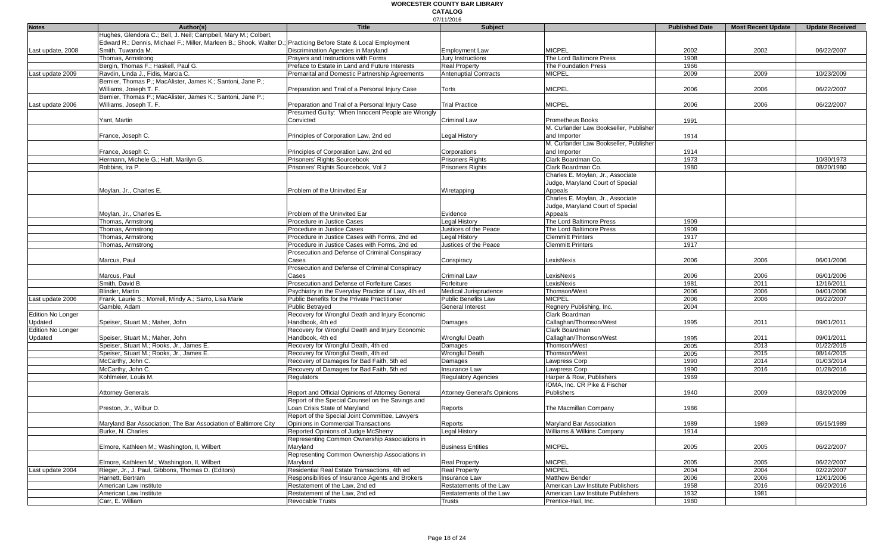|                          |                                                                                                                 |                                                    | 07/11/2016                         |                                        |                       |                           |                        |
|--------------------------|-----------------------------------------------------------------------------------------------------------------|----------------------------------------------------|------------------------------------|----------------------------------------|-----------------------|---------------------------|------------------------|
| <b>Notes</b>             | Author(s)                                                                                                       | <b>Title</b>                                       | <b>Subject</b>                     |                                        | <b>Published Date</b> | <b>Most Recent Update</b> | <b>Update Received</b> |
|                          | Hughes, Glendora C.; Bell, J. Neil; Campbell, Mary M.; Colbert,                                                 |                                                    |                                    |                                        |                       |                           |                        |
|                          | Edward R.; Dennis, Michael F.; Miller, Marleen B.; Shook, Walter D.; Practicing Before State & Local Employment |                                                    |                                    |                                        |                       |                           |                        |
| Last update, 2008        | Smith. Tuwanda M.                                                                                               | Discrimination Agencies in Maryland                | <b>Employment Law</b>              | <b>MICPEL</b>                          | 2002                  | 2002                      | 06/22/2007             |
|                          | Thomas, Armstrong                                                                                               | Prayers and Instructions with Forms                | <b>Jury Instructions</b>           | The Lord Baltimore Press               | 1908                  |                           |                        |
|                          | Bergin, Thomas F.; Haskell, Paul G.                                                                             | Preface to Estate in Land and Future Interests     | <b>Real Property</b>               | The Foundation Press                   | 1966                  |                           |                        |
| Last update 2009         | Ravdin, Linda J., Fidis, Marcia C.                                                                              | Premarital and Domestic Partnership Agreements     | <b>Antenuptial Contracts</b>       | <b>MICPEL</b>                          | 2009                  | 2009                      | 10/23/2009             |
|                          | Bernier, Thomas P.; MacAlister, James K.; Santoni, Jane P.;                                                     |                                                    |                                    |                                        |                       |                           |                        |
|                          | Williams, Joseph T. F.                                                                                          | Preparation and Trial of a Personal Injury Case    | Torts                              | <b>MICPEL</b>                          | 2006                  | 2006                      | 06/22/2007             |
|                          | Bernier, Thomas P.; MacAlister, James K.; Santoni, Jane P.;                                                     |                                                    |                                    |                                        |                       |                           |                        |
|                          |                                                                                                                 |                                                    |                                    |                                        |                       |                           |                        |
| Last update 2006         | Williams, Joseph T. F.                                                                                          | Preparation and Trial of a Personal Injury Case    | <b>Trial Practice</b>              | <b>MICPEL</b>                          | 2006                  | 2006                      | 06/22/2007             |
|                          |                                                                                                                 | Presumed Guilty: When Innocent People are Wrongly  |                                    |                                        |                       |                           |                        |
|                          | Yant, Martin                                                                                                    | Convicted                                          | <b>Criminal Law</b>                | Prometheus Books                       | 1991                  |                           |                        |
|                          |                                                                                                                 |                                                    |                                    | M. Curlander Law Bookseller, Publisher |                       |                           |                        |
|                          | France, Joseph C.                                                                                               | Principles of Corporation Law, 2nd ed              | Legal History                      | and Importer                           | 1914                  |                           |                        |
|                          |                                                                                                                 |                                                    |                                    | M. Curlander Law Bookseller, Publisher |                       |                           |                        |
|                          | France, Joseph C.                                                                                               | Principles of Corporation Law, 2nd ed              | Corporations                       | and Importer                           | 1914                  |                           |                        |
|                          | Hermann, Michele G.; Haft, Marilyn G.                                                                           | Prisoners' Rights Sourcebook                       | Prisoners Rights                   | Clark Boardman Co.                     | 1973                  |                           | 10/30/1973             |
|                          | Robbins, Ira P.                                                                                                 | Prisoners' Rights Sourcebook, Vol 2                | <b>Prisoners Rights</b>            | Clark Boardman Co.                     | 1980                  |                           | 08/20/1980             |
|                          |                                                                                                                 |                                                    |                                    | Charles E. Moylan, Jr., Associate      |                       |                           |                        |
|                          |                                                                                                                 |                                                    |                                    |                                        |                       |                           |                        |
|                          |                                                                                                                 |                                                    |                                    | Judge, Maryland Court of Special       |                       |                           |                        |
|                          | Moylan, Jr., Charles E.                                                                                         | Problem of the Uninvited Ear                       | Wiretapping                        | Appeals                                |                       |                           |                        |
|                          |                                                                                                                 |                                                    |                                    | Charles E. Moylan, Jr., Associate      |                       |                           |                        |
|                          |                                                                                                                 |                                                    |                                    | Judge, Maryland Court of Special       |                       |                           |                        |
|                          | Moylan, Jr., Charles E.                                                                                         | Problem of the Uninvited Ear                       | Evidence                           | Appeals                                |                       |                           |                        |
|                          | Thomas, Armstrong                                                                                               | Procedure in Justice Cases                         | <b>Legal History</b>               | The Lord Baltimore Press               | 1909                  |                           |                        |
|                          | Thomas, Armstrong                                                                                               | Procedure in Justice Cases                         | Justices of the Peace              | The Lord Baltimore Press               | 1909                  |                           |                        |
|                          | Thomas, Armstrong                                                                                               | Procedure in Justice Cases with Forms, 2nd ed      | <b>Legal History</b>               | <b>Clemmitt Printers</b>               | 1917                  |                           |                        |
|                          | Thomas, Armstrong                                                                                               | Procedure in Justice Cases with Forms, 2nd ed      | Justices of the Peace              | <b>Clemmitt Printers</b>               | 1917                  |                           |                        |
|                          |                                                                                                                 | Prosecution and Defense of Criminal Conspiracy     |                                    |                                        |                       |                           |                        |
|                          | Marcus, Paul                                                                                                    | Cases                                              | Conspiracy                         | LexisNexis                             | 2006                  | 2006                      | 06/01/2006             |
|                          |                                                                                                                 | Prosecution and Defense of Criminal Conspiracy     |                                    |                                        |                       |                           |                        |
|                          |                                                                                                                 |                                                    | <b>Criminal Law</b>                | LexisNexis                             |                       |                           | 06/01/2006             |
|                          | Marcus, Paul                                                                                                    | Cases                                              |                                    |                                        | 2006                  | 2006                      |                        |
|                          | Smith, David B.                                                                                                 | Prosecution and Defense of Forfeiture Cases        | Forfeiture                         | LexisNexis                             | 1981                  | 2011                      | 12/16/2011             |
|                          | <b>Blinder, Martin</b>                                                                                          | Psychiatry in the Everyday Practice of Law, 4th ed | Medical Jurisprudence              | Thomson/West                           | 2006                  | 2006                      | 04/01/2006             |
| Last update 2006         | Frank, Laurie S.; Morrell, Mindy A.; Sarro, Lisa Marie                                                          | Public Benefits for the Private Practitioner       | <b>Public Benefits Law</b>         | <b>MICPEL</b>                          | 2006                  | 2006                      | 06/22/2007             |
|                          | Gamble, Adam                                                                                                    | <b>Public Betrayed</b>                             | <b>General Interest</b>            | Regnery Publishing, Inc.               | 2004                  |                           |                        |
| <b>Edition No Longer</b> |                                                                                                                 | Recovery for Wrongful Death and Injury Economic    |                                    | Clark Boardman                         |                       |                           |                        |
| Updated                  | Speiser, Stuart M.; Maher, John                                                                                 | Handbook, 4th ed                                   | Damages                            | Callaghan/Thomson/West                 | 1995                  | 2011                      | 09/01/2011             |
| <b>Edition No Longer</b> |                                                                                                                 | Recovery for Wrongful Death and Injury Economic    |                                    | Clark Boardman                         |                       |                           |                        |
| Updated                  | Speiser, Stuart M.; Maher, John                                                                                 | Handbook. 4th ed                                   | <b>Wrongful Death</b>              | Callaghan/Thomson/West                 | 1995                  | 2011                      | 09/01/2011             |
|                          | Speiser, Stuart M.; Rooks, Jr., James E.                                                                        | Recovery for Wrongful Death, 4th ed                | Damages                            | Thomson/West                           | 2005                  | 2013                      | 01/22/2015             |
|                          | Speiser, Stuart M.; Rooks, Jr., James E.                                                                        | Recovery for Wrongful Death, 4th ed                | <b>Wrongful Death</b>              | Thomson/West                           | 2005                  | 2015                      | 08/14/2015             |
|                          | McCarthy, John C.                                                                                               | Recovery of Damages for Bad Faith, 5th ed          | Damages                            | Lawpress Corp                          | 1990                  | 2014                      | 01/03/2014             |
|                          |                                                                                                                 |                                                    | <b>Insurance Law</b>               |                                        |                       | 2016                      |                        |
|                          | McCarthy, John C.                                                                                               | Recovery of Damages for Bad Faith, 5th ed          |                                    | Lawpress Corp.                         | 1990                  |                           | 01/28/2016             |
|                          | Kohlmeier, Louis M.                                                                                             | Regulators                                         | <b>Regulatory Agencies</b>         | Harper & Row, Publishers               | 1969                  |                           |                        |
|                          |                                                                                                                 |                                                    |                                    | IOMA, Inc. CR Pike & Fischer           |                       |                           |                        |
|                          | <b>Attorney Generals</b>                                                                                        | Report and Official Opinions of Attorney General   | <b>Attorney General's Opinions</b> | Publishers                             | 1940                  | 2009                      | 03/20/2009             |
|                          |                                                                                                                 | Report of the Special Counsel on the Savings and   |                                    |                                        |                       |                           |                        |
|                          | Preston, Jr., Wilbur D.                                                                                         | Loan Crisis State of Maryland                      | Reports                            | The Macmillan Company                  | 1986                  |                           |                        |
|                          |                                                                                                                 | Report of the Special Joint Committee, Lawyers     |                                    |                                        |                       |                           |                        |
|                          | Maryland Bar Association; The Bar Association of Baltimore City                                                 | Opinions in Commercial Transactions                | Reports                            | Maryland Bar Association               | 1989                  | 1989                      | 05/15/1989             |
|                          | Burke, N. Charles                                                                                               | Reported Opinions of Judge McSherry                | <b>Legal History</b>               | Williams & Wilkins Company             | 1914                  |                           |                        |
|                          |                                                                                                                 | Representing Common Ownership Associations in      |                                    |                                        |                       |                           |                        |
|                          | Elmore, Kathleen M.; Washington, II, Wilbert                                                                    | Maryland                                           | <b>Business Entities</b>           | <b>MICPEL</b>                          | 2005                  | 2005                      | 06/22/2007             |
|                          |                                                                                                                 | Representing Common Ownership Associations in      |                                    |                                        |                       |                           |                        |
|                          |                                                                                                                 |                                                    |                                    |                                        |                       |                           |                        |
|                          | Elmore, Kathleen M.; Washington, II, Wilbert                                                                    | Maryland                                           | <b>Real Property</b>               | <b>MICPEL</b>                          | 2005                  | 2005                      | 06/22/2007             |
| Last update 2004         | Rieger, Jr., J. Paul, Gibbons, Thomas D. (Editors)                                                              | Residential Real Estate Transactions, 4th ed       | <b>Real Property</b>               | <b>MICPEL</b>                          | 2004                  | 2004                      | 02/22/2007             |
|                          | Harnett, Bertram                                                                                                | Responsibilities of Insurance Agents and Brokers   | Insurance Law                      | Matthew Bender                         | 2006                  | 2006                      | 12/01/2006             |
|                          | American Law Institute                                                                                          | Restatement of the Law, 2nd ed                     | Restatements of the Law            | American Law Institute Publishers      | 1958                  | 2016                      | 06/20/2016             |
|                          | American Law Institute                                                                                          | Restatement of the Law, 2nd ed                     | Restatements of the Law            | American Law Institute Publishers      | 1932                  | 1981                      |                        |
|                          | Carr, E. William                                                                                                | <b>Revocable Trusts</b>                            | <b>Trusts</b>                      | Prentice-Hall, Inc.                    | 1980                  |                           |                        |
|                          |                                                                                                                 |                                                    |                                    |                                        |                       |                           |                        |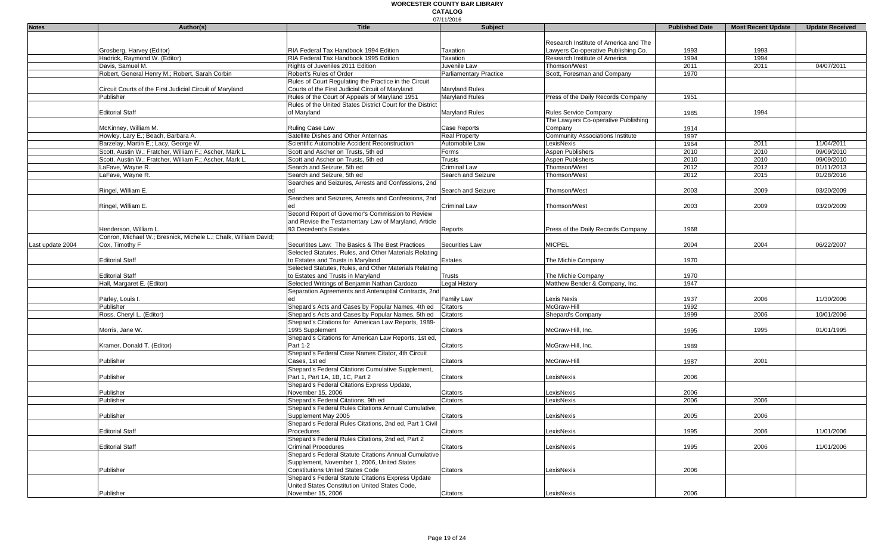|                  |                                                                 |                                                            | 07/11/2016                    |                                         |                       |                           |                        |
|------------------|-----------------------------------------------------------------|------------------------------------------------------------|-------------------------------|-----------------------------------------|-----------------------|---------------------------|------------------------|
| <b>Notes</b>     | Author(s)                                                       | <b>Title</b>                                               | Subject                       |                                         | <b>Published Date</b> | <b>Most Recent Update</b> | <b>Update Received</b> |
|                  |                                                                 |                                                            |                               |                                         |                       |                           |                        |
|                  |                                                                 |                                                            |                               | Research Institute of America and The   |                       |                           |                        |
|                  | Grosberg, Harvey (Editor)                                       | RIA Federal Tax Handbook 1994 Edition                      | Taxation                      | Lawyers Co-operative Publishing Co.     | 1993                  | 1993                      |                        |
|                  | Hadrick, Raymond W. (Editor)                                    | RIA Federal Tax Handbook 1995 Edition                      | Taxation                      | Research Institute of America           | 1994                  | 1994                      |                        |
|                  | Davis, Samuel M.                                                | Rights of Juveniles 2011 Edition                           | Juvenile Law                  | Thomson/West                            | 2011                  | 2011                      | 04/07/2011             |
|                  | Robert, General Henry M.; Robert, Sarah Corbin                  | Robert's Rules of Order                                    | <b>Parliamentary Practice</b> | Scott, Foresman and Company             | 1970                  |                           |                        |
|                  |                                                                 | Rules of Court Regulating the Practice in the Circuit      |                               |                                         |                       |                           |                        |
|                  | Circuit Courts of the First Judicial Circuit of Maryland        | Courts of the First Judicial Circuit of Maryland           | <b>Maryland Rules</b>         |                                         |                       |                           |                        |
|                  | Publisher                                                       | Rules of the Court of Appeals of Maryland 1951             | <b>Maryland Rules</b>         | Press of the Daily Records Company      | 1951                  |                           |                        |
|                  |                                                                 | Rules of the United States District Court for the District |                               |                                         |                       |                           |                        |
|                  | <b>Editorial Staff</b>                                          | of Maryland                                                | Maryland Rules                | <b>Rules Service Company</b>            | 1985                  | 1994                      |                        |
|                  |                                                                 |                                                            |                               | The Lawyers Co-operative Publishing     |                       |                           |                        |
|                  | McKinney, William M.                                            | Ruling Case Law                                            | Case Reports                  | Company                                 | 1914                  |                           |                        |
|                  | Howley, Lary E.; Beach, Barbara A.                              | Satellite Dishes and Other Antennas                        | <b>Real Property</b>          | <b>Community Associations Institute</b> | 1997                  |                           |                        |
|                  | Barzelay, Martin E.; Lacy, George W.                            | Scientific Automobile Accident Reconstruction              | Automobile Law                | LexisNexis                              | 1964                  | 2011                      | 11/04/2011             |
|                  | Scott, Austin W.; Fratcher, William F.; Ascher, Mark L.         | Scott and Ascher on Trusts, 5th ed                         | Forms                         | Aspen Publishers                        | 2010                  | 2010                      | 09/09/2010             |
|                  | Scott, Austin W.; Fratcher, William F.; Ascher, Mark L.         | Scott and Ascher on Trusts, 5th ed                         | Trusts                        | Aspen Publishers                        | 2010                  | 2010                      | 09/09/2010             |
|                  | LaFave, Wayne R.                                                | Search and Seizure, 5th ed                                 | Criminal Law                  | Thomson/West                            | 2012                  | 2012                      | 01/11/2013             |
|                  | LaFave, Wayne R.                                                | Search and Seizure, 5th ed                                 | Search and Seizure            | Thomson/West                            | 2012                  | 2015                      | 01/28/2016             |
|                  |                                                                 | Searches and Seizures, Arrests and Confessions, 2nd        |                               |                                         |                       |                           |                        |
|                  | Ringel, William E.                                              | ed                                                         | Search and Seizure            | Thomson/West                            |                       |                           | 03/20/2009             |
|                  |                                                                 |                                                            |                               |                                         | 2003                  | 2009                      |                        |
|                  |                                                                 | Searches and Seizures, Arrests and Confessions, 2nd        |                               |                                         |                       |                           |                        |
|                  | Ringel, William E.                                              | ed                                                         | Criminal Law                  | Thomson/West                            | 2003                  | 2009                      | 03/20/2009             |
|                  |                                                                 | Second Report of Governor's Commission to Review           |                               |                                         |                       |                           |                        |
|                  |                                                                 | and Revise the Testamentary Law of Maryland, Article       |                               |                                         |                       |                           |                        |
|                  | Henderson, William L.                                           | 93 Decedent's Estates                                      | Reports                       | Press of the Daily Records Company      | 1968                  |                           |                        |
|                  | Conron, Michael W.; Bresnick, Michele L.; Chalk, William David; |                                                            |                               |                                         |                       |                           |                        |
| Last update 2004 | Cox, Timothy F                                                  | Securitites Law: The Basics & The Best Practices           | Securities Law                | <b>MICPEL</b>                           | 2004                  | 2004                      | 06/22/2007             |
|                  |                                                                 | Selected Statutes, Rules, and Other Materials Relating     |                               |                                         |                       |                           |                        |
|                  | <b>Editorial Staff</b>                                          | to Estates and Trusts in Maryland                          | <b>Estates</b>                | The Michie Company                      | 1970                  |                           |                        |
|                  |                                                                 | Selected Statutes, Rules, and Other Materials Relating     |                               |                                         |                       |                           |                        |
|                  | <b>Editorial Staff</b>                                          | to Estates and Trusts in Maryland                          | Trusts                        | The Michie Company                      | 1970                  |                           |                        |
|                  | Hall, Margaret E. (Editor)                                      | Selected Writings of Benjamin Nathan Cardozo               | Legal History                 | Matthew Bender & Company, Inc.          | 1947                  |                           |                        |
|                  |                                                                 | Separation Agreements and Antenuptial Contracts, 2nd       |                               |                                         |                       |                           |                        |
|                  | Parley, Louis I.                                                | ed                                                         | Family Law                    | Lexis Nexis                             | 1937                  | 2006                      | 11/30/2006             |
|                  | Publisher                                                       | Shepard's Acts and Cases by Popular Names, 4th ed          | Citators                      | McGraw-Hill                             | 1992                  |                           |                        |
|                  | Ross, Cheryl L. (Editor)                                        | Shepard's Acts and Cases by Popular Names, 5th ed          | Citators                      | Shepard's Company                       | 1999                  | 2006                      | 10/01/2006             |
|                  |                                                                 | Shepard's Citations for American Law Reports, 1989-        |                               |                                         |                       |                           |                        |
|                  | Morris, Jane W.                                                 | 1995 Supplement                                            | Citators                      | McGraw-Hill, Inc.                       | 1995                  | 1995                      | 01/01/1995             |
|                  |                                                                 | Shepard's Citations for American Law Reports, 1st ed,      |                               |                                         |                       |                           |                        |
|                  | Kramer, Donald T. (Editor)                                      | Part 1-2                                                   | Citators                      | McGraw-Hill, Inc.                       | 1989                  |                           |                        |
|                  |                                                                 | Shepard's Federal Case Names Citator, 4th Circuit          |                               |                                         |                       |                           |                        |
|                  | Publisher                                                       | Cases, 1st ed                                              | Citators                      | McGraw-Hill                             | 1987                  | 2001                      |                        |
|                  |                                                                 | Shepard's Federal Citations Cumulative Supplement,         |                               |                                         |                       |                           |                        |
|                  | Publisher                                                       | Part 1, Part 1A, 1B, 1C, Part 2                            | Citators                      | LexisNexis                              | 2006                  |                           |                        |
|                  |                                                                 | Shepard's Federal Citations Express Update,                |                               |                                         |                       |                           |                        |
|                  | Publisher                                                       | November 15, 2006                                          | Citators                      | LexisNexis                              | 2006                  |                           |                        |
|                  | Publisher                                                       | Shepard's Federal Citations, 9th ed                        | Citators                      | LexisNexis                              | 2006                  | 2006                      |                        |
|                  |                                                                 | Shepard's Federal Rules Citations Annual Cumulative,       |                               |                                         |                       |                           |                        |
|                  | Publisher                                                       | Supplement May 2005                                        | Citators                      | LexisNexis                              | 2005                  | 2006                      |                        |
|                  |                                                                 | Shepard's Federal Rules Citations, 2nd ed, Part 1 Civil    |                               |                                         |                       |                           |                        |
|                  | <b>Editorial Staff</b>                                          | Procedures                                                 | Citators                      | LexisNexis                              | 1995                  | 2006                      | 11/01/2006             |
|                  |                                                                 | Shepard's Federal Rules Citations, 2nd ed, Part 2          |                               |                                         |                       |                           |                        |
|                  | <b>Editorial Staff</b>                                          | <b>Criminal Procedures</b>                                 | Citators                      | LexisNexis                              | 1995                  | 2006                      | 11/01/2006             |
|                  |                                                                 | Shepard's Federal Statute Citations Annual Cumulative      |                               |                                         |                       |                           |                        |
|                  |                                                                 |                                                            |                               |                                         |                       |                           |                        |
|                  |                                                                 | Supplement, November 1, 2006, United States                |                               |                                         |                       |                           |                        |
|                  | Publisher                                                       | <b>Constitutions United States Code</b>                    | Citators                      | LexisNexis                              | 2006                  |                           |                        |
|                  |                                                                 | Shepard's Federal Statute Citations Express Update         |                               |                                         |                       |                           |                        |
|                  |                                                                 | United States Constitution United States Code,             |                               |                                         |                       |                           |                        |
|                  | Publisher                                                       | November 15, 2006                                          | Citators                      | LexisNexis                              | 2006                  |                           |                        |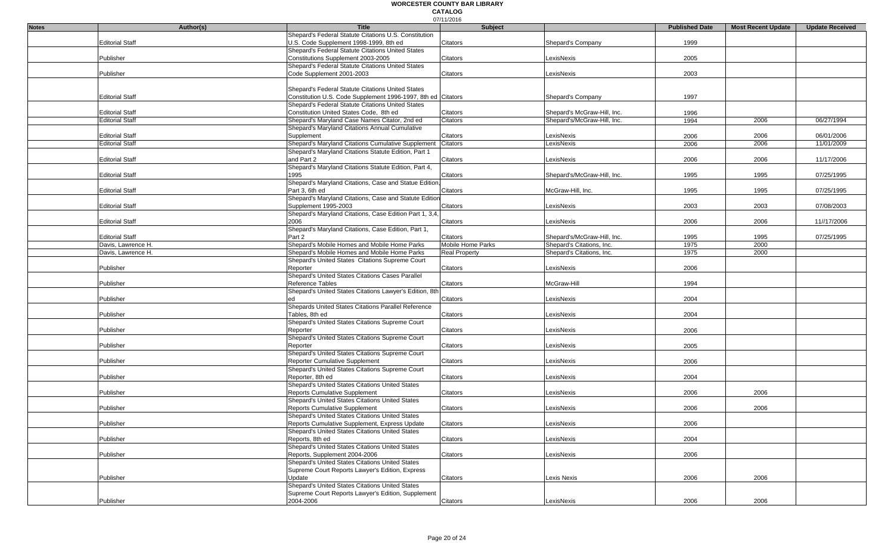#### 07/11/2016 **WORCESTER COUNTY BAR LIBRARY CATALOG**

| <b>Notes</b> | Author(s)              | <b>Title</b>                                                 | <b>Subject</b>           |                             | <b>Published Date</b> | <b>Most Recent Update</b> | <b>Update Received</b> |
|--------------|------------------------|--------------------------------------------------------------|--------------------------|-----------------------------|-----------------------|---------------------------|------------------------|
|              |                        | Shepard's Federal Statute Citations U.S. Constitution        |                          |                             |                       |                           |                        |
|              | <b>Editorial Staff</b> | U.S. Code Supplement 1998-1999, 8th ed                       | Citators                 | Shepard's Company           | 1999                  |                           |                        |
|              |                        |                                                              |                          |                             |                       |                           |                        |
|              |                        | Shepard's Federal Statute Citations United States            |                          |                             |                       |                           |                        |
|              | Publisher              | Constitutions Supplement 2003-2005                           | Citators                 | LexisNexis                  | 2005                  |                           |                        |
|              |                        | Shepard's Federal Statute Citations United States            |                          |                             |                       |                           |                        |
|              | Publisher              | Code Supplement 2001-2003                                    | Citators                 | LexisNexis                  | 2003                  |                           |                        |
|              |                        |                                                              |                          |                             |                       |                           |                        |
|              |                        | Shepard's Federal Statute Citations United States            |                          |                             |                       |                           |                        |
|              | <b>Editorial Staff</b> | Constitution U.S. Code Supplement 1996-1997, 8th ed Citators |                          | Shepard's Company           | 1997                  |                           |                        |
|              |                        | Shepard's Federal Statute Citations United States            |                          |                             |                       |                           |                        |
|              | <b>Editorial Staff</b> | Constitution United States Code, 8th ed                      | Citators                 | Shepard's McGraw-Hill, Inc. | 1996                  |                           |                        |
|              | <b>Editorial Staff</b> | Shepard's Maryland Case Names Citator, 2nd ed                | Citators                 | Shepard's/McGraw-Hill, Inc. | 1994                  | 2006                      | 06/27/1994             |
|              |                        | Shepard's Maryland Citations Annual Cumulative               |                          |                             |                       |                           |                        |
|              | <b>Editorial Staff</b> | Supplement                                                   | Citators                 | LexisNexis                  | 2006                  | 2006                      | 06/01/2006             |
|              | <b>Editorial Staff</b> | Shepard's Maryland Citations Cumulative Supplement           | Citators                 | LexisNexis                  | 2006                  | 2006                      | 11/01/2009             |
|              |                        | Shepard's Maryland Citations Statute Edition, Part 1         |                          |                             |                       |                           |                        |
|              | <b>Editorial Staff</b> | and Part 2                                                   | Citators                 | exisNexis                   | 2006                  | 2006                      | 11/17/2006             |
|              |                        | Shepard's Maryland Citations Statute Edition, Part 4,        |                          |                             |                       |                           |                        |
|              | <b>Editorial Staff</b> | 1995                                                         | Citators                 | Shepard's/McGraw-Hill, Inc. | 1995                  | 1995                      | 07/25/1995             |
|              |                        |                                                              |                          |                             |                       |                           |                        |
|              |                        | Shepard's Maryland Citations, Case and Statue Edition        |                          |                             |                       |                           |                        |
|              | <b>Editorial Staff</b> | Part 3, 6th ed                                               | Citators                 | McGraw-Hill, Inc.           | 1995                  | 1995                      | 07/25/1995             |
|              |                        | Shepard's Maryland Citations, Case and Statute Edition       |                          |                             |                       |                           |                        |
|              | <b>Editorial Staff</b> | Supplement 1995-2003                                         | Citators                 | LexisNexis                  | 2003                  | 2003                      | 07/08/2003             |
|              |                        | Shepard's Maryland Citations, Case Edition Part 1, 3,4       |                          |                             |                       |                           |                        |
|              | <b>Editorial Staff</b> | 2006                                                         | Citators                 | LexisNexis                  | 2006                  | 2006                      | 11//17/2006            |
|              |                        | Shepard's Maryland Citations, Case Edition, Part 1,          |                          |                             |                       |                           |                        |
|              | <b>Editorial Staff</b> | Part 2                                                       | Citators                 | Shepard's/McGraw-Hill, Inc. | 1995                  | 1995                      | 07/25/1995             |
|              | Davis, Lawrence H.     | Shepard's Mobile Homes and Mobile Home Parks                 | <b>Mobile Home Parks</b> | Shepard's Citations, Inc.   | 1975                  | 2000                      |                        |
|              | Davis, Lawrence H.     | Shepard's Mobile Homes and Mobile Home Parks                 | <b>Real Property</b>     | Shepard's Citations, Inc.   | 1975                  | 2000                      |                        |
|              |                        | Shepard's United States Citations Supreme Court              |                          |                             |                       |                           |                        |
|              | Publisher              | Reporter                                                     | Citators                 | LexisNexis                  | 2006                  |                           |                        |
|              |                        | Shepard's United States Citations Cases Parallel             |                          |                             |                       |                           |                        |
|              | Publisher              | Reference Tables                                             | Citators                 | McGraw-Hil                  | 1994                  |                           |                        |
|              |                        | Shepard's United States Citations Lawyer's Edition, 8th      |                          |                             |                       |                           |                        |
|              | Publisher              | ed                                                           | Citators                 | LexisNexis                  | 2004                  |                           |                        |
|              |                        | Shepards United States Citations Parallel Reference          |                          |                             |                       |                           |                        |
|              | Publisher              | Tables, 8th ed                                               |                          | LexisNexis                  | 2004                  |                           |                        |
|              |                        | Shepard's United States Citations Supreme Court              | Citators                 |                             |                       |                           |                        |
|              |                        |                                                              |                          |                             |                       |                           |                        |
|              | Publisher              | Reporter                                                     | Citators                 | LexisNexis                  | 2006                  |                           |                        |
|              |                        | Shepard's United States Citations Supreme Court              |                          |                             |                       |                           |                        |
|              | Publisher              | Reporter                                                     | Citators                 | LexisNexis                  | 2005                  |                           |                        |
|              |                        | Shepard's United States Citations Supreme Court              |                          |                             |                       |                           |                        |
|              | Publisher              | Reporter Cumulative Supplement                               | Citators                 | LexisNexis                  | 2006                  |                           |                        |
|              |                        | Shepard's United States Citations Supreme Court              |                          |                             |                       |                           |                        |
|              | Publisher              | Reporter, 8th ed                                             | Citators                 | LexisNexis                  | 2004                  |                           |                        |
|              |                        | Shepard's United States Citations United States              |                          |                             |                       |                           |                        |
|              | Publisher              | <b>Reports Cumulative Supplement</b>                         | Citators                 | LexisNexis                  | 2006                  | 2006                      |                        |
|              |                        | Shepard's United States Citations United States              |                          |                             |                       |                           |                        |
|              | Publisher              | <b>Reports Cumulative Supplement</b>                         | Citators                 | LexisNexis                  | 2006                  | 2006                      |                        |
|              |                        | Shepard's United States Citations United States              |                          |                             |                       |                           |                        |
|              | Publisher              | Reports Cumulative Supplement, Express Update                | Citators                 | LexisNexis                  | 2006                  |                           |                        |
|              |                        | Shepard's United States Citations United States              |                          |                             |                       |                           |                        |
|              | Publisher              | Reports, 8th ed                                              | Citators                 | LexisNexis                  | 2004                  |                           |                        |
|              |                        | Shepard's United States Citations United States              |                          |                             |                       |                           |                        |
|              |                        |                                                              |                          |                             |                       |                           |                        |
|              | Publisher              | Reports, Supplement 2004-2006                                | Citators                 | LexisNexis                  | 2006                  |                           |                        |
|              |                        | Shepard's United States Citations United States              |                          |                             |                       |                           |                        |
|              |                        | Supreme Court Reports Lawyer's Edition, Express              |                          |                             |                       |                           |                        |
|              | Publisher              | Update                                                       | Citators                 | Lexis Nexis                 | 2006                  | 2006                      |                        |
|              |                        | Shepard's United States Citations United States              |                          |                             |                       |                           |                        |
|              |                        | Supreme Court Reports Lawyer's Edition, Supplement           |                          |                             |                       |                           |                        |
|              | Publisher              | 2004-2006                                                    | Citators                 | LexisNexis                  | 2006                  | 2006                      |                        |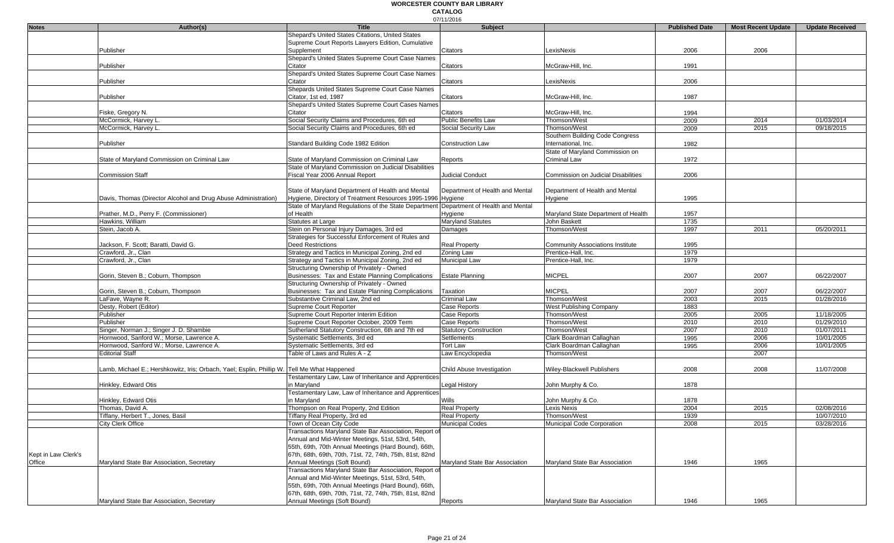|                     |                                                                                             |                                                                                       | 07/11/2016                         |                                         |                       |                           |                        |
|---------------------|---------------------------------------------------------------------------------------------|---------------------------------------------------------------------------------------|------------------------------------|-----------------------------------------|-----------------------|---------------------------|------------------------|
| <b>Notes</b>        | Author(s)                                                                                   | <b>Title</b>                                                                          | Subject                            |                                         | <b>Published Date</b> | <b>Most Recent Update</b> | <b>Update Received</b> |
|                     |                                                                                             | Shepard's United States Citations, United States                                      |                                    |                                         |                       |                           |                        |
|                     |                                                                                             | Supreme Court Reports Lawyers Edition, Cumulative                                     |                                    |                                         |                       |                           |                        |
|                     | Publisher                                                                                   | Supplement                                                                            | Citators                           | LexisNexis                              | 2006                  | 2006                      |                        |
|                     |                                                                                             | Shepard's United States Supreme Court Case Names                                      |                                    |                                         |                       |                           |                        |
|                     | Publisher                                                                                   | Citator                                                                               | Citators                           | McGraw-Hill, Inc.                       | 1991                  |                           |                        |
|                     |                                                                                             | Shepard's United States Supreme Court Case Names                                      |                                    |                                         |                       |                           |                        |
|                     | Publisher                                                                                   | Citator                                                                               | Citators                           | LexisNexis                              | 2006                  |                           |                        |
|                     |                                                                                             | Shepards United States Supreme Court Case Names                                       |                                    |                                         |                       |                           |                        |
|                     | Publisher                                                                                   | Citator, 1st ed, 1987                                                                 | Citators                           | McGraw-Hill, Inc.                       | 1987                  |                           |                        |
|                     |                                                                                             | Shepard's United States Supreme Court Cases Names                                     |                                    |                                         |                       |                           |                        |
|                     | Fiske, Gregory N.                                                                           | Citator                                                                               | Citators                           | McGraw-Hill, Inc.                       | 1994                  |                           |                        |
|                     | McCormick, Harvey L.                                                                        | Social Security Claims and Procedures, 6th ed                                         | <b>Public Benefits Law</b>         | Thomson/West                            | 2009                  | 2014                      | 01/03/2014             |
|                     | McCormick, Harvey L.                                                                        | Social Security Claims and Procedures, 6th ed                                         | Social Security Law                | Thomson/West                            | 2009                  | 2015                      | 09/18/2015             |
|                     |                                                                                             |                                                                                       |                                    | Southern Building Code Congress         |                       |                           |                        |
|                     | Publisher                                                                                   | Standard Building Code 1982 Edition                                                   | <b>Construction Law</b>            | International, Inc.                     | 1982                  |                           |                        |
|                     |                                                                                             |                                                                                       |                                    | State of Maryland Commission on         |                       |                           |                        |
|                     | State of Maryland Commission on Criminal Law                                                | State of Maryland Commission on Criminal Law                                          | Reports                            | Criminal Law                            | 1972                  |                           |                        |
|                     |                                                                                             | State of Maryland Commission on Judicial Disabilities                                 |                                    |                                         |                       |                           |                        |
|                     | <b>Commission Staff</b>                                                                     | Fiscal Year 2006 Annual Report                                                        | <b>Judicial Conduct</b>            | Commission on Judicial Disabilities     | 2006                  |                           |                        |
|                     |                                                                                             |                                                                                       |                                    |                                         |                       |                           |                        |
|                     |                                                                                             | State of Maryland Department of Health and Mental                                     | Department of Health and Mental    | Department of Health and Mental         |                       |                           |                        |
|                     | Davis, Thomas (Director Alcohol and Drug Abuse Administration)                              | Hygiene, Directory of Treatment Resources 1995-1996 Hygiene                           |                                    | Hygiene                                 | 1995                  |                           |                        |
|                     |                                                                                             | State of Maryland Regulations of the State Department Department of Health and Mental |                                    |                                         |                       |                           |                        |
|                     | Prather, M.D., Perry F. (Commissioner)                                                      | of Health                                                                             | Hygiene                            | Maryland State Department of Health     | 1957                  |                           |                        |
|                     | Hawkins, William                                                                            | Statutes at Large                                                                     | <b>Maryland Statutes</b>           | John Baskett                            | 1735                  |                           |                        |
|                     | Stein, Jacob A.                                                                             | Stein on Personal Injury Damages, 3rd ed                                              | Damages                            | Thomson/West                            | 1997                  | 2011                      | 05/20/2011             |
|                     |                                                                                             | Strategies for Successful Enforcement of Rules and                                    |                                    |                                         |                       |                           |                        |
|                     | Jackson, F. Scott; Baratti, David G.                                                        | <b>Deed Restrictions</b>                                                              | <b>Real Property</b>               | <b>Community Associations Institute</b> | 1995                  |                           |                        |
|                     | Crawford, Jr., Clan                                                                         | Strategy and Tactics in Municipal Zoning, 2nd ed                                      |                                    |                                         | 1979                  |                           |                        |
|                     | Crawford, Jr., Clan                                                                         | Strategy and Tactics in Municipal Zoning, 2nd ed                                      | Zoning Law<br><b>Municipal Law</b> | Prentice-Hall, Inc.                     |                       |                           |                        |
|                     |                                                                                             |                                                                                       |                                    | Prentice-Hall, Inc.                     | 1979                  |                           |                        |
|                     |                                                                                             | Structuring Ownership of Privately - Owned                                            |                                    |                                         |                       |                           |                        |
|                     | Gorin, Steven B.; Coburn, Thompson                                                          | Businesses: Tax and Estate Planning Complications                                     | <b>Estate Planning</b>             | <b>MICPEL</b>                           | 2007                  | 2007                      | 06/22/2007             |
|                     |                                                                                             | Structuring Ownership of Privately - Owned                                            |                                    |                                         |                       |                           |                        |
|                     | Gorin, Steven B.; Coburn, Thompson                                                          | Businesses: Tax and Estate Planning Complications                                     | <b>Taxation</b>                    | <b>MICPEL</b>                           | 2007                  | 2007                      | 06/22/2007             |
|                     | LaFave, Wayne R.                                                                            | Substantive Criminal Law, 2nd ed                                                      | <b>Criminal Law</b>                | Thomson/West                            | 2003                  | 2015                      | 01/28/2016             |
|                     | Desty, Robert (Editor)                                                                      | Supreme Court Reporter                                                                | <b>Case Reports</b>                | <b>West Publishing Company</b>          | 1883                  |                           |                        |
|                     | Publisher                                                                                   | Supreme Court Reporter Interim Edition                                                | <b>Case Reports</b>                | Thomson/West                            | 2005                  | 2005                      | 11/18/2005             |
|                     | Publisher                                                                                   | Supreme Court Reporter October, 2009 Term                                             | Case Reports                       | Thomson/West                            | 2010                  | 2010                      | 01/29/2010             |
|                     | Singer, Norman J.; Singer J. D. Shambie                                                     | Sutherland Statutory Construction, 6th and 7th ed                                     | <b>Statutory Construction</b>      | Thomson/West                            | 2007                  | 2010                      | 01/07/2011             |
|                     | Hornwood, Sanford W.; Morse, Lawrence A.                                                    | Systematic Settlements, 3rd ed                                                        | Settlements                        | Clark Boardman Callaghan                | 1995                  | 2006                      | 10/01/2005             |
|                     | Hornwood, Sanford W.; Morse, Lawrence A.                                                    | Systematic Settlements, 3rd ed                                                        | <b>Tort Law</b>                    | Clark Boardman Callaghan                | 1995                  | 2006                      | 10/01/2005             |
|                     | <b>Editorial Staff</b>                                                                      | Table of Laws and Rules A - Z                                                         | Law Encyclopedia                   | Thomson/West                            |                       | 2007                      |                        |
|                     |                                                                                             |                                                                                       |                                    |                                         |                       |                           |                        |
|                     | Lamb, Michael E.; Hershkowitz, Iris; Orbach, Yael; Esplin, Phillip W. Tell Me What Happened |                                                                                       | Child Abuse Investigation          | Wiley-Blackwell Publishers              | 2008                  | 2008                      | 11/07/2008             |
|                     |                                                                                             | Testamentary Law, Law of Inheritance and Apprentices                                  |                                    |                                         |                       |                           |                        |
|                     | Hinkley, Edward Otis                                                                        | in Maryland                                                                           | <b>Legal History</b>               | John Murphy & Co.                       | 1878                  |                           |                        |
|                     |                                                                                             | Testamentary Law, Law of Inheritance and Apprentices                                  |                                    |                                         |                       |                           |                        |
|                     | Hinkley, Edward Otis                                                                        | n Maryland                                                                            | Wills                              | John Murphy & Co.                       | 1878                  |                           |                        |
|                     | Thomas, David A.                                                                            | Thompson on Real Property, 2nd Edition                                                | <b>Real Property</b>               | Lexis Nexis                             | 2004                  | 2015                      | 02/08/2016             |
|                     | Tiffany, Herbert T., Jones, Basil                                                           | Tiffany Real Property, 3rd ed                                                         | <b>Real Property</b>               | Thomson/West                            | 1939                  |                           | 10/07/2010             |
|                     | <b>City Clerk Office</b>                                                                    | Town of Ocean City Code                                                               | <b>Municipal Codes</b>             | Municipal Code Corporation              | 2008                  | 2015                      | 03/28/2016             |
|                     |                                                                                             | Transactions Maryland State Bar Association, Report of                                |                                    |                                         |                       |                           |                        |
|                     |                                                                                             | Annual and Mid-Winter Meetings, 51st, 53rd, 54th,                                     |                                    |                                         |                       |                           |                        |
|                     |                                                                                             | 55th, 69th, 70th Annual Meetings (Hard Bound), 66th,                                  |                                    |                                         |                       |                           |                        |
| Kept in Law Clerk's |                                                                                             | 67th, 68th, 69th, 70th, 71st, 72, 74th, 75th, 81st, 82nd                              |                                    |                                         |                       |                           |                        |
| Office              | Maryland State Bar Association, Secretary                                                   | Annual Meetings (Soft Bound)                                                          | Maryland State Bar Association     | Maryland State Bar Association          | 1946                  | 1965                      |                        |
|                     |                                                                                             | Transactions Maryland State Bar Association, Report of                                |                                    |                                         |                       |                           |                        |
|                     |                                                                                             | Annual and Mid-Winter Meetings, 51st, 53rd, 54th,                                     |                                    |                                         |                       |                           |                        |
|                     |                                                                                             | 55th, 69th, 70th Annual Meetings (Hard Bound), 66th,                                  |                                    |                                         |                       |                           |                        |
|                     |                                                                                             | 67th, 68th, 69th, 70th, 71st, 72, 74th, 75th, 81st, 82nd                              |                                    |                                         |                       |                           |                        |
|                     | Maryland State Bar Association, Secretary                                                   | Annual Meetings (Soft Bound)                                                          | Reports                            | Marvland State Bar Association          | 1946                  | 1965                      |                        |
|                     |                                                                                             |                                                                                       |                                    |                                         |                       |                           |                        |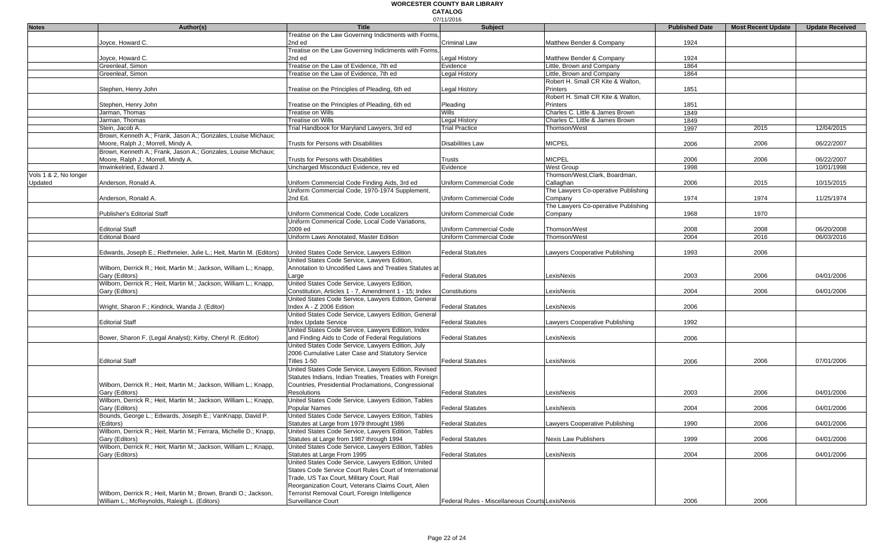|                       |                                                                     | <b>Title</b>                                             | 07/11/2016                                      |                                     |                       |                           |                        |
|-----------------------|---------------------------------------------------------------------|----------------------------------------------------------|-------------------------------------------------|-------------------------------------|-----------------------|---------------------------|------------------------|
| <b>Notes</b>          | Author(s)                                                           | Treatise on the Law Governing Indictments with Forms,    | <b>Subject</b>                                  |                                     | <b>Published Date</b> | <b>Most Recent Update</b> | <b>Update Received</b> |
|                       | Joyce, Howard C.                                                    | 2nd ed                                                   | <b>Criminal Law</b>                             | Matthew Bender & Company            | 1924                  |                           |                        |
|                       |                                                                     | Treatise on the Law Governing Indictments with Forms,    |                                                 |                                     |                       |                           |                        |
|                       | Joyce, Howard C.                                                    | 2nd ed                                                   | <b>Legal History</b>                            | Matthew Bender & Company            | 1924                  |                           |                        |
|                       | Greenleaf, Simon                                                    | Treatise on the Law of Evidence, 7th ed                  | Evidence                                        | Little, Brown and Company           | 1864                  |                           |                        |
|                       | Greenleaf, Simon                                                    | Treatise on the Law of Evidence, 7th ed                  | Legal History                                   | Little, Brown and Company           | 1864                  |                           |                        |
|                       |                                                                     |                                                          |                                                 | Robert H. Small CR Kite & Walton,   |                       |                           |                        |
|                       | Stephen, Henry John                                                 | Treatise on the Principles of Pleading, 6th ed           | Legal History                                   | <b>Printers</b>                     | 1851                  |                           |                        |
|                       |                                                                     |                                                          |                                                 | Robert H. Small CR Kite & Walton,   |                       |                           |                        |
|                       | Stephen, Henry John                                                 | Treatise on the Principles of Pleading, 6th ed           | Pleading                                        | Printers                            | 1851                  |                           |                        |
|                       | Jarman, Thomas                                                      | <b>Treatise on Wills</b>                                 | <b>Wills</b>                                    | Charles C. Little & James Brown     | 1849                  |                           |                        |
|                       | Jarman, Thomas                                                      | <b>Treatise on Wills</b>                                 | <b>Legal History</b>                            | Charles C. Little & James Brown     | 1849                  |                           |                        |
|                       | Stein, Jacob A.                                                     | Trial Handbook for Maryland Lawyers, 3rd ed              | <b>Trial Practice</b>                           | Thomson/West                        | 1997                  | 2015                      | 12/04/2015             |
|                       | Brown, Kenneth A.; Frank, Jason A.; Gonzales, Louise Michaux;       |                                                          |                                                 |                                     |                       |                           |                        |
|                       | Moore, Ralph J.; Morrell, Mindy A.                                  | Trusts for Persons with Disabilities                     | Disabilities Law                                | <b>MICPEL</b>                       | 2006                  | 2006                      | 06/22/2007             |
|                       | Brown, Kenneth A.; Frank, Jason A.; Gonzales, Louise Michaux;       |                                                          |                                                 |                                     |                       |                           |                        |
|                       | Moore, Ralph J.; Morrell, Mindy A.                                  | Trusts for Persons with Disabilities                     | Trusts                                          | <b>MICPEL</b>                       | 2006                  | 2006                      | 06/22/2007             |
|                       | Imwinkelried, Edward J.                                             | Uncharged Misconduct Evidence, rev ed                    | Evidence                                        | West Group                          | 1998                  |                           | 10/01/1998             |
| Vols 1 & 2, No longer |                                                                     |                                                          |                                                 | Thomson/West, Clark, Boardman,      |                       |                           |                        |
| Updated               | Anderson, Ronald A.                                                 | Uniform Commercial Code Finding Aids, 3rd ed             | Uniform Commercial Code                         | Callaghan                           | 2006                  | 2015                      | 10/15/2015             |
|                       |                                                                     | Uniform Commercial Code, 1970-1974 Supplement,           |                                                 | The Lawyers Co-operative Publishing |                       |                           |                        |
|                       | Anderson, Ronald A.                                                 | 2nd Ed.                                                  | <b>Uniform Commercial Code</b>                  | Company                             | 1974                  | 1974                      | 11/25/1974             |
|                       |                                                                     |                                                          |                                                 | The Lawyers Co-operative Publishing |                       |                           |                        |
|                       | Publisher's Editorial Staff                                         | Uniform Commerical Code, Code Localizers                 | Uniform Commercial Code                         | Company                             | 1968                  | 1970                      |                        |
|                       |                                                                     | Uniform Commerical Code, Local Code Variations,          |                                                 |                                     |                       |                           |                        |
|                       | <b>Editorial Staff</b>                                              | 2009 ed                                                  | Uniform Commercial Code                         | Thomson/West                        | 2008                  | 2008                      | 06/20/2008             |
|                       | <b>Editorial Board</b>                                              | Uniform Laws Annotated. Master Edition                   | Uniform Commercial Code                         | Thomson/West                        | 2004                  | 2016                      | 06/03/2016             |
|                       |                                                                     |                                                          |                                                 |                                     |                       |                           |                        |
|                       | Edwards, Joseph E.; Riethmeier, Julie L.; Heit, Martin M. (Editors) | United States Code Service, Lawyers Edition              | <b>Federal Statutes</b>                         | Lawyers Cooperative Publishing      | 1993                  | 2006                      |                        |
|                       |                                                                     | United States Code Service, Lawyers Edition,             |                                                 |                                     |                       |                           |                        |
|                       | Wilborn, Derrick R.; Heit, Martin M.; Jackson, William L.; Knapp,   | Annotation to Uncodified Laws and Treaties Statutes at   |                                                 |                                     |                       |                           |                        |
|                       | Gary (Editors)                                                      | Large                                                    | <b>Federal Statutes</b>                         | LexisNexis                          | 2003                  | 2006                      | 04/01/2006             |
|                       | Wilborn, Derrick R.; Heit, Martin M.; Jackson, William L.; Knapp,   | United States Code Service, Lawyers Edition,             |                                                 |                                     |                       |                           |                        |
|                       | Gary (Editors)                                                      | Constitution, Articles 1 - 7, Amendment 1 - 15; Index    | Constitutions                                   | LexisNexis                          | 2004                  | 2006                      | 04/01/2006             |
|                       |                                                                     | United States Code Service, Lawyers Edition, General     |                                                 |                                     |                       |                           |                        |
|                       | Wright, Sharon F.; Kindrick, Wanda J. (Editor)                      | Index A - Z 2006 Edition                                 | <b>Federal Statutes</b>                         | LexisNexis                          | 2006                  |                           |                        |
|                       |                                                                     | United States Code Service, Lawyers Edition, General     |                                                 |                                     |                       |                           |                        |
|                       | <b>Editorial Staff</b>                                              | Index Update Service                                     | <b>Federal Statutes</b>                         | Lawyers Cooperative Publishing      | 1992                  |                           |                        |
|                       |                                                                     | United States Code Service, Lawyers Edition, Index       |                                                 |                                     |                       |                           |                        |
|                       | Bower, Sharon F. (Legal Analyst); Kirby, Cheryl R. (Editor)         | and Finding Aids to Code of Federal Regulations          | <b>Federal Statutes</b>                         | LexisNexis                          | 2006                  |                           |                        |
|                       |                                                                     | United States Code Service, Lawyers Edition, July        |                                                 |                                     |                       |                           |                        |
|                       |                                                                     | 2006 Cumulative Later Case and Statutory Service         |                                                 |                                     |                       |                           |                        |
|                       | <b>Editorial Staff</b>                                              | Titles 1-50                                              | <b>Federal Statutes</b>                         | LexisNexis                          | 2006                  | 2006                      | 07/01/2006             |
|                       |                                                                     | United States Code Service, Lawyers Edition, Revised     |                                                 |                                     |                       |                           |                        |
|                       |                                                                     | Statutes Indians, Indian Treaties, Treaties with Foreign |                                                 |                                     |                       |                           |                        |
|                       | Wilborn, Derrick R.; Heit, Martin M.; Jackson, William L.; Knapp,   | Countries, Presidential Proclamations, Congressional     |                                                 |                                     |                       |                           |                        |
|                       | Gary (Editors)                                                      | <b>Resolutions</b>                                       | <b>Federal Statutes</b>                         | LexisNexis                          | 2003                  | 2006                      | 04/01/2006             |
|                       | Wilborn, Derrick R.; Heit, Martin M.; Jackson, William L.; Knapp,   | United States Code Service, Lawyers Edition, Tables      |                                                 |                                     |                       |                           |                        |
|                       | Gary (Editors)                                                      | Popular Names                                            | <b>Federal Statutes</b>                         | LexisNexis                          | 2004                  | 2006                      | 04/01/2006             |
|                       | Bounds, George L.; Edwards, Joseph E.; VanKnapp, David P.           | United States Code Service, Lawyers Edition, Tables      |                                                 |                                     |                       |                           |                        |
|                       | (Editors)                                                           | Statutes at Large from 1979 throught 1986                | <b>Federal Statutes</b>                         | Lawyers Cooperative Publishing      | 1990                  | 2006                      | 04/01/2006             |
|                       | Wilborn, Derrick R.; Heit, Martin M.; Ferrara, Michelle D.; Knapp.  | United States Code Service, Lawyers Edition, Tables      |                                                 |                                     |                       |                           |                        |
|                       | Gary (Editors)                                                      | Statutes at Large from 1987 through 1994                 | <b>Federal Statutes</b>                         | <b>Nexis Law Publishers</b>         | 1999                  | 2006                      | 04/01/2006             |
|                       | Wilborn, Derrick R.; Heit, Martin M.; Jackson, William L.; Knapp,   | United States Code Service, Lawyers Edition, Tables      |                                                 |                                     |                       |                           |                        |
|                       | Gary (Editors)                                                      | Statutes at Large From 1995                              | <b>Federal Statutes</b>                         | LexisNexis                          | 2004                  | 2006                      | 04/01/2006             |
|                       |                                                                     | United States Code Service, Lawyers Edition, United      |                                                 |                                     |                       |                           |                        |
|                       |                                                                     | States Code Service Court Rules Court of International   |                                                 |                                     |                       |                           |                        |
|                       |                                                                     | Trade, US Tax Court, Military Court, Rail                |                                                 |                                     |                       |                           |                        |
|                       |                                                                     | Reorganization Court, Veterans Claims Court, Alien       |                                                 |                                     |                       |                           |                        |
|                       | Wilborn, Derrick R.; Heit, Martin M.; Brown, Brandi O.; Jackson,    | Terrorist Removal Court, Foreign Intelligence            |                                                 |                                     |                       |                           |                        |
|                       | William L.; McReynolds, Raleigh L. (Editors)                        | Surveillance Court                                       | Federal Rules - Miscellaneous Courts LexisNexis |                                     | 2006                  | 2006                      |                        |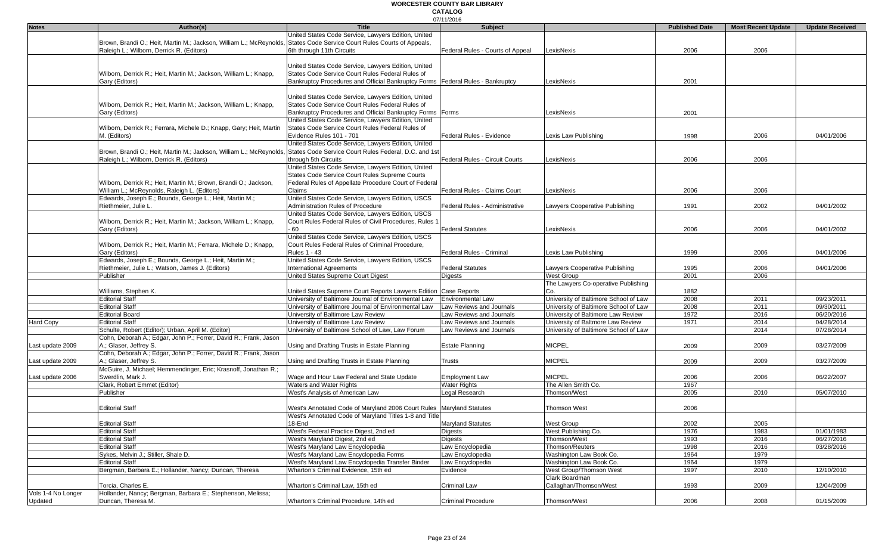|                    |                                                                                                                           |                                                                                  | 07/11/2016                       |                                       |                       |                           |                        |
|--------------------|---------------------------------------------------------------------------------------------------------------------------|----------------------------------------------------------------------------------|----------------------------------|---------------------------------------|-----------------------|---------------------------|------------------------|
| <b>Notes</b>       | Author(s)                                                                                                                 | <b>Title</b>                                                                     | Subject                          |                                       | <b>Published Date</b> | <b>Most Recent Update</b> | <b>Update Received</b> |
|                    |                                                                                                                           | United States Code Service, Lawyers Edition, United                              |                                  |                                       |                       |                           |                        |
|                    | Brown, Brandi O.; Heit, Martin M.; Jackson, William L.; McReynolds,                                                       | States Code Service Court Rules Courts of Appeals,                               |                                  |                                       |                       |                           |                        |
|                    | Raleigh L.; Wilborn, Derrick R. (Editors)                                                                                 | 6th through 11th Circuits                                                        | Federal Rules - Courts of Appeal | LexisNexis                            | 2006                  | 2006                      |                        |
|                    |                                                                                                                           |                                                                                  |                                  |                                       |                       |                           |                        |
|                    |                                                                                                                           | United States Code Service, Lawyers Edition, United                              |                                  |                                       |                       |                           |                        |
|                    |                                                                                                                           | States Code Service Court Rules Federal Rules of                                 |                                  |                                       |                       |                           |                        |
|                    | Wilborn, Derrick R.; Heit, Martin M.; Jackson, William L.; Knapp,                                                         |                                                                                  |                                  |                                       |                       |                           |                        |
|                    | Gary (Editors)                                                                                                            | Bankruptcy Procedures and Official Bankruptcy Forms   Federal Rules - Bankruptcy |                                  | LexisNexis                            | 2001                  |                           |                        |
|                    |                                                                                                                           |                                                                                  |                                  |                                       |                       |                           |                        |
|                    |                                                                                                                           | United States Code Service, Lawyers Edition, United                              |                                  |                                       |                       |                           |                        |
|                    | Wilborn, Derrick R.; Heit, Martin M.; Jackson, William L.; Knapp,                                                         | States Code Service Court Rules Federal Rules of                                 |                                  |                                       |                       |                           |                        |
|                    | Gary (Editors)                                                                                                            | Bankruptcy Procedures and Official Bankruptcy Forms Forms                        |                                  | LexisNexis                            | 2001                  |                           |                        |
|                    |                                                                                                                           | United States Code Service, Lawyers Edition, United                              |                                  |                                       |                       |                           |                        |
|                    | Wilborn, Derrick R.; Ferrara, Michele D.; Knapp, Gary; Heit, Martin                                                       | States Code Service Court Rules Federal Rules of                                 |                                  |                                       |                       |                           |                        |
|                    | M. (Editors)                                                                                                              | Evidence Rules 101 - 701                                                         | Federal Rules - Evidence         | Lexis Law Publishing                  | 1998                  | 2006                      | 04/01/2006             |
|                    |                                                                                                                           |                                                                                  |                                  |                                       |                       |                           |                        |
|                    |                                                                                                                           | United States Code Service, Lawyers Edition, United                              |                                  |                                       |                       |                           |                        |
|                    | Brown, Brandi O.; Heit, Martin M.; Jackson, William L.; McReynolds, States Code Service Court Rules Federal, D.C. and 1st |                                                                                  |                                  |                                       |                       |                           |                        |
|                    | Raleigh L.; Wilborn, Derrick R. (Editors)                                                                                 | through 5th Circuits                                                             | Federal Rules - Circuit Courts   | LexisNexis                            | 2006                  | 2006                      |                        |
|                    |                                                                                                                           | United States Code Service, Lawyers Edition, United                              |                                  |                                       |                       |                           |                        |
|                    |                                                                                                                           | States Code Service Court Rules Supreme Courts                                   |                                  |                                       |                       |                           |                        |
|                    | Wilborn, Derrick R.; Heit, Martin M.; Brown, Brandi O.; Jackson,                                                          | Federal Rules of Appellate Procedure Court of Federal                            |                                  |                                       |                       |                           |                        |
|                    | William L.; McReynolds, Raleigh L. (Editors)                                                                              | Claims                                                                           | Federal Rules - Claims Court     | LexisNexis                            | 2006                  | 2006                      |                        |
|                    | Edwards, Joseph E.; Bounds, George L.; Heit, Martin M.;                                                                   | United States Code Service, Lawyers Edition, USCS                                |                                  |                                       |                       |                           |                        |
|                    |                                                                                                                           |                                                                                  |                                  |                                       |                       |                           |                        |
|                    | Riethmeier, Julie L.                                                                                                      | Administration Rules of Procedure                                                | Federal Rules - Administrative   | Lawyers Cooperative Publishing        | 1991                  | 2002                      | 04/01/2002             |
|                    |                                                                                                                           | United States Code Service, Lawyers Edition, USCS                                |                                  |                                       |                       |                           |                        |
|                    | Wilborn, Derrick R.; Heit, Martin M.; Jackson, William L.; Knapp,                                                         | Court Rules Federal Rules of Civil Procedures, Rules 1                           |                                  |                                       |                       |                           |                        |
|                    | Gary (Editors)                                                                                                            | 60                                                                               | <b>Federal Statutes</b>          | LexisNexis                            | 2006                  | 2006                      | 04/01/2002             |
|                    |                                                                                                                           | United States Code Service, Lawyers Edition, USCS                                |                                  |                                       |                       |                           |                        |
|                    | Wilborn, Derrick R.; Heit, Martin M.; Ferrara, Michele D.; Knapp,                                                         | Court Rules Federal Rules of Criminal Procedure.                                 |                                  |                                       |                       |                           |                        |
|                    | Gary (Editors)                                                                                                            | <b>Rules 1 - 43</b>                                                              | Federal Rules - Criminal         | Lexis Law Publishing                  | 1999                  | 2006                      | 04/01/2006             |
|                    | Edwards, Joseph E.; Bounds, George L.; Heit, Martin M.;                                                                   | United States Code Service, Lawyers Edition, USCS                                |                                  |                                       |                       |                           |                        |
|                    | Riethmeier, Julie L.; Watson, James J. (Editors)                                                                          | <b>International Agreements</b>                                                  | <b>Federal Statutes</b>          | Lawyers Cooperative Publishing        | 1995                  | 2006                      | 04/01/2006             |
|                    |                                                                                                                           |                                                                                  |                                  |                                       |                       |                           |                        |
|                    | Publisher                                                                                                                 | United States Supreme Court Digest                                               | Digests                          | <b>West Group</b>                     | 2001                  | 2006                      |                        |
|                    |                                                                                                                           |                                                                                  |                                  | The Lawyers Co-operative Publishing   |                       |                           |                        |
|                    | Williams, Stephen K.                                                                                                      | United States Supreme Court Reports Lawyers Edition                              | <b>Case Reports</b>              | Co.                                   | 1882                  |                           |                        |
|                    | <b>Editorial Staff</b>                                                                                                    | University of Baltimore Journal of Environmental Law                             | Environmental Law                | University of Baltimore School of Law | 2008                  | 2011                      | 09/23/2011             |
|                    | <b>Editorial Staff</b>                                                                                                    | University of Baltimore Journal of Environmental Law                             | Law Reviews and Journals         | University of Baltimore School of Law | 2008                  | 2011                      | 09/30/2011             |
|                    | <b>Editorial Board</b>                                                                                                    | University of Baltimore Law Review                                               | Law Reviews and Journals         | University of Baltimore Law Review    | 1972                  | 2016                      | 06/20/2016             |
| Hard Copy          | <b>Editorial Staff</b>                                                                                                    | University of Baltimore Law Review                                               | Law Reviews and Journals         | University of Baltmore Law Review     | 1971                  | 2014                      | 04/28/2014             |
|                    | Schulte, Robert (Editor); Urban, April M. (Editor)                                                                        | University of Baltimore School of Law, Law Forum                                 | Law Reviews and Journals         | University of Baltimore School of Law |                       | 2014                      | 07/28/2014             |
|                    | Cohn, Deborah A.; Edgar, John P.; Forrer, David R.; Frank, Jason                                                          |                                                                                  |                                  |                                       |                       |                           |                        |
|                    |                                                                                                                           |                                                                                  |                                  |                                       |                       |                           |                        |
| Last update 2009   | A.; Glaser, Jeffrey S.                                                                                                    | Using and Drafting Trusts in Estate Planning                                     | <b>Estate Planning</b>           | <b>MICPEL</b>                         | 2009                  | 2009                      | 03/27/2009             |
|                    | Cohn, Deborah A.; Edgar, John P.; Forrer, David R.; Frank, Jason                                                          |                                                                                  |                                  |                                       |                       |                           |                        |
| Last update 2009   | A.; Glaser, Jeffrey S.                                                                                                    | Using and Drafting Trusts in Estate Planning                                     | Trusts                           | <b>MICPEL</b>                         | 2009                  | 2009                      | 03/27/2009             |
|                    | McGuire, J. Michael; Hemmendinger, Eric; Krasnoff, Jonathan R.;                                                           |                                                                                  |                                  |                                       |                       |                           |                        |
| Last update 2006   | Swerdlin, Mark J.                                                                                                         | Wage and Hour Law Federal and State Update                                       | <b>Employment Law</b>            | <b>MICPEL</b>                         | 2006                  | 2006                      | 06/22/2007             |
|                    | Clark, Robert Emmet (Editor)                                                                                              | Waters and Water Rights                                                          | <b>Water Rights</b>              | The Allen Smith Co.                   | 1967                  |                           |                        |
|                    | Publisher                                                                                                                 | West's Analysis of American Law                                                  | Legal Research                   | Thomson/West                          | 2005                  | 2010                      | 05/07/2010             |
|                    |                                                                                                                           |                                                                                  |                                  |                                       |                       |                           |                        |
|                    |                                                                                                                           |                                                                                  |                                  |                                       |                       |                           |                        |
|                    | <b>Editorial Staff</b>                                                                                                    | West's Annotated Code of Maryland 2006 Court Rules Maryland Statutes             |                                  | Thomson West                          | 2006                  |                           |                        |
|                    |                                                                                                                           | West's Annotated Code of Maryland Titles 1-8 and Title                           |                                  |                                       |                       |                           |                        |
|                    | <b>Editorial Staff</b>                                                                                                    | 18-End                                                                           | <b>Maryland Statutes</b>         | <b>West Group</b>                     | 2002                  | 2005                      |                        |
|                    | <b>Editorial Staff</b>                                                                                                    | West's Federal Practice Digest, 2nd ed                                           | <b>Digests</b>                   | West Publishing Co.                   | 1976                  | 1983                      | 01/01/1983             |
|                    | <b>Editorial Staff</b>                                                                                                    | West's Maryland Digest, 2nd ed                                                   | <b>Digests</b>                   | Thomson/West                          | 1993                  | 2016                      | 06/27/2016             |
|                    | <b>Editorial Staff</b>                                                                                                    | West's Maryland Law Encyclopedia                                                 | Law Encyclopedia                 | Thomson/Reuters                       | 1998                  | 2016                      | 03/28/2016             |
|                    | Sykes, Melvin J.; Stiller, Shale D.                                                                                       | West's Maryland Law Encyclopedia Forms                                           | Law Encyclopedia                 | Washington Law Book Co.               | 1964                  | 1979                      |                        |
|                    | <b>Editorial Staff</b>                                                                                                    | West's Maryland Law Encyclopedia Transfer Binder                                 | Law Encyclopedia                 | Washington Law Book Co.               | 1964                  | 1979                      |                        |
|                    | Bergman, Barbara E.; Hollander, Nancy; Duncan, Theresa                                                                    | Wharton's Criminal Evidence, 15th ed                                             | Evidence                         | West Group/Thomson West               | 1997                  | 2010                      | 12/10/2010             |
|                    |                                                                                                                           |                                                                                  |                                  |                                       |                       |                           |                        |
|                    |                                                                                                                           |                                                                                  |                                  | Clark Boardman                        |                       |                           |                        |
|                    | Torcia, Charles E.                                                                                                        | Wharton's Criminal Law, 15th ed                                                  | <b>Criminal Law</b>              | Callaghan/Thomson/West                | 1993                  | 2009                      | 12/04/2009             |
| Vols 1-4 No Longer | Hollander, Nancy; Bergman, Barbara E.; Stephenson, Melissa;                                                               |                                                                                  |                                  |                                       |                       |                           |                        |
| Updated            | Duncan, Theresa M.                                                                                                        | Wharton's Criminal Procedure, 14th ed                                            | <b>Criminal Procedure</b>        | Thomson/West                          | 2006                  | 2008                      | 01/15/2009             |